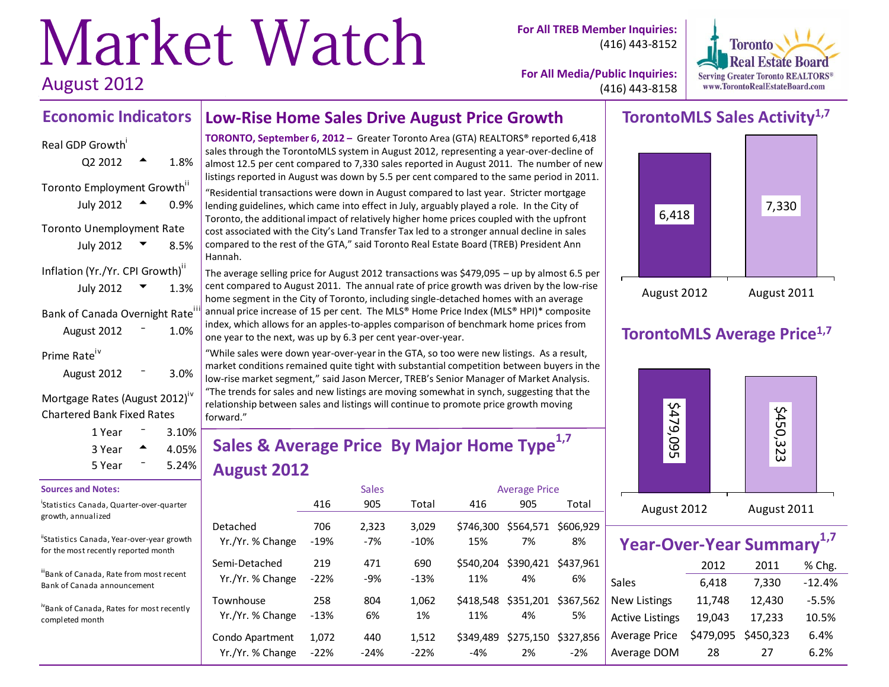# Market Watch August 2012

**For All TREB Member Inquiries:** (416) 443-8152



**For All Media/Public Inquiries:** (416) 443-8158

# **Economic Indicators**

| Real GDP Growth<br>Q2 2012                                  | 1.8% |
|-------------------------------------------------------------|------|
| Toronto Employment Growth"<br><b>July 2012</b>              | በ.ዓ% |
| <b>Toronto Unemployment Rate</b><br>July 2012               | 8.5% |
| Inflation (Yr./Yr. CPI Growth)"<br><b>July 2012</b>         | 1.3% |
| Bank of Canada Overnight Rate <sup>iii</sup><br>August 2012 | 1.0% |
| Prime Rate <sup>iv</sup><br>August 2012                     | 3.0% |

Mortgage Rates (August 2012)<sup>iv</sup> Chartered Bank Fixed Rates

| 1 Year | $3.10\%$          |  |
|--------|-------------------|--|
| 3 Year | $4.05\%$<br>5.24% |  |
| 5 Year |                   |  |

#### **Sources and Notes:**

i Statistics Canada, Quarter-over-quarter growth, annualized

"Statistics Canada, Year-over-year growth for the most recently reported month

iiBank of Canada, Rate from most recent Bank of Canada announcement

ivBank of Canada, Rates for most recently completed month

# **Low-Rise Home Sales Drive August Price Growth**

**TORONTO, September 6, 2012 –** Greater Toronto Area (GTA) REALTORS® reported 6,418 sales through the TorontoMLS system in August 2012, representing a year-over-decline of almost 12.5 per cent compared to 7,330 sales reported in August 2011. The number of new listings reported in August was down by 5.5 per cent compared to the same period in 2011.

"Residential transactions were down in August compared to last year. Stricter mortgage lending guidelines, which came into effect in July, arguably played a role. In the City of Toronto, the additional impact of relatively higher home prices coupled with the upfront cost associated with the City's Land Transfer Tax led to a stronger annual decline in sales compared to the rest of the GTA," said Toronto Real Estate Board (TREB) President Ann Hannah.

The average selling price for August 2012 transactions was \$479,095 – up by almost 6.5 per cent compared to August 2011. The annual rate of price growth was driven by the low-rise home segment in the City of Toronto, including single-detached homes with an average annual price increase of 15 per cent. The MLS® Home Price Index (MLS® HPI)\* composite index, which allows for an apples-to-apples comparison of benchmark home prices from one year to the next, was up by 6.3 per cent year-over-year.

"While sales were down year-over-year in the GTA, so too were new listings. As a result, market conditions remained quite tight with substantial competition between buyers in the low-rise market segment," said Jason Mercer, TREB's Senior Manager of Market Analysis. "The trends for sales and new listings are moving somewhat in synch, suggesting that the relationship between sales and listings will continue to promote price growth moving forward."

# **Sales & Average Price By Major Home Type1,7 August 2012**

|                  |        | <b>Sales</b> |        | <b>Average Price</b> |           |           |  |  |
|------------------|--------|--------------|--------|----------------------|-----------|-----------|--|--|
|                  | 416    | 905          | Total  | 416                  | 905       | Total     |  |  |
| Detached         | 706    | 2,323        | 3.029  | \$746,300            | \$564,571 | \$606.929 |  |  |
| Yr./Yr. % Change | $-19%$ | $-7%$        | $-10%$ | 15%                  | 7%        | 8%        |  |  |
| Semi-Detached    | 219    | 471          | 690    | \$540.204            | \$390,421 | \$437.961 |  |  |
| Yr./Yr. % Change | $-22%$ | $-9%$        | $-13%$ | 11%                  | 4%        | 6%        |  |  |
| Townhouse        | 258    | 804          | 1,062  | \$418.548            | \$351,201 | \$367.562 |  |  |
| Yr./Yr. % Change | $-13%$ | 6%           | 1%     | 11%                  | 4%        | 5%        |  |  |
| Condo Apartment  | 1,072  | 440          | 1,512  | \$349.489            | \$275,150 | \$327.856 |  |  |
| Yr./Yr. % Change | $-22%$ | $-24%$       | $-22%$ | $-4%$                | 2%        | $-2%$     |  |  |

### **TorontoMLS Sales Activity1,7**



### **TorontoMLS Average Price1,7**



| Year-Over-Year Summary <sup>1,7</sup> |           |           |          |  |  |  |  |  |  |  |  |
|---------------------------------------|-----------|-----------|----------|--|--|--|--|--|--|--|--|
|                                       | 2012      | 2011      | % Chg.   |  |  |  |  |  |  |  |  |
| Sales                                 | 6,418     | 7,330     | $-12.4%$ |  |  |  |  |  |  |  |  |
| <b>New Listings</b>                   | 11,748    | 12,430    | $-5.5%$  |  |  |  |  |  |  |  |  |
| <b>Active Listings</b>                | 19,043    | 17,233    | 10.5%    |  |  |  |  |  |  |  |  |
| Average Price                         | \$479,095 | \$450,323 | 6.4%     |  |  |  |  |  |  |  |  |
| Average DOM                           | 28        | 27        | 6.2%     |  |  |  |  |  |  |  |  |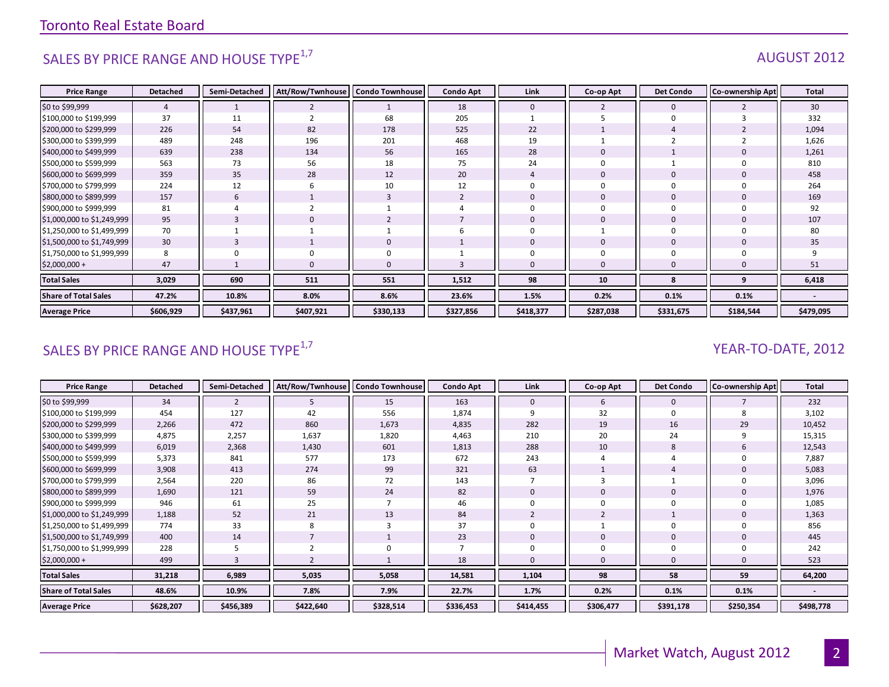# SALES BY PRICE RANGE AND HOUSE TYPE $^{1,7}$  AUGUST 2012

| <b>Price Range</b>          | <b>Detached</b> | Semi-Detached | Att/Row/Twnhouse | <b>Condo Townhouse</b> | <b>Condo Apt</b> | Link        | Co-op Apt   | <b>Det Condo</b> | <b>Co-ownership Apt</b> | Total     |
|-----------------------------|-----------------|---------------|------------------|------------------------|------------------|-------------|-------------|------------------|-------------------------|-----------|
| \$0 to \$99,999             | 4               |               |                  |                        | 18               | $\mathbf 0$ | 2           | $\mathbf{0}$     |                         | 30        |
| \$100,000 to \$199,999      | 37              | 11            |                  | 68                     | 205              |             |             | $\Omega$         |                         | 332       |
| \$200,000 to \$299,999      | 226             | 54            | 82               | 178                    | 525              | 22          |             | 4                |                         | 1,094     |
| \$300,000 to \$399,999      | 489             | 248           | 196              | 201                    | 468              | 19          |             |                  |                         | 1,626     |
| \$400,000 to \$499,999      | 639             | 238           | 134              | 56                     | 165              | 28          |             |                  |                         | 1,261     |
| \$500,000 to \$599,999      | 563             | 73            | 56               | 18                     | 75               | 24          | $\Omega$    |                  |                         | 810       |
| \$600,000 to \$699,999      | 359             | 35            | 28               | 12                     | 20               |             | $\mathbf 0$ |                  |                         | 458       |
| \$700,000 to \$799,999      | 224             | 12            |                  | 10                     | 12               | $\Omega$    | $\Omega$    |                  |                         | 264       |
| \$800,000 to \$899,999      | 157             | 6             |                  | 3                      |                  | $\mathbf 0$ |             | $\mathbf 0$      |                         | 169       |
| \$900,000 to \$999,999      | 81              |               |                  |                        |                  | $\Omega$    | $\Omega$    |                  |                         | 92        |
| \$1,000,000 to \$1,249,999  | 95              |               |                  |                        |                  | $\mathbf 0$ | $\Omega$    | $\mathbf 0$      |                         | 107       |
| \$1,250,000 to \$1,499,999  | 70              |               |                  |                        |                  | $\mathbf 0$ |             | $\Omega$         |                         | 80        |
| \$1,500,000 to \$1,749,999  | 30              |               |                  | $\mathbf 0$            |                  | $\mathbf 0$ | $\Omega$    | $\mathbf 0$      |                         | 35        |
| \$1,750,000 to \$1,999,999  | 8               |               |                  | 0                      |                  | $\Omega$    |             |                  |                         |           |
| $$2,000,000 +$              | 47              |               |                  | $\mathbf{0}$           |                  | $\Omega$    | $\Omega$    |                  |                         | 51        |
| <b>Total Sales</b>          | 3,029           | 690           | 511              | 551                    | 1,512            | 98          | 10          | 8                | 9                       | 6,418     |
| <b>Share of Total Sales</b> | 47.2%           | 10.8%         | 8.0%             | 8.6%                   | 23.6%            | 1.5%        | 0.2%        | 0.1%             | 0.1%                    |           |
| <b>Average Price</b>        | \$606,929       | \$437,961     | \$407,921        | \$330,133              | \$327,856        | \$418,377   | \$287,038   | \$331,675        | \$184,544               | \$479,095 |

# SALES BY PRICE RANGE AND HOUSE TYPE<sup>1,7</sup>  $\sqrt{2}$  and  $\sqrt{2}$  and  $\sqrt{2}$  and  $\sqrt{2}$  and  $\sqrt{2}$  and  $\sqrt{2}$  and  $\sqrt{2}$  and  $\sqrt{2}$  and  $\sqrt{2}$  and  $\sqrt{2}$  and  $\sqrt{2}$  and  $\sqrt{2}$  and  $\sqrt{2}$  and  $\sqrt{2}$  and  $\sqrt{2}$  and

| <b>Price Range</b>          | <b>Detached</b> | Semi-Detached  | Att/Row/Twnhouse | Condo Townhouse | <b>Condo Apt</b> | Link        | Co-op Apt | <b>Det Condo</b> | <b>Co-ownership Apt</b> | <b>Total</b>             |
|-----------------------------|-----------------|----------------|------------------|-----------------|------------------|-------------|-----------|------------------|-------------------------|--------------------------|
| \$0 to \$99,999             | 34              | $\overline{2}$ | ь                | 15              | 163              | 0           | 6         | $\mathbf 0$      |                         | 232                      |
| \$100,000 to \$199,999      | 454             | 127            | 42               | 556             | 1,874            | 9           | 32        | $\mathbf 0$      |                         | 3,102                    |
| \$200,000 to \$299,999      | 2,266           | 472            | 860              | 1,673           | 4,835            | 282         | 19        | 16               | 29                      | 10,452                   |
| \$300,000 to \$399,999      | 4,875           | 2,257          | 1,637            | 1,820           | 4,463            | 210         | 20        | 24               |                         | 15,315                   |
| \$400,000 to \$499,999      | 6,019           | 2,368          | 1,430            | 601             | 1,813            | 288         | 10        | 8                |                         | 12,543                   |
| \$500,000 to \$599,999      | 5,373           | 841            | 577              | 173             | 672              | 243         |           |                  |                         | 7,887                    |
| \$600,000 to \$699,999      | 3,908           | 413            | 274              | 99              | 321              | 63          |           |                  |                         | 5,083                    |
| \$700,000 to \$799,999      | 2,564           | 220            | 86               | 72              | 143              |             |           |                  |                         | 3,096                    |
| \$800,000 to \$899,999      | 1,690           | 121            | 59               | 24              | 82               | 0           |           | 0                |                         | 1,976                    |
| \$900,000 to \$999,999      | 946             | 61             | 25               |                 | 46               |             |           | $\mathbf 0$      |                         | 1,085                    |
| \$1,000,000 to \$1,249,999  | 1,188           | 52             | 21               | 13              | 84               |             |           |                  |                         | 1,363                    |
| \$1,250,000 to \$1,499,999  | 774             | 33             | 8                | 3               | 37               |             |           | $\mathbf 0$      |                         | 856                      |
| \$1,500,000 to \$1,749,999  | 400             | 14             |                  |                 | 23               | $\mathbf 0$ | 0         | $\mathbf 0$      |                         | 445                      |
| \$1,750,000 to \$1,999,999  | 228             |                |                  | $\Omega$        |                  |             |           | 0                |                         | 242                      |
| $$2,000,000 +$              | 499             |                |                  |                 | 18               |             |           | $\mathbf{0}$     |                         | 523                      |
| <b>Total Sales</b>          | 31,218          | 6,989          | 5,035            | 5,058           | 14,581           | 1,104       | 98        | 58               | 59                      | 64,200                   |
| <b>Share of Total Sales</b> | 48.6%           | 10.9%          | 7.8%             | 7.9%            | 22.7%            | 1.7%        | 0.2%      | 0.1%             | 0.1%                    | $\overline{\phantom{a}}$ |
| <b>Average Price</b>        | \$628,207       | \$456,389      | \$422,640        | \$328,514       | \$336,453        | \$414,455   | \$306,477 | \$391,178        | \$250,354               | \$498,778                |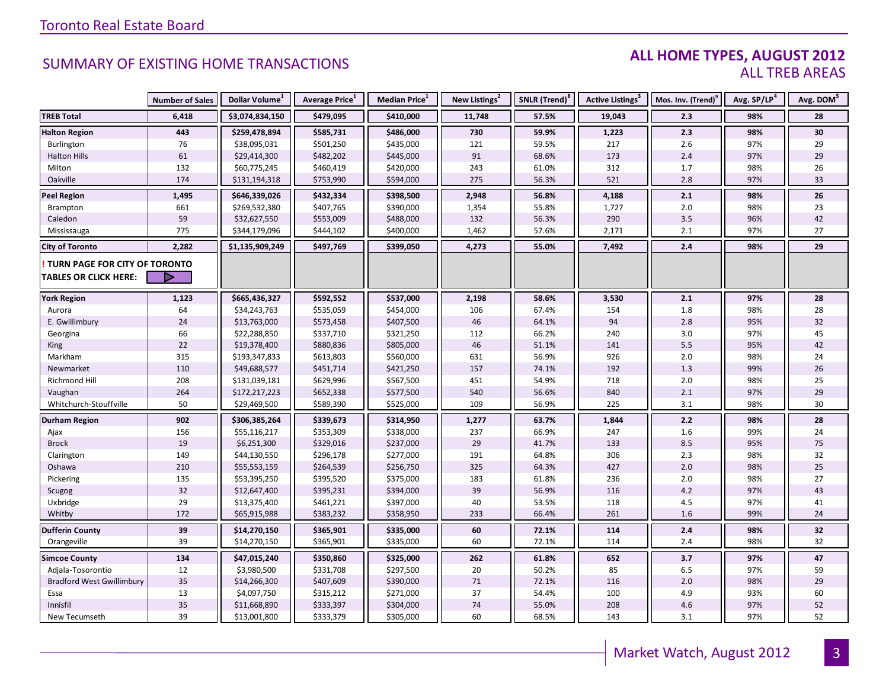#### **ALL HOME TYPES, AUGUST 2012** ALL TREB AREAS

|                                  | <b>Number of Sales</b> | Dollar Volume <sup>1</sup> | <b>Average Price</b> <sup>1</sup> | Median Price <sup>1</sup> | New Listings <sup>2</sup> | SNLR (Trend) <sup>8</sup> | Active Listings <sup>3</sup> | Mos. Inv. (Trend) <sup>9</sup> | Avg. SP/LP <sup>4</sup> | Avg. DOM <sup>5</sup> |
|----------------------------------|------------------------|----------------------------|-----------------------------------|---------------------------|---------------------------|---------------------------|------------------------------|--------------------------------|-------------------------|-----------------------|
| <b>TREB Total</b>                | 6,418                  | \$3,074,834,150            | \$479,095                         | \$410,000                 | 11,748                    | 57.5%                     | 19,043                       | 2.3                            | 98%                     | 28                    |
| <b>Halton Region</b>             | 443                    | \$259,478,894              | \$585,731                         | \$486,000                 | 730                       | 59.9%                     | 1,223                        | 2.3                            | 98%                     | 30                    |
| Burlington                       | 76                     | \$38,095,031               | \$501,250                         | \$435,000                 | 121                       | 59.5%                     | 217                          | 2.6                            | 97%                     | 29                    |
| <b>Halton Hills</b>              | 61                     | \$29,414,300               | \$482,202                         | \$445,000                 | 91                        | 68.6%                     | 173                          | 2.4                            | 97%                     | 29                    |
| Milton                           | 132                    | \$60,775,245               | \$460,419                         | \$420,000                 | 243                       | 61.0%                     | 312                          | 1.7                            | 98%                     | 26                    |
| Oakville                         | 174                    | \$131,194,318              | \$753,990                         | \$594,000                 | 275                       | 56.3%                     | 521                          | 2.8                            | 97%                     | 33                    |
| <b>Peel Region</b>               | 1,495                  | \$646,339,026              | \$432,334                         | \$398,500                 | 2,948                     | 56.8%                     | 4,188                        | 2.1                            | 98%                     | 26                    |
| Brampton                         | 661                    | \$269,532,380              | \$407,765                         | \$390,000                 | 1,354                     | 55.8%                     | 1,727                        | 2.0                            | 98%                     | 23                    |
| Caledon                          | 59                     | \$32,627,550               | \$553,009                         | \$488,000                 | 132                       | 56.3%                     | 290                          | $3.5\,$                        | 96%                     | 42                    |
| Mississauga                      | 775                    | \$344,179,096              | \$444,102                         | \$400,000                 | 1,462                     | 57.6%                     | 2,171                        | 2.1                            | 97%                     | 27                    |
| <b>City of Toronto</b>           | 2,282                  | \$1,135,909,249            | \$497,769                         | \$399,050                 | 4,273                     | 55.0%                     | 7,492                        | 2.4                            | 98%                     | 29                    |
| TURN PAGE FOR CITY OF TORONTO    |                        |                            |                                   |                           |                           |                           |                              |                                |                         |                       |
| <b>TABLES OR CLICK HERE:</b>     |                        |                            |                                   |                           |                           |                           |                              |                                |                         |                       |
|                                  |                        |                            |                                   |                           |                           |                           |                              |                                |                         |                       |
| <b>York Region</b>               | 1,123                  | \$665,436,327              | \$592,552                         | \$537,000                 | 2,198                     | 58.6%                     | 3,530                        | 2.1                            | 97%                     | 28                    |
| Aurora                           | 64                     | \$34,243,763               | \$535,059                         | \$454,000                 | 106                       | 67.4%                     | 154                          | 1.8                            | 98%                     | 28                    |
| E. Gwillimbury                   | 24                     | \$13,763,000               | \$573,458                         | \$407,500                 | 46                        | 64.1%                     | 94                           | $2.8$                          | 95%                     | 32                    |
| Georgina                         | 66                     | \$22,288,850               | \$337,710                         | \$321,250                 | 112                       | 66.2%                     | 240                          | 3.0                            | 97%                     | 45                    |
| King                             | 22                     | \$19,378,400               | \$880,836                         | \$805,000                 | 46                        | 51.1%                     | 141                          | 5.5                            | 95%                     | 42                    |
| Markham                          | 315                    | \$193,347,833              | \$613,803                         | \$560,000                 | 631                       | 56.9%                     | 926                          | 2.0                            | 98%                     | 24                    |
| Newmarket                        | 110                    | \$49,688,577               | \$451,714                         | \$421,250                 | 157                       | 74.1%                     | 192                          | 1.3                            | 99%                     | 26                    |
| Richmond Hill                    | 208                    | \$131,039,181              | \$629,996                         | \$567,500                 | 451                       | 54.9%                     | 718                          | 2.0                            | 98%                     | 25                    |
| Vaughan                          | 264                    | \$172,217,223              | \$652,338                         | \$577,500                 | 540                       | 56.6%                     | 840                          | 2.1                            | 97%                     | 29                    |
| Whitchurch-Stouffville           | 50                     | \$29,469,500               | \$589,390                         | \$525,000                 | 109                       | 56.9%                     | 225                          | 3.1                            | 98%                     | 30                    |
| <b>Durham Region</b>             | 902                    | \$306,385,264              | \$339,673                         | \$314,950                 | 1,277                     | 63.7%                     | 1,844                        | 2.2                            | 98%                     | 28                    |
| Ajax                             | 156                    | \$55,116,217               | \$353,309                         | \$338,000                 | 237                       | 66.9%                     | 247                          | 1.6                            | 99%                     | 24                    |
| <b>Brock</b>                     | 19                     | \$6,251,300                | \$329,016                         | \$237,000                 | 29                        | 41.7%                     | 133                          | 8.5                            | 95%                     | 75                    |
| Clarington                       | 149                    | \$44,130,550               | \$296,178                         | \$277,000                 | 191                       | 64.8%                     | 306                          | $2.3$                          | 98%                     | 32                    |
| Oshawa                           | 210                    | \$55,553,159               | \$264,539                         | \$256,750                 | 325                       | 64.3%                     | 427                          | 2.0                            | 98%                     | 25                    |
| Pickering                        | 135                    | \$53,395,250               | \$395,520                         | \$375,000                 | 183                       | 61.8%                     | 236                          | 2.0                            | 98%                     | 27                    |
| Scugog                           | 32                     | \$12,647,400               | \$395,231                         | \$394,000                 | 39                        | 56.9%                     | 116                          | $4.2\,$                        | 97%                     | 43                    |
| Uxbridge                         | 29                     | \$13,375,400               | \$461,221                         | \$397,000                 | 40                        | 53.5%                     | 118                          | 4.5                            | 97%                     | 41                    |
| Whitby                           | 172                    | \$65,915,988               | \$383,232                         | \$358,950                 | 233                       | 66.4%                     | 261                          | 1.6                            | 99%                     | 24                    |
| <b>Dufferin County</b>           | 39                     | \$14,270,150               | \$365,901                         | \$335,000                 | 60                        | 72.1%                     | 114                          | 2.4                            | 98%                     | 32                    |
| Orangeville                      | 39                     | \$14,270,150               | \$365,901                         | \$335,000                 | 60                        | 72.1%                     | 114                          | 2.4                            | 98%                     | 32                    |
| <b>Simcoe County</b>             | 134                    | \$47,015,240               | \$350,860                         | \$325,000                 | 262                       | 61.8%                     | 652                          | 3.7                            | 97%                     | 47                    |
| Adjala-Tosorontio                | 12                     | \$3,980,500                | \$331,708                         | \$297,500                 | 20                        | 50.2%                     | 85                           | $6.5\,$                        | 97%                     | 59                    |
| <b>Bradford West Gwillimbury</b> | 35                     | \$14,266,300               | \$407,609                         | \$390,000                 | 71                        | 72.1%                     | 116                          | 2.0                            | 98%                     | 29                    |
| Essa                             | 13                     | \$4,097,750                | \$315,212                         | \$271,000                 | 37                        | 54.4%                     | 100                          | 4.9                            | 93%                     | 60                    |
| Innisfil                         | 35                     | \$11,668,890               | \$333,397                         | \$304,000                 | 74                        | 55.0%                     | 208                          | 4.6                            | 97%                     | 52                    |
| New Tecumseth                    | 39                     | \$13,001,800               | \$333,379                         | \$305,000                 | 60                        | 68.5%                     | 143                          | 3.1                            | 97%                     | 52                    |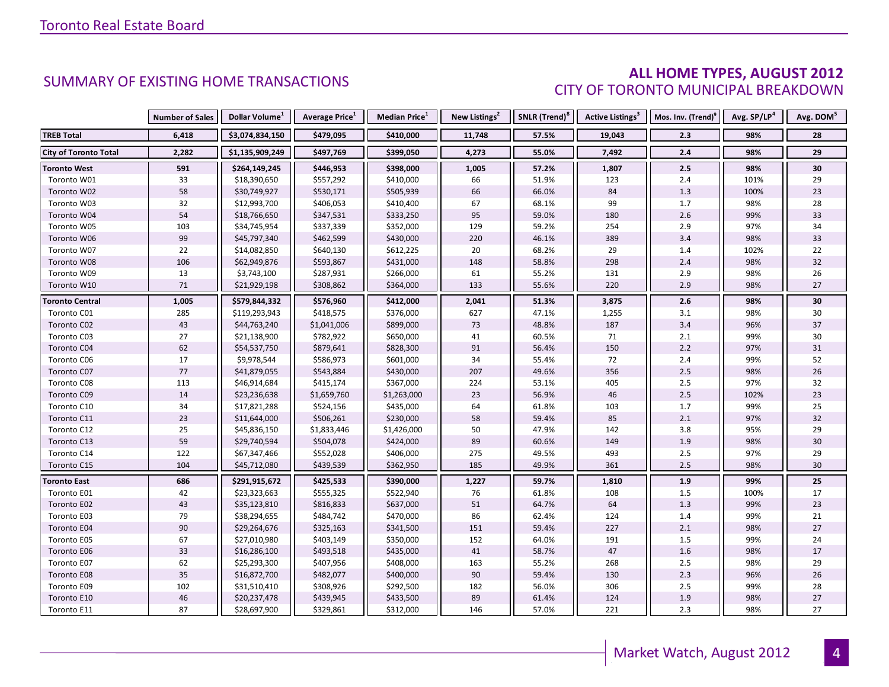#### **ALL HOME TYPES, AUGUST 2012** CITY OF TORONTO MUNICIPAL BREAKDOWN

|                              | <b>Number of Sales</b> | Dollar Volume <sup>1</sup> | Average Price <sup>1</sup> | <b>Median Price</b> <sup>1</sup> | New Listings <sup>2</sup> | SNLR (Trend) <sup>8</sup> | Active Listings <sup>3</sup> | Mos. Inv. (Trend) <sup>9</sup> | Avg. SP/LP <sup>4</sup> | Avg. DOM <sup>5</sup> |
|------------------------------|------------------------|----------------------------|----------------------------|----------------------------------|---------------------------|---------------------------|------------------------------|--------------------------------|-------------------------|-----------------------|
| <b>TREB Total</b>            | 6,418                  | \$3,074,834,150            | \$479,095                  | \$410,000                        | 11,748                    | 57.5%                     | 19,043                       | 2.3                            | 98%                     | 28                    |
| <b>City of Toronto Total</b> | 2,282                  | \$1,135,909,249            | \$497,769                  | \$399,050                        | 4,273                     | 55.0%                     | 7,492                        | 2.4                            | 98%                     | 29                    |
| <b>Toronto West</b>          | 591                    | \$264,149,245              | \$446,953                  | \$398,000                        | 1,005                     | 57.2%                     | 1,807                        | 2.5                            | 98%                     | 30                    |
| Toronto W01                  | 33                     | \$18,390,650               | \$557,292                  | \$410,000                        | 66                        | 51.9%                     | 123                          | 2.4                            | 101%                    | 29                    |
| Toronto W02                  | 58                     | \$30,749,927               | \$530,171                  | \$505,939                        | 66                        | 66.0%                     | 84                           | 1.3                            | 100%                    | 23                    |
| Toronto W03                  | 32                     | \$12,993,700               | \$406,053                  | \$410,400                        | 67                        | 68.1%                     | 99                           | 1.7                            | 98%                     | 28                    |
| Toronto W04                  | 54                     | \$18,766,650               | \$347,531                  | \$333,250                        | 95                        | 59.0%                     | 180                          | 2.6                            | 99%                     | 33                    |
| Toronto W05                  | 103                    | \$34,745,954               | \$337,339                  | \$352,000                        | 129                       | 59.2%                     | 254                          | 2.9                            | 97%                     | 34                    |
| Toronto W06                  | 99                     | \$45,797,340               | \$462,599                  | \$430,000                        | 220                       | 46.1%                     | 389                          | 3.4                            | 98%                     | 33                    |
| Toronto W07                  | 22                     | \$14,082,850               | \$640,130                  | \$612,225                        | 20                        | 68.2%                     | 29                           | 1.4                            | 102%                    | 22                    |
| Toronto W08                  | 106                    | \$62,949,876               | \$593,867                  | \$431,000                        | 148                       | 58.8%                     | 298                          | 2.4                            | 98%                     | 32                    |
| Toronto W09                  | 13                     | \$3,743,100                | \$287,931                  | \$266,000                        | 61                        | 55.2%                     | 131                          | 2.9                            | 98%                     | 26                    |
| Toronto W10                  | 71                     | \$21,929,198               | \$308,862                  | \$364,000                        | 133                       | 55.6%                     | 220                          | 2.9                            | 98%                     | 27                    |
| <b>Toronto Central</b>       | 1,005                  | \$579,844,332              | \$576,960                  | \$412,000                        | 2,041                     | 51.3%                     | 3,875                        | 2.6                            | 98%                     | 30                    |
| Toronto C01                  | 285                    | \$119,293,943              | \$418,575                  | \$376,000                        | 627                       | 47.1%                     | 1,255                        | 3.1                            | 98%                     | 30                    |
| Toronto C02                  | 43                     | \$44,763,240               | \$1,041,006                | \$899,000                        | 73                        | 48.8%                     | 187                          | 3.4                            | 96%                     | 37                    |
| Toronto C03                  | 27                     | \$21,138,900               | \$782,922                  | \$650,000                        | 41                        | 60.5%                     | 71                           | $2.1$                          | 99%                     | 30                    |
| Toronto C04                  | 62                     | \$54,537,750               | \$879,641                  | \$828,300                        | 91                        | 56.4%                     | 150                          | 2.2                            | 97%                     | 31                    |
| Toronto C06                  | 17                     | \$9,978,544                | \$586,973                  | \$601,000                        | 34                        | 55.4%                     | 72                           | 2.4                            | 99%                     | 52                    |
| Toronto C07                  | 77                     | \$41,879,055               | \$543,884                  | \$430,000                        | 207                       | 49.6%                     | 356                          | $2.5$                          | 98%                     | 26                    |
| Toronto C08                  | 113                    | \$46,914,684               | \$415,174                  | \$367,000                        | 224                       | 53.1%                     | 405                          | $2.5$                          | 97%                     | 32                    |
| Toronto C09                  | 14                     | \$23,236,638               | \$1,659,760                | \$1,263,000                      | 23                        | 56.9%                     | 46                           | 2.5                            | 102%                    | 23                    |
| Toronto C10                  | 34                     | \$17,821,288               | \$524,156                  | \$435,000                        | 64                        | 61.8%                     | 103                          | 1.7                            | 99%                     | 25                    |
| Toronto C11                  | 23                     | \$11,644,000               | \$506,261                  | \$230,000                        | 58                        | 59.4%                     | 85                           | 2.1                            | 97%                     | 32                    |
| Toronto C12                  | 25                     | \$45,836,150               | \$1,833,446                | \$1,426,000                      | 50                        | 47.9%                     | 142                          | 3.8                            | 95%                     | 29                    |
| Toronto C13                  | 59                     | \$29,740,594               | \$504,078                  | \$424,000                        | 89                        | 60.6%                     | 149                          | 1.9                            | 98%                     | $30\,$                |
| Toronto C14                  | 122                    | \$67,347,466               | \$552,028                  | \$406,000                        | 275                       | 49.5%                     | 493                          | 2.5                            | 97%                     | 29                    |
| Toronto C15                  | 104                    | \$45,712,080               | \$439,539                  | \$362,950                        | 185                       | 49.9%                     | 361                          | 2.5                            | 98%                     | 30                    |
| <b>Toronto East</b>          | 686                    | \$291,915,672              | \$425,533                  | \$390,000                        | 1,227                     | 59.7%                     | 1,810                        | 1.9                            | 99%                     | 25                    |
| Toronto E01                  | 42                     | \$23,323,663               | \$555,325                  | \$522,940                        | 76                        | 61.8%                     | 108                          | 1.5                            | 100%                    | 17                    |
| Toronto E02                  | 43                     | \$35,123,810               | \$816,833                  | \$637,000                        | 51                        | 64.7%                     | 64                           | 1.3                            | 99%                     | 23                    |
| Toronto E03                  | 79                     | \$38,294,655               | \$484,742                  | \$470,000                        | 86                        | 62.4%                     | 124                          | 1.4                            | 99%                     | 21                    |
| Toronto E04                  | 90                     | \$29,264,676               | \$325,163                  | \$341,500                        | 151                       | 59.4%                     | 227                          | 2.1                            | 98%                     | 27                    |
| Toronto E05                  | 67                     | \$27,010,980               | \$403,149                  | \$350,000                        | 152                       | 64.0%                     | 191                          | 1.5                            | 99%                     | 24                    |
| Toronto E06                  | 33                     | \$16,286,100               | \$493,518                  | \$435,000                        | 41                        | 58.7%                     | 47                           | 1.6                            | 98%                     | $17$                  |
| Toronto E07                  | 62                     | \$25,293,300               | \$407,956                  | \$408,000                        | 163                       | 55.2%                     | 268                          | 2.5                            | 98%                     | 29                    |
| Toronto E08                  | 35                     | \$16,872,700               | \$482,077                  | \$400,000                        | $90\,$                    | 59.4%                     | 130                          | 2.3                            | 96%                     | 26                    |
| Toronto E09                  | 102                    | \$31,510,410               | \$308,926                  | \$292,500                        | 182                       | 56.0%                     | 306                          | 2.5                            | 99%                     | 28                    |
| Toronto E10                  | 46                     | \$20,237,478               | \$439,945                  | \$433,500                        | 89                        | 61.4%                     | 124                          | 1.9                            | 98%                     | 27                    |
| Toronto E11                  | 87                     | \$28,697,900               | \$329,861                  | \$312,000                        | 146                       | 57.0%                     | 221                          | 2.3                            | 98%                     | 27                    |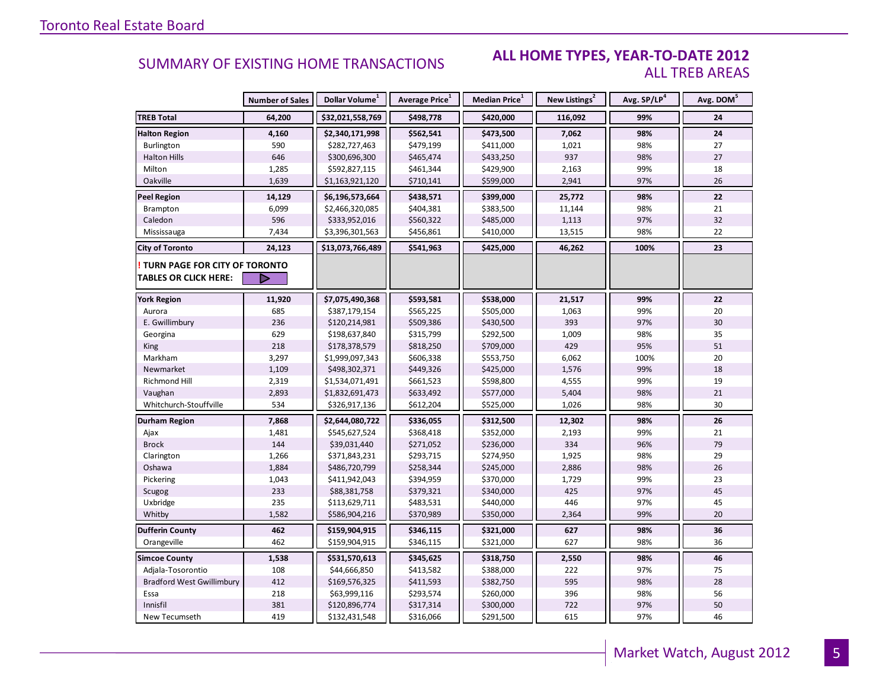#### **ALL HOME TYPES, YEAR-TO-DATE 2012** ALL TREB AREAS

|                                        | <b>Number of Sales</b> | Dollar Volume <sup>1</sup> | <b>Average Price</b> <sup>1</sup> | Median Price <sup>1</sup> | New Listings <sup>2</sup> | Avg. SP/LP <sup>4</sup> | Avg. DOM <sup>5</sup> |
|----------------------------------------|------------------------|----------------------------|-----------------------------------|---------------------------|---------------------------|-------------------------|-----------------------|
| <b>TREB Total</b>                      | 64,200                 | \$32,021,558,769           | \$498,778                         | \$420,000                 | 116,092                   | 99%                     | 24                    |
| <b>Halton Region</b>                   | 4,160                  | \$2,340,171,998            | \$562,541                         | \$473,500                 | 7,062                     | 98%                     | 24                    |
| Burlington                             | 590                    | \$282,727,463              | \$479,199                         | \$411,000                 | 1,021                     | 98%                     | 27                    |
| <b>Halton Hills</b>                    | 646                    | \$300,696,300              | \$465,474                         | \$433,250                 | 937                       | 98%                     | 27                    |
| Milton                                 | 1,285                  | \$592,827,115              | \$461,344                         | \$429,900                 | 2,163                     | 99%                     | 18                    |
| Oakville                               | 1,639                  | \$1,163,921,120            | \$710,141                         | \$599,000                 | 2,941                     | 97%                     | 26                    |
| <b>Peel Region</b>                     | 14,129                 | \$6,196,573,664            | \$438,571                         | \$399,000                 | 25,772                    | 98%                     | 22                    |
| Brampton                               | 6,099                  | \$2,466,320,085            | \$404,381                         | \$383,500                 | 11,144                    | 98%                     | 21                    |
| Caledon                                | 596                    | \$333,952,016              | \$560,322                         | \$485,000                 | 1,113                     | 97%                     | 32                    |
| Mississauga                            | 7,434                  | \$3,396,301,563            | \$456,861                         | \$410,000                 | 13,515                    | 98%                     | 22                    |
| <b>City of Toronto</b>                 | 24,123                 | \$13,073,766,489           | \$541,963                         | \$425,000                 | 46,262                    | 100%                    | 23                    |
| <b>! TURN PAGE FOR CITY OF TORONTO</b> |                        |                            |                                   |                           |                           |                         |                       |
| <b>TABLES OR CLICK HERE:</b>           |                        |                            |                                   |                           |                           |                         |                       |
| <b>York Region</b>                     | 11,920                 | \$7,075,490,368            | \$593,581                         | \$538,000                 | 21,517                    | 99%                     | 22                    |
| Aurora                                 | 685                    | \$387,179,154              | \$565,225                         | \$505,000                 | 1,063                     | 99%                     | 20                    |
| E. Gwillimbury                         | 236                    | \$120,214,981              | \$509,386                         | \$430,500                 | 393                       | 97%                     | 30                    |
| Georgina                               | 629                    | \$198,637,840              | \$315,799                         | \$292,500                 | 1,009                     | 98%                     | 35                    |
| <b>King</b>                            | 218                    | \$178,378,579              | \$818,250                         | \$709,000                 | 429                       | 95%                     | 51                    |
| Markham                                | 3,297                  | \$1,999,097,343            | \$606,338                         | \$553,750                 | 6,062                     | 100%                    | 20                    |
| Newmarket                              | 1,109                  | \$498,302,371              | \$449,326                         | \$425,000                 | 1,576                     | 99%                     | 18                    |
| Richmond Hill                          | 2,319                  | \$1,534,071,491            | \$661,523                         | \$598,800                 | 4,555                     | 99%                     | 19                    |
| Vaughan                                | 2,893                  | \$1,832,691,473            | \$633,492                         | \$577,000                 | 5,404                     | 98%                     | 21                    |
| Whitchurch-Stouffville                 | 534                    | \$326,917,136              | \$612,204                         | \$525,000                 | 1,026                     | 98%                     | 30                    |
| Durham Region                          | 7,868                  | \$2,644,080,722            | \$336,055                         | \$312,500                 | 12,302                    | 98%                     | 26                    |
| Ajax                                   | 1,481                  | \$545,627,524              | \$368,418                         | \$352,000                 | 2,193                     | 99%                     | 21                    |
| <b>Brock</b>                           | 144                    | \$39,031,440               | \$271,052                         | \$236,000                 | 334                       | 96%                     | 79                    |
| Clarington                             | 1,266                  | \$371,843,231              | \$293,715                         | \$274,950                 | 1,925                     | 98%                     | 29                    |
| Oshawa                                 | 1,884                  | \$486,720,799              | \$258,344                         | \$245,000                 | 2,886                     | 98%                     | 26                    |
| Pickering                              | 1,043                  | \$411,942,043              | \$394,959                         | \$370,000                 | 1,729                     | 99%                     | 23                    |
| Scugog                                 | 233                    | \$88,381,758               | \$379,321                         | \$340,000                 | 425                       | 97%                     | 45                    |
| Uxbridge                               | 235                    | \$113,629,711              | \$483,531                         | \$440,000                 | 446                       | 97%                     | 45                    |
| Whitby                                 | 1,582                  | \$586,904,216              | \$370,989                         | \$350,000                 | 2,364                     | 99%                     | 20                    |
| <b>Dufferin County</b>                 | 462                    | \$159,904,915              | \$346,115                         | \$321,000                 | 627                       | 98%                     | 36                    |
| Orangeville                            | 462                    | \$159,904,915              | \$346,115                         | \$321,000                 | 627                       | 98%                     | 36                    |
| <b>Simcoe County</b>                   | 1,538                  | \$531,570,613              | \$345,625                         | \$318,750                 | 2,550                     | 98%                     | 46                    |
| Adjala-Tosorontio                      | 108                    | \$44,666,850               | \$413,582                         | \$388,000                 | 222                       | 97%                     | 75                    |
| <b>Bradford West Gwillimbury</b>       | 412                    | \$169,576,325              | \$411,593                         | \$382,750                 | 595                       | 98%                     | 28                    |
| Essa                                   | 218                    | \$63,999,116               | \$293,574                         | \$260,000                 | 396                       | 98%                     | 56                    |
| Innisfil                               | 381                    | \$120,896,774              | \$317,314                         | \$300,000                 | 722                       | 97%                     | 50                    |
| New Tecumseth                          | 419                    | \$132,431,548              | \$316,066                         | \$291,500                 | 615                       | 97%                     | 46                    |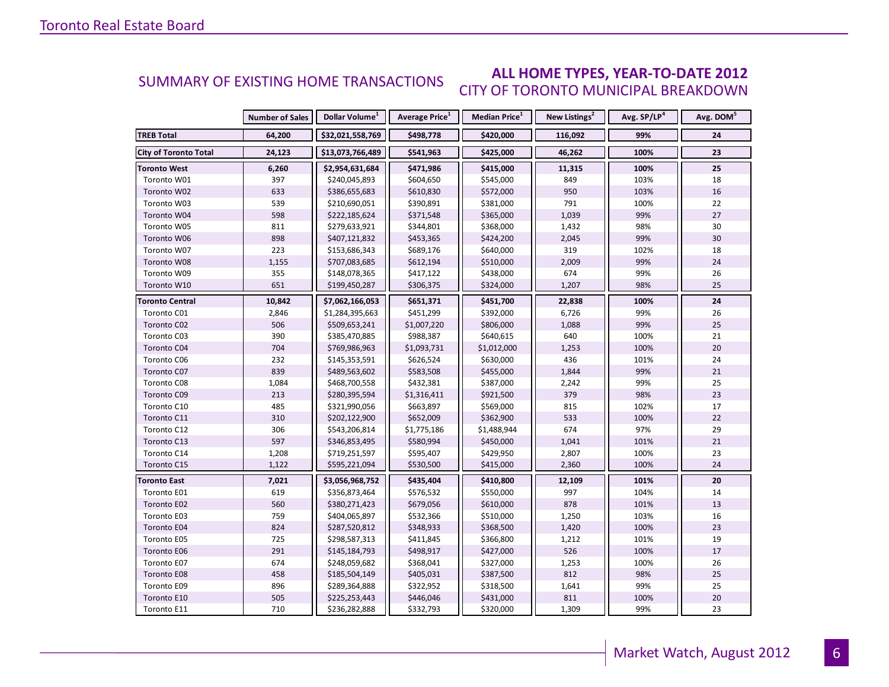#### **ALL HOME TYPES, YEAR-TO-DATE 2012** CITY OF TORONTO MUNICIPAL BREAKDOWN SUMMARY OF EXISTING HOME TRANSACTIONS

|                              | <b>Number of Sales</b> | Dollar Volume <sup>1</sup> | Average Price <sup>1</sup> | Median Price <sup>1</sup> | New Listings <sup>2</sup> | Avg. SP/LP <sup>4</sup> | Avg. DOM <sup>5</sup> |
|------------------------------|------------------------|----------------------------|----------------------------|---------------------------|---------------------------|-------------------------|-----------------------|
| <b>TREB Total</b>            | 64,200                 | \$32,021,558,769           | \$498,778                  | \$420,000                 | 116,092                   | 99%                     | 24                    |
| <b>City of Toronto Total</b> | 24,123                 | \$13,073,766,489           | \$541,963                  | \$425,000                 | 46,262                    | 100%                    | 23                    |
| <b>Toronto West</b>          | 6,260                  | \$2,954,631,684            | \$471,986                  | \$415,000                 | 11,315                    | 100%                    | 25                    |
| Toronto W01                  | 397                    | \$240,045,893              | \$604,650                  | \$545,000                 | 849                       | 103%                    | 18                    |
| Toronto W02                  | 633                    | \$386,655,683              | \$610,830                  | \$572,000                 | 950                       | 103%                    | 16                    |
| Toronto W03                  | 539                    | \$210,690,051              | \$390,891                  | \$381,000                 | 791                       | 100%                    | 22                    |
| Toronto W04                  | 598                    | \$222,185,624              | \$371,548                  | \$365,000                 | 1,039                     | 99%                     | 27                    |
| Toronto W05                  | 811                    | \$279,633,921              | \$344,801                  | \$368,000                 | 1,432                     | 98%                     | 30                    |
| Toronto W06                  | 898                    | \$407,121,832              | \$453,365                  | \$424,200                 | 2,045                     | 99%                     | 30                    |
| Toronto W07                  | 223                    | \$153,686,343              | \$689,176                  | \$640,000                 | 319                       | 102%                    | 18                    |
| Toronto W08                  | 1,155                  | \$707,083,685              | \$612,194                  | \$510,000                 | 2,009                     | 99%                     | 24                    |
| Toronto W09                  | 355                    | \$148,078,365              | \$417,122                  | \$438,000                 | 674                       | 99%                     | 26                    |
| Toronto W10                  | 651                    | \$199,450,287              | \$306,375                  | \$324,000                 | 1,207                     | 98%                     | 25                    |
| Toronto Central              | 10,842                 | \$7,062,166,053            | \$651,371                  | \$451,700                 | 22,838                    | 100%                    | 24                    |
| Toronto C01                  | 2,846                  | \$1,284,395,663            | \$451,299                  | \$392,000                 | 6,726                     | 99%                     | 26                    |
| Toronto C02                  | 506                    | \$509,653,241              | \$1,007,220                | \$806,000                 | 1,088                     | 99%                     | 25                    |
| Toronto C03                  | 390                    | \$385,470,885              | \$988,387                  | \$640,615                 | 640                       | 100%                    | 21                    |
| Toronto C04                  | 704                    | \$769,986,963              | \$1,093,731                | \$1,012,000               | 1,253                     | 100%                    | 20                    |
| Toronto C06                  | 232                    | \$145,353,591              | \$626,524                  | \$630,000                 | 436                       | 101%                    | 24                    |
| Toronto C07                  | 839                    | \$489,563,602              | \$583,508                  | \$455,000                 | 1,844                     | 99%                     | $21\,$                |
| Toronto C08                  | 1,084                  | \$468,700,558              | \$432,381                  | \$387,000                 | 2,242                     | 99%                     | 25                    |
| Toronto C09                  | 213                    | \$280,395,594              | \$1,316,411                | \$921,500                 | 379                       | 98%                     | 23                    |
| Toronto C10                  | 485                    | \$321,990,056              | \$663,897                  | \$569,000                 | 815                       | 102%                    | 17                    |
| Toronto C11                  | 310                    | \$202,122,900              | \$652,009                  | \$362,900                 | 533                       | 100%                    | 22                    |
| Toronto C12                  | 306                    | \$543,206,814              | \$1,775,186                | \$1,488,944               | 674                       | 97%                     | 29                    |
| Toronto C13                  | 597                    | \$346,853,495              | \$580,994                  | \$450,000                 | 1,041                     | 101%                    | 21                    |
| Toronto C14                  | 1,208                  | \$719,251,597              | \$595,407                  | \$429,950                 | 2,807                     | 100%                    | 23                    |
| Toronto C15                  | 1,122                  | \$595,221,094              | \$530,500                  | \$415,000                 | 2,360                     | 100%                    | 24                    |
| <b>Toronto East</b>          | 7,021                  | \$3,056,968,752            | \$435,404                  | \$410,800                 | 12,109                    | 101%                    | 20                    |
| Toronto E01                  | 619                    | \$356,873,464              | \$576,532                  | \$550,000                 | 997                       | 104%                    | 14                    |
| Toronto E02                  | 560                    | \$380,271,423              | \$679,056                  | \$610,000                 | 878                       | 101%                    | 13                    |
| Toronto E03                  | 759                    | \$404,065,897              | \$532,366                  | \$510,000                 | 1,250                     | 103%                    | 16                    |
| Toronto E04                  | 824                    | \$287,520,812              | \$348,933                  | \$368,500                 | 1,420                     | 100%                    | 23                    |
| Toronto E05                  | 725                    | \$298,587,313              | \$411,845                  | \$366,800                 | 1,212                     | 101%                    | 19                    |
| Toronto E06                  | 291                    | \$145,184,793              | \$498,917                  | \$427,000                 | 526                       | 100%                    | 17                    |
| Toronto E07                  | 674                    | \$248,059,682              | \$368,041                  | \$327,000                 | 1,253                     | 100%                    | 26                    |
| Toronto E08                  | 458                    | \$185,504,149              | \$405,031                  | \$387,500                 | 812                       | 98%                     | 25                    |
| Toronto E09                  | 896                    | \$289,364,888              | \$322,952                  | \$318,500                 | 1,641                     | 99%                     | 25                    |
| Toronto E10                  | 505                    | \$225,253,443              | \$446,046                  | \$431,000                 | 811                       | 100%                    | 20                    |
| Toronto E11                  | 710                    | \$236,282,888              | \$332,793                  | \$320,000                 | 1,309                     | 99%                     | 23                    |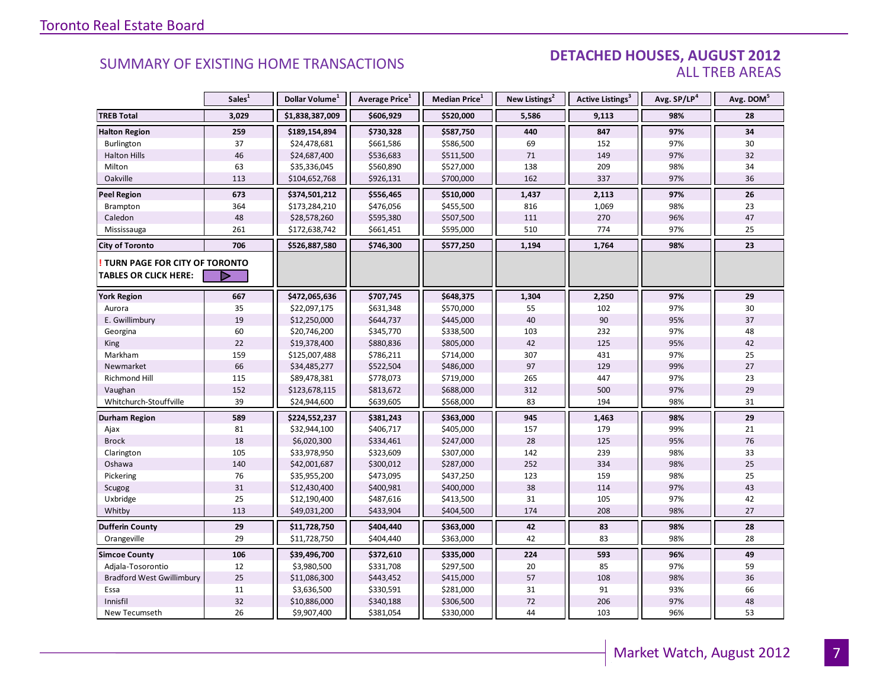#### DETACHED HOUSES, AUGUST 2012 ALL TREB AREAS

|                                  | Sales <sup>1</sup> | Dollar Volume <sup>1</sup> | Average Price <sup>1</sup> | Median Price <sup>1</sup> | New Listings <sup>2</sup> | Active Listings <sup>3</sup> | Avg. SP/LP <sup>4</sup> | Avg. DOM <sup>5</sup> |
|----------------------------------|--------------------|----------------------------|----------------------------|---------------------------|---------------------------|------------------------------|-------------------------|-----------------------|
| <b>TREB Total</b>                | 3,029              | \$1,838,387,009            | \$606,929                  | \$520,000                 | 5,586                     | 9,113                        | 98%                     | 28                    |
| <b>Halton Region</b>             | 259                | \$189,154,894              | \$730,328                  | \$587,750                 | 440                       | 847                          | 97%                     | 34                    |
| Burlington                       | 37                 | \$24,478,681               | \$661,586                  | \$586,500                 | 69                        | 152                          | 97%                     | 30                    |
| <b>Halton Hills</b>              | 46                 | \$24,687,400               | \$536,683                  | \$511,500                 | 71                        | 149                          | 97%                     | 32                    |
| Milton                           | 63                 | \$35,336,045               | \$560,890                  | \$527,000                 | 138                       | 209                          | 98%                     | 34                    |
| Oakville                         | 113                | \$104,652,768              | \$926,131                  | \$700,000                 | 162                       | 337                          | 97%                     | 36                    |
| <b>Peel Region</b>               | 673                | \$374,501,212              | \$556,465                  | \$510,000                 | 1,437                     | 2,113                        | 97%                     | 26                    |
| Brampton                         | 364                | \$173,284,210              | \$476,056                  | \$455,500                 | 816                       | 1,069                        | 98%                     | 23                    |
| Caledon                          | 48                 | \$28,578,260               | \$595,380                  | \$507,500                 | 111                       | 270                          | 96%                     | 47                    |
| Mississauga                      | 261                | \$172,638,742              | \$661,451                  | \$595,000                 | 510                       | 774                          | 97%                     | 25                    |
| <b>City of Toronto</b>           | 706                | \$526,887,580              | \$746,300                  | \$577,250                 | 1,194                     | 1,764                        | 98%                     | 23                    |
| TURN PAGE FOR CITY OF TORONTO    |                    |                            |                            |                           |                           |                              |                         |                       |
| TABLES OR CLICK HERE:            | D                  |                            |                            |                           |                           |                              |                         |                       |
| <b>York Region</b>               | 667                | \$472,065,636              | \$707,745                  | \$648,375                 | 1,304                     | 2,250                        | 97%                     | 29                    |
| Aurora                           | 35                 | \$22,097,175               | \$631,348                  | \$570,000                 | 55                        | 102                          | 97%                     | 30                    |
| E. Gwillimbury                   | 19                 | \$12,250,000               | \$644,737                  | \$445,000                 | 40                        | 90                           | 95%                     | 37                    |
| Georgina                         | 60                 | \$20,746,200               | \$345,770                  | \$338,500                 | 103                       | 232                          | 97%                     | 48                    |
| <b>King</b>                      | 22                 | \$19,378,400               | \$880,836                  | \$805,000                 | 42                        | 125                          | 95%                     | 42                    |
| Markham                          | 159                | \$125,007,488              | \$786,211                  | \$714,000                 | 307                       | 431                          | 97%                     | 25                    |
| Newmarket                        | 66                 | \$34,485,277               | \$522,504                  | \$486,000                 | 97                        | 129                          | 99%                     | 27                    |
| <b>Richmond Hill</b>             | 115                | \$89,478,381               | \$778,073                  | \$719,000                 | 265                       | 447                          | 97%                     | 23                    |
| Vaughan                          | 152                | \$123,678,115              | \$813,672                  | \$688,000                 | 312                       | 500                          | 97%                     | 29                    |
| Whitchurch-Stouffville           | 39                 | \$24,944,600               | \$639,605                  | \$568,000                 | 83                        | 194                          | 98%                     | 31                    |
| Durham Region                    | 589                | \$224,552,237              | \$381,243                  | \$363,000                 | 945                       | 1,463                        | 98%                     | 29                    |
| Ajax                             | 81                 | \$32,944,100               | \$406,717                  | \$405,000                 | 157                       | 179                          | 99%                     | 21                    |
| <b>Brock</b>                     | 18                 | \$6,020,300                | \$334,461                  | \$247,000                 | 28                        | 125                          | 95%                     | 76                    |
| Clarington                       | 105                | \$33,978,950               | \$323,609                  | \$307,000                 | 142                       | 239                          | 98%                     | 33                    |
| Oshawa                           | 140                | \$42,001,687               | \$300,012                  | \$287,000                 | 252                       | 334                          | 98%                     | 25                    |
| Pickering                        | 76                 | \$35,955,200               | \$473,095                  | \$437,250                 | 123                       | 159                          | 98%                     | 25                    |
| Scugog                           | 31                 | \$12,430,400               | \$400,981                  | \$400,000                 | 38                        | 114                          | 97%                     | 43                    |
| Uxbridge                         | 25                 | \$12,190,400               | \$487,616                  | \$413,500                 | 31                        | 105                          | 97%                     | 42                    |
| Whitby                           | 113                | \$49,031,200               | \$433,904                  | \$404,500                 | 174                       | 208                          | 98%                     | 27                    |
| <b>Dufferin County</b>           | 29                 | \$11,728,750               | \$404,440                  | \$363,000                 | 42                        | 83                           | 98%                     | 28                    |
| Orangeville                      | 29                 | \$11,728,750               | \$404,440                  | \$363,000                 | 42                        | 83                           | 98%                     | 28                    |
| <b>Simcoe County</b>             | 106                | \$39,496,700               | \$372,610                  | \$335,000                 | 224                       | 593                          | 96%                     | 49                    |
| Adjala-Tosorontio                | 12                 | \$3,980,500                | \$331,708                  | \$297,500                 | 20                        | 85                           | 97%                     | 59                    |
| <b>Bradford West Gwillimbury</b> | 25                 | \$11,086,300               | \$443,452                  | \$415,000                 | 57                        | 108                          | 98%                     | 36                    |
| Essa                             | 11                 | \$3,636,500                | \$330,591                  | \$281,000                 | 31                        | 91                           | 93%                     | 66                    |
| Innisfil                         | 32                 | \$10,886,000               | \$340,188                  | \$306,500                 | 72                        | 206                          | 97%                     | 48                    |
| New Tecumseth                    | 26                 | \$9,907,400                | \$381,054                  | \$330,000                 | 44                        | 103                          | 96%                     | 53                    |

**Page 3 July 2010**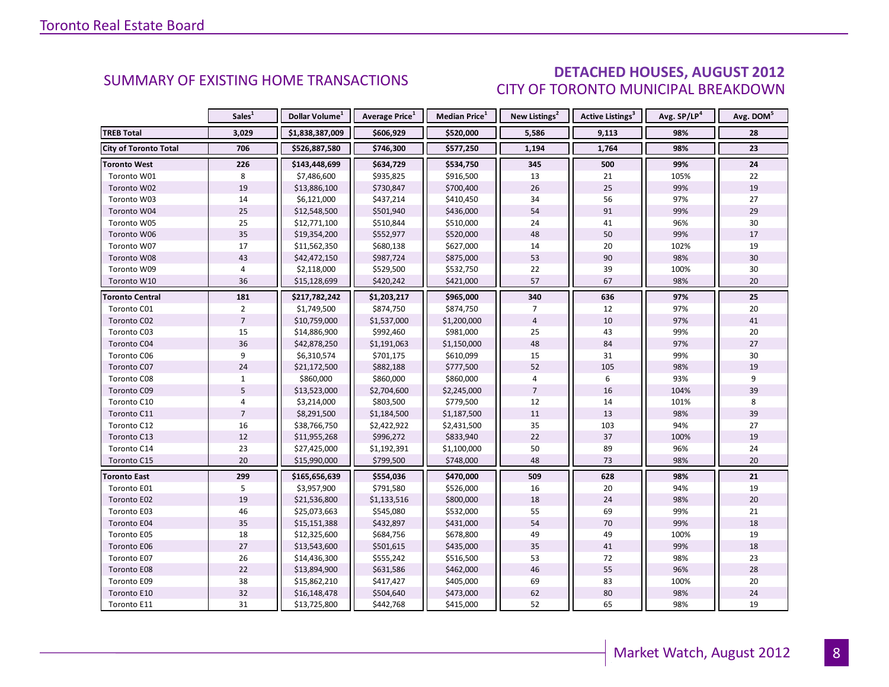### DETACHED HOUSES, AUGUST 2012 CITY OF TORONTO MUNICIPAL BREAKDOWN

|                              | Sales <sup>1</sup> | Dollar Volume <sup>1</sup> | <b>Average Price</b> <sup>1</sup> | <b>Median Price</b> <sup>1</sup> | New Listings <sup>2</sup> | Active Listings <sup>3</sup> | Avg. SP/LP <sup>4</sup> | Avg. DOM <sup>5</sup> |
|------------------------------|--------------------|----------------------------|-----------------------------------|----------------------------------|---------------------------|------------------------------|-------------------------|-----------------------|
| <b>TREB Total</b>            | 3,029              | \$1,838,387,009            | \$606,929                         | \$520,000                        | 5,586                     | 9,113                        | 98%                     | 28                    |
| <b>City of Toronto Total</b> | 706                | \$526,887,580              | \$746,300                         | \$577,250                        | 1,194                     | 1,764                        | 98%                     | 23                    |
| <b>Toronto West</b>          | 226                | \$143,448,699              | \$634,729                         | \$534,750                        | 345                       | 500                          | 99%                     | 24                    |
| Toronto W01                  | 8                  | \$7,486,600                | \$935,825                         | \$916,500                        | 13                        | 21                           | 105%                    | 22                    |
| Toronto W02                  | 19                 | \$13,886,100               | \$730,847                         | \$700,400                        | 26                        | 25                           | 99%                     | 19                    |
| Toronto W03                  | 14                 | \$6,121,000                | \$437,214                         | \$410,450                        | 34                        | 56                           | 97%                     | 27                    |
| Toronto W04                  | 25                 | \$12,548,500               | \$501,940                         | \$436,000                        | 54                        | 91                           | 99%                     | 29                    |
| Toronto W05                  | 25                 | \$12,771,100               | \$510,844                         | \$510,000                        | 24                        | 41                           | 96%                     | 30                    |
| Toronto W06                  | 35                 | \$19,354,200               | \$552,977                         | \$520,000                        | 48                        | 50                           | 99%                     | 17                    |
| Toronto W07                  | 17                 | \$11,562,350               | \$680,138                         | \$627,000                        | 14                        | 20                           | 102%                    | 19                    |
| Toronto W08                  | 43                 | \$42,472,150               | \$987,724                         | \$875,000                        | 53                        | 90                           | 98%                     | 30                    |
| Toronto W09                  | 4                  | \$2,118,000                | \$529,500                         | \$532,750                        | 22                        | 39                           | 100%                    | 30                    |
| Toronto W10                  | 36                 | \$15,128,699               | \$420,242                         | \$421,000                        | 57                        | 67                           | 98%                     | 20                    |
| Toronto Central              | 181                | \$217,782,242              | \$1,203,217                       | \$965,000                        | 340                       | 636                          | 97%                     | 25                    |
| Toronto C01                  | $\overline{2}$     | \$1,749,500                | \$874,750                         | \$874,750                        | $\overline{7}$            | 12                           | 97%                     | 20                    |
| Toronto C02                  | $\overline{7}$     | \$10,759,000               | \$1,537,000                       | \$1,200,000                      | $\overline{4}$            | 10                           | 97%                     | 41                    |
| Toronto C03                  | 15                 | \$14,886,900               | \$992,460                         | \$981,000                        | 25                        | 43                           | 99%                     | 20                    |
| Toronto C04                  | 36                 | \$42,878,250               | \$1,191,063                       | \$1,150,000                      | 48                        | 84                           | 97%                     | 27                    |
| Toronto C06                  | 9                  | \$6,310,574                | \$701,175                         | \$610,099                        | 15                        | 31                           | 99%                     | 30                    |
| Toronto C07                  | 24                 | \$21,172,500               | \$882,188                         | \$777,500                        | 52                        | 105                          | 98%                     | 19                    |
| Toronto C08                  | $\mathbf 1$        | \$860,000                  | \$860,000                         | \$860,000                        | 4                         | 6                            | 93%                     | 9                     |
| Toronto C09                  | 5                  | \$13,523,000               | \$2,704,600                       | \$2,245,000                      | $\overline{7}$            | 16                           | 104%                    | 39                    |
| Toronto C10                  | 4                  | \$3,214,000                | \$803,500                         | \$779,500                        | 12                        | 14                           | 101%                    | 8                     |
| Toronto C11                  | $\overline{7}$     | \$8,291,500                | \$1,184,500                       | \$1,187,500                      | 11                        | 13                           | 98%                     | 39                    |
| Toronto C12                  | 16                 | \$38,766,750               | \$2,422,922                       | \$2,431,500                      | 35                        | 103                          | 94%                     | 27                    |
| Toronto C13                  | 12                 | \$11,955,268               | \$996,272                         | \$833,940                        | 22                        | 37                           | 100%                    | 19                    |
| Toronto C14                  | 23                 | \$27,425,000               | \$1,192,391                       | \$1,100,000                      | 50                        | 89                           | 96%                     | 24                    |
| Toronto C15                  | 20                 | \$15,990,000               | \$799,500                         | \$748,000                        | 48                        | 73                           | 98%                     | 20                    |
| <b>Toronto East</b>          | 299                | \$165,656,639              | \$554,036                         | \$470,000                        | 509                       | 628                          | 98%                     | 21                    |
| Toronto E01                  | 5                  | \$3,957,900                | \$791,580                         | \$526,000                        | 16                        | 20                           | 94%                     | 19                    |
| Toronto E02                  | 19                 | \$21,536,800               | \$1,133,516                       | \$800,000                        | 18                        | 24                           | 98%                     | 20                    |
| Toronto E03                  | 46                 | \$25,073,663               | \$545,080                         | \$532,000                        | 55                        | 69                           | 99%                     | 21                    |
| Toronto E04                  | 35                 | \$15,151,388               | \$432,897                         | \$431,000                        | 54                        | 70                           | 99%                     | 18                    |
| Toronto E05                  | 18                 | \$12,325,600               | \$684,756                         | \$678,800                        | 49                        | 49                           | 100%                    | 19                    |
| Toronto E06                  | 27                 | \$13,543,600               | \$501,615                         | \$435,000                        | 35                        | 41                           | 99%                     | 18                    |
| Toronto E07                  | 26                 | \$14,436,300               | \$555,242                         | \$516,500                        | 53                        | 72                           | 98%                     | 23                    |
| Toronto E08                  | 22                 | \$13,894,900               | \$631,586                         | \$462,000                        | 46                        | 55                           | 96%                     | 28                    |
| Toronto E09                  | 38                 | \$15,862,210               | \$417,427                         | \$405,000                        | 69                        | 83                           | 100%                    | 20                    |
| Toronto E10                  | 32                 | \$16,148,478               | \$504,640                         | \$473,000                        | 62                        | 80                           | 98%                     | 24                    |
| Toronto E11                  | 31                 | \$13,725,800               | \$442,768                         | \$415,000                        | 52                        | 65                           | 98%                     | 19                    |

8

<span id="page-7-0"></span>**Page 3 July 2010**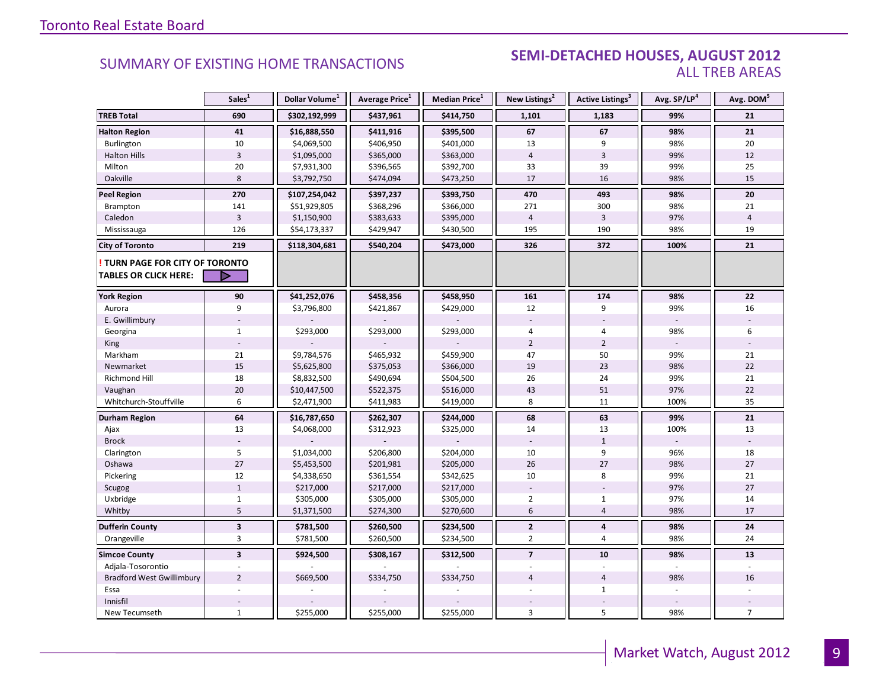#### **Industrial Leasing SUMMARY OF EXISTING HOME TRANSACTIONS SEMI-DETACHED HOUSES, AUGUST 2012** ALL TREB AREAS

|                                  | Sales <sup>1</sup>      | Dollar Volume <sup>1</sup> | Average Price <sup>1</sup> | Median Price <sup>1</sup> | New Listings <sup>2</sup> | <b>Active Listings<sup>3</sup></b> | Avg. SP/LP <sup>4</sup> | Avg. DOM <sup>5</sup> |
|----------------------------------|-------------------------|----------------------------|----------------------------|---------------------------|---------------------------|------------------------------------|-------------------------|-----------------------|
| <b>TREB Total</b>                | 690                     | \$302,192,999              | \$437,961                  | \$414,750                 | 1,101                     | 1,183                              | 99%                     | 21                    |
| <b>Halton Region</b>             | 41                      | \$16,888,550               | \$411,916                  | \$395,500                 | 67                        | 67                                 | 98%                     | 21                    |
| Burlington                       | 10                      | \$4,069,500                | \$406,950                  | \$401,000                 | 13                        | 9                                  | 98%                     | 20                    |
| <b>Halton Hills</b>              | $\overline{3}$          | \$1,095,000                | \$365,000                  | \$363,000                 | $\overline{4}$            | 3                                  | 99%                     | 12                    |
| Milton                           | 20                      | \$7,931,300                | \$396,565                  | \$392,700                 | 33                        | 39                                 | 99%                     | 25                    |
| Oakville                         | 8                       | \$3,792,750                | \$474,094                  | \$473,250                 | 17                        | 16                                 | 98%                     | 15                    |
| <b>Peel Region</b>               | 270                     | \$107,254,042              | \$397,237                  | \$393,750                 | 470                       | 493                                | 98%                     | 20                    |
| Brampton                         | 141                     | \$51,929,805               | \$368,296                  | \$366,000                 | 271                       | 300                                | 98%                     | 21                    |
| Caledon                          | $\overline{3}$          | \$1,150,900                | \$383,633                  | \$395,000                 | $\overline{4}$            | $\mathbf{3}$                       | 97%                     | $\overline{4}$        |
| Mississauga                      | 126                     | \$54,173,337               | \$429,947                  | \$430,500                 | 195                       | 190                                | 98%                     | 19                    |
| <b>City of Toronto</b>           | 219                     | \$118,304,681              | \$540,204                  | \$473,000                 | 326                       | 372                                | 100%                    | 21                    |
| TURN PAGE FOR CITY OF TORONTO    |                         |                            |                            |                           |                           |                                    |                         |                       |
| <b>TABLES OR CLICK HERE:</b>     | D                       |                            |                            |                           |                           |                                    |                         |                       |
| <b>York Region</b>               | 90                      | \$41,252,076               | \$458,356                  | \$458,950                 | 161                       | 174                                | 98%                     | 22                    |
| Aurora                           | 9                       | \$3,796,800                | \$421,867                  | \$429,000                 | 12                        | 9                                  | 99%                     | 16                    |
| E. Gwillimbury                   |                         |                            |                            |                           |                           |                                    |                         |                       |
| Georgina                         | $\mathbf{1}$            | \$293,000                  | \$293,000                  | \$293,000                 | 4                         | 4                                  | 98%                     | 6                     |
| <b>King</b>                      |                         |                            |                            |                           | $\overline{2}$            | $\overline{2}$                     |                         |                       |
| Markham                          | 21                      | \$9,784,576                | \$465,932                  | \$459,900                 | 47                        | 50                                 | 99%                     | 21                    |
| Newmarket                        | 15                      | \$5,625,800                | \$375,053                  | \$366,000                 | 19                        | 23                                 | 98%                     | 22                    |
| Richmond Hill                    | 18                      | \$8,832,500                | \$490,694                  | \$504,500                 | 26                        | 24                                 | 99%                     | 21                    |
| Vaughan                          | 20                      | \$10,447,500               | \$522,375                  | \$516,000                 | 43                        | 51                                 | 97%                     | 22                    |
| Whitchurch-Stouffville           | 6                       | \$2,471,900                | \$411,983                  | \$419,000                 | 8                         | 11                                 | 100%                    | 35                    |
| <b>Durham Region</b>             | 64                      | \$16,787,650               | \$262,307                  | \$244,000                 | 68                        | 63                                 | 99%                     | 21                    |
| Ajax                             | 13                      | \$4,068,000                | \$312,923                  | \$325,000                 | 14                        | 13                                 | 100%                    | 13                    |
| <b>Brock</b>                     |                         |                            |                            |                           |                           | $\mathbf{1}$                       |                         |                       |
| Clarington                       | 5                       | \$1,034,000                | \$206,800                  | \$204,000                 | 10                        | 9                                  | 96%                     | 18                    |
| Oshawa                           | 27                      | \$5,453,500                | \$201,981                  | \$205,000                 | 26                        | 27                                 | 98%                     | 27                    |
| Pickering                        | 12                      | \$4,338,650                | \$361,554                  | \$342,625                 | 10                        | 8                                  | 99%                     | 21                    |
| Scugog                           | $\mathbf{1}$            | \$217,000                  | \$217,000                  | \$217,000                 |                           |                                    | 97%                     | 27                    |
| Uxbridge                         | $\mathbf{1}$            | \$305,000                  | \$305,000                  | \$305,000                 | $\overline{2}$            | $\mathbf{1}$                       | 97%                     | 14                    |
| Whitby                           | 5                       | \$1,371,500                | \$274,300                  | \$270,600                 | 6                         | $\overline{4}$                     | 98%                     | 17                    |
| <b>Dufferin County</b>           | $\overline{\mathbf{3}}$ | \$781,500                  | \$260,500                  | \$234,500                 | $\mathbf{2}$              | 4                                  | 98%                     | 24                    |
| Orangeville                      | $\overline{3}$          | \$781,500                  | \$260,500                  | \$234,500                 | $\overline{2}$            | $\overline{4}$                     | 98%                     | 24                    |
| <b>Simcoe County</b>             | $\overline{\mathbf{3}}$ | \$924,500                  | \$308,167                  | \$312,500                 | $\overline{7}$            | 10                                 | 98%                     | 13                    |
| Adjala-Tosorontio                |                         |                            |                            |                           |                           |                                    |                         |                       |
| <b>Bradford West Gwillimbury</b> | $\overline{2}$          | \$669,500                  | \$334,750                  | \$334,750                 | $\overline{4}$            | $\overline{4}$                     | 98%                     | 16                    |
| Essa                             |                         |                            |                            |                           |                           | $\mathbf{1}$                       |                         |                       |
| Innisfil                         |                         |                            |                            |                           |                           |                                    |                         |                       |
| New Tecumseth                    | $\mathbf{1}$            | \$255,000                  | \$255,000                  | \$255,000                 | 3                         | 5                                  | 98%                     | $\overline{7}$        |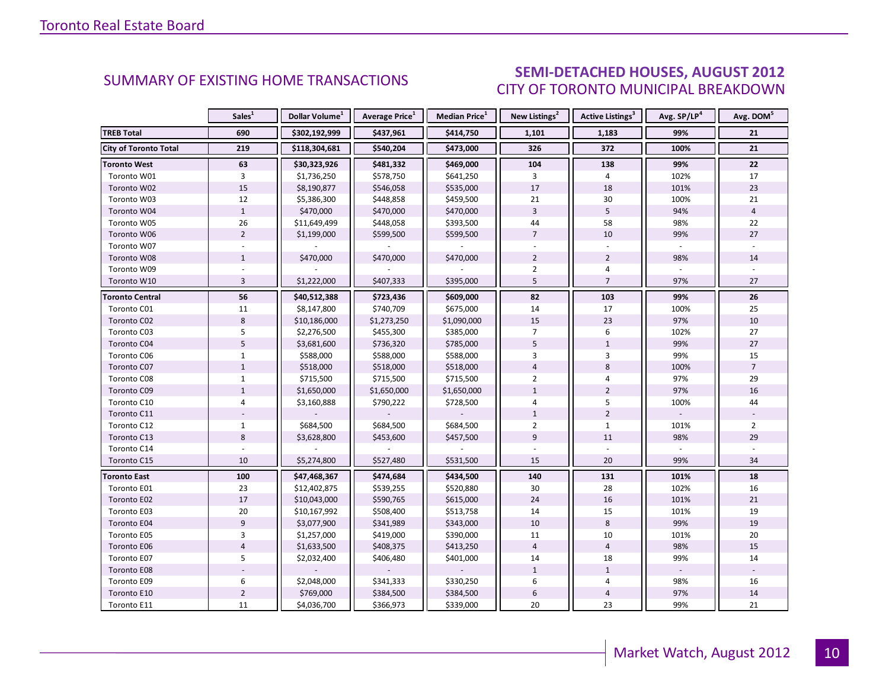#### $\blacksquare$  ALIGUST 2012 CITY OF TORONTO MUNICIPAL BREAKDOWN SUMMARY OF EXISTING HOME TRANSACTIONS **SEMI-DETACHED HOUSES, AUGUST 2012**

<span id="page-9-0"></span>

|                        | Sales <sup>1</sup> | Dollar Volume <sup>1</sup> | Average Price <sup>1</sup> | Median Price <sup>1</sup> | New Listings <sup>2</sup> | Active Listings <sup>3</sup> | Avg. SP/LP <sup>4</sup> | Avg. DOM <sup>5</sup> |
|------------------------|--------------------|----------------------------|----------------------------|---------------------------|---------------------------|------------------------------|-------------------------|-----------------------|
| <b>TREB Total</b>      | 690                | \$302,192,999              | \$437,961                  | \$414,750                 | 1,101                     | 1,183                        | 99%                     | 21                    |
| City of Toronto Total  | 219                | \$118,304,681              | \$540,204                  | \$473,000                 | 326                       | 372                          | 100%                    | 21                    |
| <b>Toronto West</b>    | 63                 | \$30,323,926               | \$481,332                  | \$469,000                 | 104                       | 138                          | 99%                     | 22                    |
| Toronto W01            | 3                  | \$1,736,250                | \$578,750                  | \$641,250                 | 3                         | 4                            | 102%                    | 17                    |
| Toronto W02            | 15                 | \$8,190,877                | \$546,058                  | \$535,000                 | 17                        | 18                           | 101%                    | 23                    |
| Toronto W03            | 12                 | \$5,386,300                | \$448,858                  | \$459,500                 | 21                        | 30                           | 100%                    | 21                    |
| Toronto W04            | $\mathbf 1$        | \$470,000                  | \$470,000                  | \$470,000                 | $\overline{3}$            | 5                            | 94%                     | $\overline{4}$        |
| Toronto W05            | 26                 | \$11,649,499               | \$448,058                  | \$393,500                 | 44                        | 58                           | 98%                     | 22                    |
| Toronto W06            | $\overline{2}$     | \$1,199,000                | \$599,500                  | \$599,500                 | $\overline{7}$            | 10                           | 99%                     | 27                    |
| Toronto W07            |                    |                            |                            |                           |                           |                              |                         |                       |
| Toronto W08            | $\mathbf{1}$       | \$470,000                  | \$470,000                  | \$470,000                 | $\overline{2}$            | $\overline{2}$               | 98%                     | 14                    |
| Toronto W09            |                    |                            |                            |                           | $\overline{2}$            | 4                            |                         |                       |
| Toronto W10            | $\overline{3}$     | \$1,222,000                | \$407,333                  | \$395,000                 | 5                         | $\overline{7}$               | 97%                     | 27                    |
| <b>Toronto Central</b> | 56                 | \$40,512,388               | \$723,436                  | \$609,000                 | 82                        | 103                          | 99%                     | 26                    |
| Toronto C01            | 11                 | \$8,147,800                | \$740,709                  | \$675,000                 | 14                        | 17                           | 100%                    | 25                    |
| Toronto C02            | 8                  | \$10,186,000               | \$1,273,250                | \$1,090,000               | 15                        | 23                           | 97%                     | 10                    |
| Toronto C03            | 5                  | \$2,276,500                | \$455,300                  | \$385,000                 | $\overline{7}$            | 6                            | 102%                    | 27                    |
| Toronto C04            | $\overline{5}$     | \$3,681,600                | \$736,320                  | \$785,000                 | 5                         | $\mathbf{1}$                 | 99%                     | 27                    |
| Toronto C06            | $\mathbf{1}$       | \$588,000                  | \$588,000                  | \$588,000                 | $\overline{3}$            | $\overline{3}$               | 99%                     | 15                    |
| Toronto C07            | $\mathbf{1}$       | \$518,000                  | \$518,000                  | \$518,000                 | $\overline{4}$            | 8                            | 100%                    | $\overline{7}$        |
| Toronto C08            | $\mathbf{1}$       | \$715,500                  | \$715,500                  | \$715,500                 | $\overline{2}$            | 4                            | 97%                     | 29                    |
| Toronto C09            | $\mathbf{1}$       | \$1,650,000                | \$1,650,000                | \$1,650,000               | $\mathbf{1}$              | $\overline{2}$               | 97%                     | 16                    |
| Toronto C10            | $\overline{4}$     | \$3,160,888                | \$790,222                  | \$728,500                 | $\overline{4}$            | 5                            | 100%                    | 44                    |
| Toronto C11            |                    |                            |                            |                           | $\mathbf{1}$              | $\overline{2}$               |                         |                       |
| Toronto C12            | $\mathbf{1}$       | \$684,500                  | \$684,500                  | \$684,500                 | $\overline{2}$            | $\mathbf{1}$                 | 101%                    | $\overline{2}$        |
| Toronto C13            | 8                  | \$3,628,800                | \$453,600                  | \$457,500                 | $\overline{9}$            | 11                           | 98%                     | 29                    |
| Toronto C14            |                    |                            |                            |                           |                           |                              |                         |                       |
| Toronto C15            | 10                 | \$5,274,800                | \$527,480                  | \$531,500                 | 15                        | 20                           | 99%                     | 34                    |
| <b>Toronto East</b>    | 100                | \$47,468,367               | \$474,684                  | \$434,500                 | 140                       | 131                          | 101%                    | 18                    |
| Toronto E01            | 23                 | \$12,402,875               | \$539,255                  | \$520,880                 | 30                        | 28                           | 102%                    | 16                    |
| Toronto E02            | 17                 | \$10,043,000               | \$590,765                  | \$615,000                 | 24                        | 16                           | 101%                    | 21                    |
| Toronto E03            | 20                 | \$10,167,992               | \$508,400                  | \$513,758                 | 14                        | 15                           | 101%                    | 19                    |
| Toronto E04            | $\overline{9}$     | \$3,077,900                | \$341,989                  | \$343,000                 | 10                        | 8                            | 99%                     | 19                    |
| Toronto E05            | 3                  | \$1,257,000                | \$419,000                  | \$390,000                 | 11                        | 10                           | 101%                    | 20                    |
| Toronto E06            | $\overline{4}$     | \$1,633,500                | \$408,375                  | \$413,250                 | $\overline{4}$            | $\overline{4}$               | 98%                     | 15                    |
| Toronto E07            | 5                  | \$2,032,400                | \$406,480                  | \$401,000                 | 14                        | 18                           | 99%                     | 14                    |
| Toronto E08            |                    |                            |                            |                           | $\mathbf{1}$              | $\mathbf{1}$                 | $\omega$                |                       |
| Toronto E09            | 6                  | \$2,048,000                | \$341,333                  | \$330,250                 | 6                         | 4                            | 98%                     | 16                    |
| Toronto E10            | $\mathbf 2$        | \$769,000                  | \$384,500                  | \$384,500                 | $\boldsymbol{6}$          | $\overline{4}$               | 97%                     | 14                    |
| Toronto E11            | 11                 | \$4,036,700                | \$366,973                  | \$339,000                 | 20                        | 23                           | 99%                     | 21                    |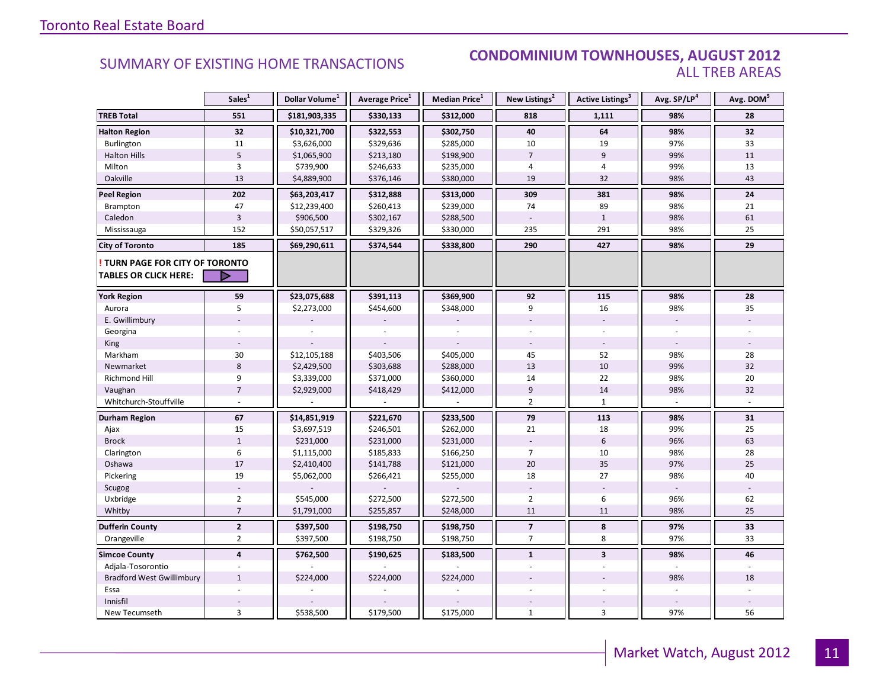#### SUMMARY OF EXISTING HOME TRANSACTIONS **CONDOMINIUM TOWNHOUSES, AUGUST 2012** ALL TREB AREAS

|                                  | Sales <sup>1</sup>      | Dollar Volume <sup>1</sup> | Average Price <sup>1</sup> | Median Price <sup>1</sup> | New Listings <sup>2</sup> | Active Listings <sup>3</sup> | Avg. SP/LP <sup>4</sup> | Avg. DOM <sup>5</sup> |
|----------------------------------|-------------------------|----------------------------|----------------------------|---------------------------|---------------------------|------------------------------|-------------------------|-----------------------|
| <b>TREB Total</b>                | 551                     | \$181,903,335              | \$330,133                  | \$312,000                 | 818                       | 1,111                        | 98%                     | 28                    |
| <b>Halton Region</b>             | 32                      | \$10,321,700               | \$322,553                  | \$302,750                 | 40                        | 64                           | 98%                     | 32                    |
| Burlington                       | 11                      | \$3,626,000                | \$329,636                  | \$285,000                 | 10                        | 19                           | 97%                     | 33                    |
| <b>Halton Hills</b>              | 5                       | \$1,065,900                | \$213,180                  | \$198,900                 | $\overline{7}$            | $\overline{9}$               | 99%                     | 11                    |
| Milton                           | 3                       | \$739,900                  | \$246,633                  | \$235,000                 | 4                         | 4                            | 99%                     | 13                    |
| Oakville                         | 13                      | \$4,889,900                | \$376,146                  | \$380,000                 | 19                        | 32                           | 98%                     | 43                    |
| <b>Peel Region</b>               | 202                     | \$63,203,417               | \$312,888                  | \$313,000                 | 309                       | 381                          | 98%                     | 24                    |
| Brampton                         | 47                      | \$12,239,400               | \$260,413                  | \$239,000                 | 74                        | 89                           | 98%                     | 21                    |
| Caledon                          | $\overline{3}$          | \$906,500                  | \$302,167                  | \$288,500                 |                           | $1\,$                        | 98%                     | 61                    |
| Mississauga                      | 152                     | \$50,057,517               | \$329,326                  | \$330,000                 | 235                       | 291                          | 98%                     | 25                    |
| <b>City of Toronto</b>           | 185                     | \$69,290,611               | \$374,544                  | \$338,800                 | 290                       | 427                          | 98%                     | 29                    |
| TURN PAGE FOR CITY OF TORONTO    |                         |                            |                            |                           |                           |                              |                         |                       |
| <b>TABLES OR CLICK HERE:</b>     | D                       |                            |                            |                           |                           |                              |                         |                       |
| <b>York Region</b>               | 59                      | \$23,075,688               | \$391,113                  | \$369,900                 | 92                        | 115                          | 98%                     | 28                    |
| Aurora                           | 5                       | \$2,273,000                | \$454,600                  | \$348,000                 | 9                         | 16                           | 98%                     | 35                    |
| E. Gwillimbury                   |                         |                            |                            |                           |                           |                              | ÷,                      |                       |
| Georgina                         |                         |                            |                            |                           |                           |                              |                         |                       |
| <b>King</b>                      |                         |                            |                            |                           |                           |                              |                         |                       |
| Markham                          | 30                      | \$12,105,188               | \$403,506                  | \$405,000                 | 45                        | 52                           | 98%                     | 28                    |
| Newmarket                        | $\,8\,$                 | \$2,429,500                | \$303,688                  | \$288,000                 | 13                        | $10\,$                       | 99%                     | 32                    |
| Richmond Hill                    | 9                       | \$3,339,000                | \$371,000                  | \$360,000                 | 14                        | 22                           | 98%                     | 20                    |
| Vaughan                          | $\overline{7}$          | \$2,929,000                | \$418,429                  | \$412,000                 | 9                         | 14                           | 98%                     | 32                    |
| Whitchurch-Stouffville           |                         |                            |                            |                           | $\overline{2}$            | $\mathbf{1}$                 |                         | ÷.                    |
| <b>Durham Region</b>             | 67                      | \$14,851,919               | \$221,670                  | \$233,500                 | 79                        | 113                          | 98%                     | 31                    |
| Ajax                             | 15                      | \$3,697,519                | \$246,501                  | \$262,000                 | 21                        | 18                           | 99%                     | 25                    |
| <b>Brock</b>                     | $\mathbf{1}$            | \$231,000                  | \$231,000                  | \$231,000                 |                           | $6\,$                        | 96%                     | 63                    |
| Clarington                       | 6                       | \$1,115,000                | \$185,833                  | \$166,250                 | $\overline{7}$            | 10                           | 98%                     | 28                    |
| Oshawa                           | 17                      | \$2,410,400                | \$141,788                  | \$121,000                 | 20                        | 35                           | 97%                     | 25                    |
| Pickering                        | 19                      | \$5,062,000                | \$266,421                  | \$255,000                 | 18                        | 27                           | 98%                     | 40                    |
| Scugog                           |                         |                            |                            |                           |                           |                              |                         |                       |
| Uxbridge                         | $\overline{2}$          | \$545,000                  | \$272,500                  | \$272,500                 | $\overline{2}$            | 6                            | 96%                     | 62                    |
| Whitby                           | $\overline{7}$          | \$1,791,000                | \$255,857                  | \$248,000                 | 11                        | 11                           | 98%                     | 25                    |
| <b>Dufferin County</b>           | $\mathbf{2}$            | \$397,500                  | \$198,750                  | \$198,750                 | $\overline{\phantom{a}}$  | 8                            | 97%                     | 33                    |
| Orangeville                      | $\overline{2}$          | \$397,500                  | \$198,750                  | \$198,750                 | $\overline{7}$            | 8                            | 97%                     | 33                    |
| <b>Simcoe County</b>             | $\overline{\mathbf{4}}$ | \$762,500                  | \$190,625                  | \$183,500                 | $\mathbf{1}$              | $\overline{\mathbf{3}}$      | 98%                     | 46                    |
| Adjala-Tosorontio                |                         |                            |                            |                           | $\overline{\phantom{a}}$  |                              |                         |                       |
| <b>Bradford West Gwillimbury</b> | $\mathbf{1}$            | \$224,000                  | \$224,000                  | \$224,000                 |                           |                              | 98%                     | 18                    |
| Essa                             |                         |                            |                            |                           |                           |                              |                         |                       |
| Innisfil                         |                         |                            |                            |                           |                           |                              |                         |                       |
| New Tecumseth                    | $\overline{3}$          | \$538,500                  | \$179,500                  | \$175,000                 | $\mathbf{1}$              | 3                            | 97%                     | 56                    |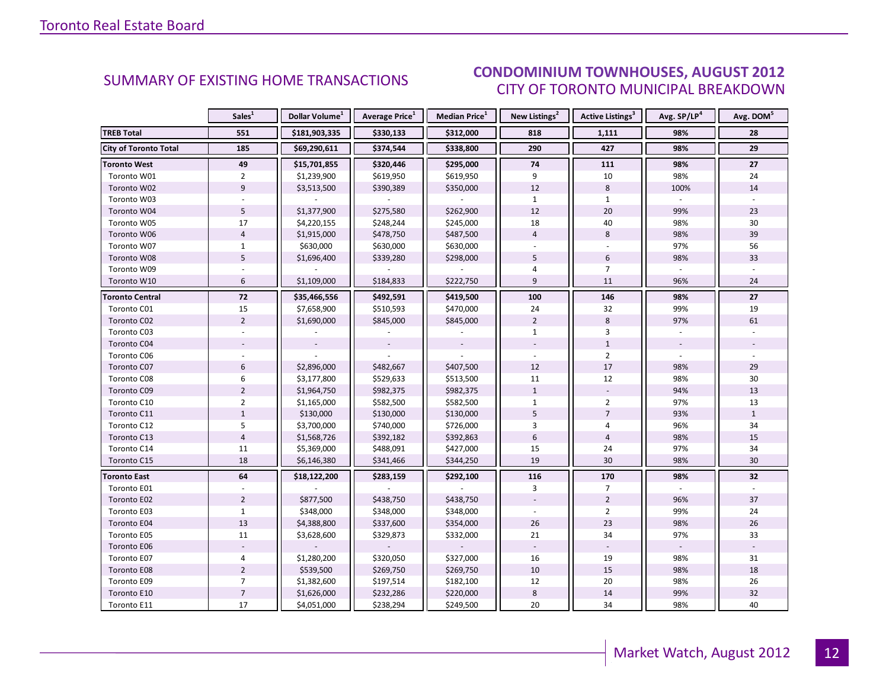#### $\blacksquare$  ALIGUST 2012 CITY OF TORONTO MUNICIPAL BREAKDOWN SUMMARY OF EXISTING HOME TRANSACTIONS **CONDOMINIUM TOWNHOUSES, AUGUST 2012**

<span id="page-11-0"></span>

|                              | Sales <sup>1</sup> | Dollar Volume <sup>1</sup> | <b>Average Price</b> <sup>1</sup> | Median Price <sup>1</sup> | New Listings <sup>2</sup> | <b>Active Listings<sup>3</sup></b> | Avg. SP/LP <sup>4</sup> | Avg. DOM <sup>5</sup> |
|------------------------------|--------------------|----------------------------|-----------------------------------|---------------------------|---------------------------|------------------------------------|-------------------------|-----------------------|
| <b>TREB Total</b>            | 551                | \$181,903,335              | \$330,133                         | \$312,000                 | 818                       | 1,111                              | 98%                     | 28                    |
| <b>City of Toronto Total</b> | 185                | \$69,290,611               | \$374,544                         | \$338,800                 | 290                       | 427                                | 98%                     | 29                    |
| <b>Toronto West</b>          | 49                 | \$15,701,855               | \$320,446                         | \$295,000                 | 74                        | 111                                | 98%                     | 27                    |
| Toronto W01                  | $\overline{2}$     | \$1,239,900                | \$619,950                         | \$619,950                 | 9                         | 10                                 | 98%                     | 24                    |
| Toronto W02                  | $\overline{9}$     | \$3,513,500                | \$390,389                         | \$350,000                 | 12                        | 8                                  | 100%                    | 14                    |
| Toronto W03                  |                    |                            |                                   |                           | $\mathbf{1}$              | $\mathbf{1}$                       |                         |                       |
| Toronto W04                  | 5                  | \$1,377,900                | \$275,580                         | \$262,900                 | 12                        | 20                                 | 99%                     | 23                    |
| Toronto W05                  | 17                 | \$4,220,155                | \$248,244                         | \$245,000                 | 18                        | 40                                 | 98%                     | 30                    |
| Toronto W06                  | $\overline{4}$     | \$1,915,000                | \$478,750                         | \$487,500                 | $\overline{4}$            | 8                                  | 98%                     | 39                    |
| Toronto W07                  | $\mathbf{1}$       | \$630,000                  | \$630,000                         | \$630,000                 |                           |                                    | 97%                     | 56                    |
| Toronto W08                  | 5                  | \$1,696,400                | \$339,280                         | \$298,000                 | 5                         | $\boldsymbol{6}$                   | 98%                     | 33                    |
| Toronto W09                  |                    |                            |                                   |                           | 4                         | $\overline{7}$                     |                         |                       |
| Toronto W10                  | 6                  | \$1,109,000                | \$184,833                         | \$222,750                 | 9                         | 11                                 | 96%                     | 24                    |
| <b>Toronto Central</b>       | 72                 | \$35,466,556               | \$492,591                         | \$419,500                 | 100                       | 146                                | 98%                     | 27                    |
| Toronto C01                  | 15                 | \$7,658,900                | \$510,593                         | \$470,000                 | 24                        | 32                                 | 99%                     | 19                    |
| Toronto C02                  | $\overline{2}$     | \$1,690,000                | \$845,000                         | \$845,000                 | $\overline{2}$            | 8                                  | 97%                     | 61                    |
| Toronto C03                  |                    |                            |                                   |                           | $\mathbf{1}$              | 3                                  |                         |                       |
| Toronto C04                  |                    |                            |                                   |                           |                           | $\mathbf{1}$                       |                         |                       |
| Toronto C06                  |                    |                            |                                   |                           |                           | $\overline{2}$                     |                         |                       |
| Toronto C07                  | 6                  | \$2,896,000                | \$482,667                         | \$407,500                 | 12                        | 17                                 | 98%                     | 29                    |
| Toronto C08                  | 6                  | \$3,177,800                | \$529,633                         | \$513,500                 | 11                        | 12                                 | 98%                     | 30                    |
| Toronto C09                  | $\overline{2}$     | \$1,964,750                | \$982,375                         | \$982,375                 | $\mathbf{1}$              |                                    | 94%                     | 13                    |
| Toronto C10                  | $\overline{2}$     | \$1,165,000                | \$582,500                         | \$582,500                 | $\mathbf{1}$              | $\overline{2}$                     | 97%                     | 13                    |
| Toronto C11                  | $\mathbf{1}$       | \$130,000                  | \$130,000                         | \$130,000                 | 5                         | $\overline{7}$                     | 93%                     | $\mathbf{1}$          |
| Toronto C12                  | 5                  | \$3,700,000                | \$740,000                         | \$726,000                 | $\overline{3}$            | $\overline{4}$                     | 96%                     | 34                    |
| Toronto C13                  | $\overline{4}$     | \$1,568,726                | \$392,182                         | \$392,863                 | 6                         | $\overline{4}$                     | 98%                     | 15                    |
| Toronto C14                  | 11                 | \$5,369,000                | \$488,091                         | \$427,000                 | 15                        | 24                                 | 97%                     | 34                    |
| Toronto C15                  | 18                 | \$6,146,380                | \$341,466                         | \$344,250                 | 19                        | 30                                 | 98%                     | 30                    |
| <b>Toronto East</b>          | 64                 | \$18,122,200               | \$283,159                         | \$292,100                 | 116                       | 170                                | 98%                     | 32                    |
| Toronto E01                  |                    |                            |                                   |                           | 3                         | $\overline{7}$                     |                         |                       |
| Toronto E02                  | $\overline{2}$     | \$877,500                  | \$438,750                         | \$438,750                 |                           | $\overline{2}$                     | 96%                     | 37                    |
| Toronto E03                  | $\mathbf{1}$       | \$348,000                  | \$348,000                         | \$348,000                 |                           | $\overline{2}$                     | 99%                     | 24                    |
| Toronto E04                  | 13                 | \$4,388,800                | \$337,600                         | \$354,000                 | 26                        | 23                                 | 98%                     | 26                    |
| Toronto E05                  | 11                 | \$3,628,600                | \$329,873                         | \$332,000                 | 21                        | 34                                 | 97%                     | 33                    |
| Toronto E06                  |                    |                            |                                   |                           |                           |                                    |                         |                       |
| Toronto E07                  | 4                  | \$1,280,200                | \$320,050                         | \$327,000                 | 16                        | 19                                 | 98%                     | 31                    |
| Toronto E08                  | $\overline{2}$     | \$539,500                  | \$269,750                         | \$269,750                 | 10                        | 15                                 | 98%                     | 18                    |
| Toronto E09                  | $\overline{7}$     | \$1,382,600                | \$197,514                         | \$182,100                 | 12                        | 20                                 | 98%                     | 26                    |
| Toronto E10                  | $\overline{7}$     | \$1,626,000                | \$232,286                         | \$220,000                 | 8                         | 14                                 | 99%                     | 32                    |
| Toronto E11                  | 17                 | \$4,051,000                | \$238,294                         | \$249,500                 | 20                        | 34                                 | 98%                     | 40                    |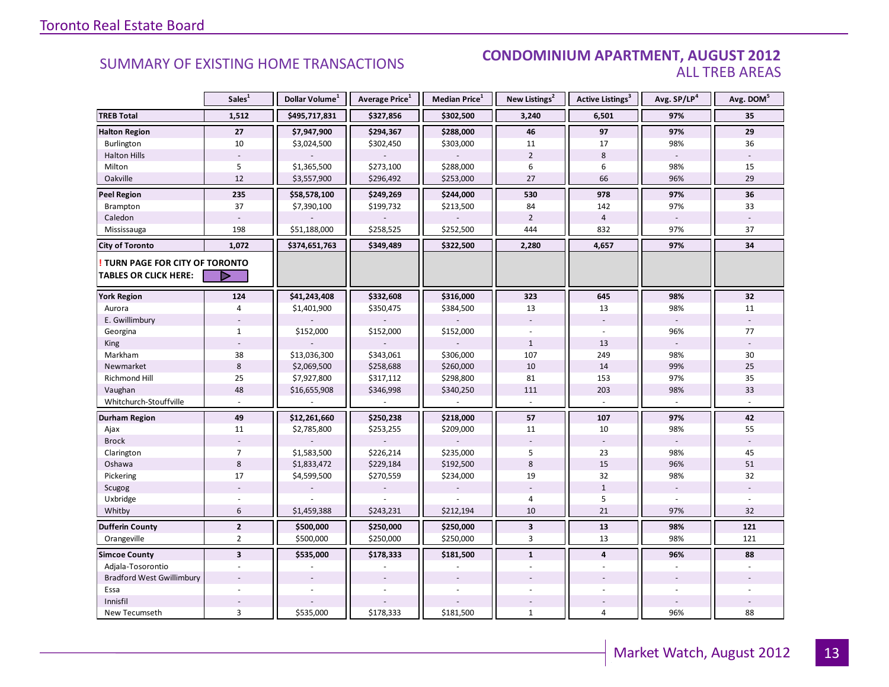#### **Industrial Leasing SUMMARY OF EXISTING HOME TRANSACTIONS CONDOMINIUM APARTMENT, AUGUST 2012** ALL TREB AREAS

|                                        | Sales <sup>1</sup>      | Dollar Volume <sup>1</sup> | Average Price <sup>1</sup> | Median Price <sup>1</sup> | New Listings <sup>2</sup> | Active Listings <sup>3</sup> | Avg. SP/LP <sup>4</sup>  | Avg. DOM <sup>5</sup> |
|----------------------------------------|-------------------------|----------------------------|----------------------------|---------------------------|---------------------------|------------------------------|--------------------------|-----------------------|
| <b>TREB Total</b>                      | 1,512                   | \$495,717,831              | \$327,856                  | \$302,500                 | 3,240                     | 6,501                        | 97%                      | 35                    |
| <b>Halton Region</b>                   | 27                      | \$7,947,900                | \$294,367                  | \$288,000                 | 46                        | 97                           | 97%                      | 29                    |
| Burlington                             | 10                      | \$3,024,500                | \$302,450                  | \$303,000                 | 11                        | 17                           | 98%                      | 36                    |
| <b>Halton Hills</b>                    |                         |                            |                            |                           | $\overline{2}$            | 8                            | $\overline{\phantom{a}}$ |                       |
| Milton                                 | 5                       | \$1,365,500                | \$273,100                  | \$288,000                 | 6                         | 6                            | 98%                      | 15                    |
| Oakville                               | 12                      | \$3,557,900                | \$296,492                  | \$253,000                 | 27                        | 66                           | 96%                      | 29                    |
| <b>Peel Region</b>                     | 235                     | \$58,578,100               | \$249,269                  | \$244,000                 | 530                       | 978                          | 97%                      | 36                    |
| Brampton                               | 37                      | \$7,390,100                | \$199,732                  | \$213,500                 | 84                        | 142                          | 97%                      | 33                    |
| Caledon                                |                         |                            |                            |                           | $\overline{2}$            | $\overline{4}$               |                          |                       |
| Mississauga                            | 198                     | \$51,188,000               | \$258,525                  | \$252,500                 | 444                       | 832                          | 97%                      | 37                    |
| <b>City of Toronto</b>                 | 1,072                   | \$374,651,763              | \$349,489                  | \$322,500                 | 2,280                     | 4,657                        | 97%                      | 34                    |
| <b>! TURN PAGE FOR CITY OF TORONTO</b> |                         |                            |                            |                           |                           |                              |                          |                       |
| <b>TABLES OR CLICK HERE:</b>           | ▷                       |                            |                            |                           |                           |                              |                          |                       |
| <b>York Region</b>                     | 124                     | \$41,243,408               | \$332,608                  | \$316,000                 | 323                       | 645                          | 98%                      | 32                    |
| Aurora                                 | 4                       | \$1,401,900                | \$350,475                  | \$384,500                 | 13                        | 13                           | 98%                      | 11                    |
| E. Gwillimbury                         |                         |                            |                            |                           |                           |                              |                          |                       |
| Georgina                               | $\mathbf{1}$            | \$152,000                  | \$152,000                  | \$152,000                 |                           |                              | 96%                      | 77                    |
| King                                   |                         |                            |                            |                           | $\mathbf{1}$              | 13                           |                          |                       |
| Markham                                | 38                      | \$13,036,300               | \$343,061                  | \$306,000                 | 107                       | 249                          | 98%                      | 30                    |
| Newmarket                              | $\,$ 8 $\,$             | \$2,069,500                | \$258,688                  | \$260,000                 | 10                        | 14                           | 99%                      | 25                    |
| <b>Richmond Hill</b>                   | 25                      | \$7,927,800                | \$317,112                  | \$298,800                 | 81                        | 153                          | 97%                      | 35                    |
| Vaughan                                | 48                      | \$16,655,908               | \$346,998                  | \$340,250                 | 111                       | 203                          | 98%                      | 33                    |
| Whitchurch-Stouffville                 |                         |                            |                            |                           |                           |                              |                          |                       |
| Durham Region                          | 49                      | \$12,261,660               | \$250,238                  | \$218,000                 | 57                        | 107                          | 97%                      | 42                    |
| Ajax                                   | 11                      | \$2,785,800                | \$253,255                  | \$209,000                 | 11                        | 10                           | 98%                      | 55                    |
| <b>Brock</b>                           |                         |                            |                            |                           |                           |                              |                          |                       |
| Clarington                             | $\overline{7}$          | \$1,583,500                | \$226,214                  | \$235,000                 | 5                         | 23                           | 98%                      | 45                    |
| Oshawa                                 | 8                       | \$1,833,472                | \$229,184                  | \$192,500                 | 8                         | 15                           | 96%                      | 51                    |
| Pickering                              | 17                      | \$4,599,500                | \$270,559                  | \$234,000                 | 19                        | 32                           | 98%                      | 32                    |
| Scugog                                 |                         |                            |                            |                           |                           | $\mathbf{1}$                 |                          |                       |
| Uxbridge                               |                         |                            |                            |                           | $\overline{4}$            | 5                            |                          |                       |
| Whitby                                 | 6                       | \$1,459,388                | \$243,231                  | \$212,194                 | 10                        | 21                           | 97%                      | 32                    |
| <b>Dufferin County</b>                 | $\overline{2}$          | \$500,000                  | \$250,000                  | \$250,000                 | $\mathbf{3}$              | 13                           | 98%                      | 121                   |
| Orangeville                            | $\overline{2}$          | \$500,000                  | \$250,000                  | \$250,000                 | 3                         | 13                           | 98%                      | 121                   |
| <b>Simcoe County</b>                   | $\overline{\mathbf{3}}$ | \$535,000                  | \$178,333                  | \$181,500                 | $\mathbf{1}$              | $\overline{\mathbf{4}}$      | 96%                      | 88                    |
| Adjala-Tosorontio                      |                         |                            |                            |                           |                           |                              |                          |                       |
| <b>Bradford West Gwillimbury</b>       |                         |                            |                            |                           |                           |                              |                          |                       |
| Essa                                   |                         |                            |                            |                           |                           |                              |                          |                       |
| Innisfil                               |                         |                            |                            |                           |                           |                              |                          |                       |
| New Tecumseth                          | 3                       | \$535,000                  | \$178,333                  | \$181,500                 | $\mathbf{1}$              | 4                            | 96%                      | 88                    |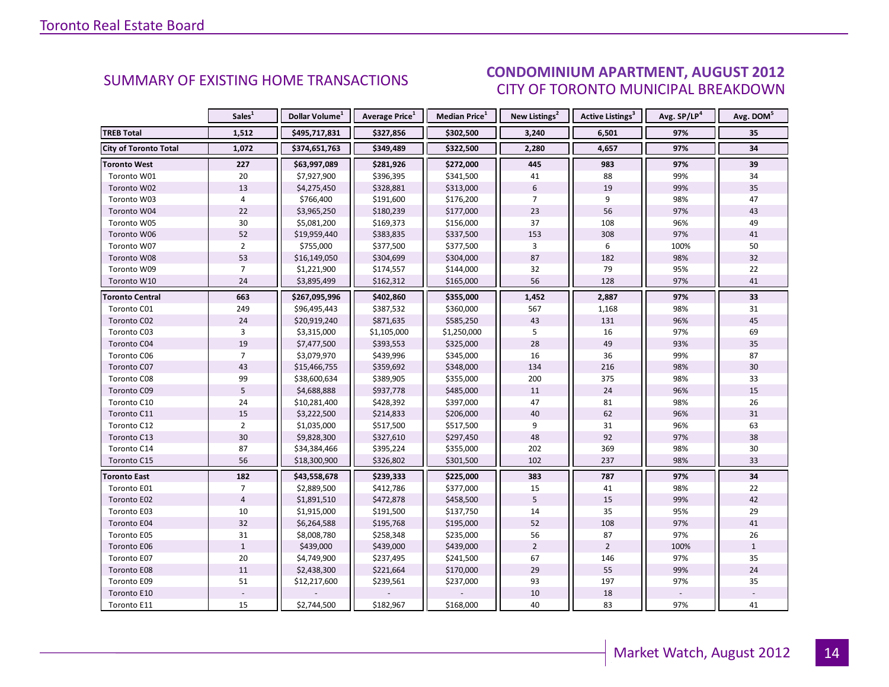#### $\blacksquare$  ALIGUST 2012 CITY OF TORONTO MUNICIPAL BREAKDOWN SUMMARY OF EXISTING HOME TRANSACTIONS<br>CITY OF TOPONTO MUINICIPAL PREAKDOMAL

<span id="page-13-0"></span>

|                        | Sales <sup>1</sup> | Dollar Volume <sup>1</sup> | Average Price <sup>1</sup> | Median Price <sup>1</sup> | New Listings <sup>2</sup> | Active Listings <sup>3</sup> | Avg. SP/LP <sup>4</sup> | Avg. DOM <sup>5</sup> |
|------------------------|--------------------|----------------------------|----------------------------|---------------------------|---------------------------|------------------------------|-------------------------|-----------------------|
| <b>TREB Total</b>      | 1,512              | \$495,717,831              | \$327,856                  | \$302,500                 | 3,240                     | 6,501                        | 97%                     | 35                    |
| City of Toronto Total  | 1,072              | \$374,651,763              | \$349,489                  | \$322,500                 | 2,280                     | 4,657                        | 97%                     | 34                    |
| <b>Toronto West</b>    | 227                | \$63,997,089               | \$281,926                  | \$272,000                 | 445                       | 983                          | 97%                     | 39                    |
| Toronto W01            | 20                 | \$7,927,900                | \$396,395                  | \$341,500                 | 41                        | 88                           | 99%                     | 34                    |
| Toronto W02            | 13                 | \$4,275,450                | \$328,881                  | \$313,000                 | $6\phantom{1}$            | 19                           | 99%                     | 35                    |
| Toronto W03            | 4                  | \$766,400                  | \$191,600                  | \$176,200                 | $\overline{7}$            | 9                            | 98%                     | 47                    |
| Toronto W04            | 22                 | \$3,965,250                | \$180,239                  | \$177,000                 | 23                        | 56                           | 97%                     | 43                    |
| Toronto W05            | 30                 | \$5,081,200                | \$169,373                  | \$156,000                 | 37                        | 108                          | 96%                     | 49                    |
| Toronto W06            | 52                 | \$19,959,440               | \$383,835                  | \$337,500                 | 153                       | 308                          | 97%                     | 41                    |
| Toronto W07            | $\overline{2}$     | \$755,000                  | \$377,500                  | \$377,500                 | 3                         | 6                            | 100%                    | 50                    |
| Toronto W08            | 53                 | \$16,149,050               | \$304,699                  | \$304,000                 | 87                        | 182                          | 98%                     | 32                    |
| Toronto W09            | $\overline{7}$     | \$1,221,900                | \$174,557                  | \$144,000                 | 32                        | 79                           | 95%                     | 22                    |
| Toronto W10            | 24                 | \$3,895,499                | \$162,312                  | \$165,000                 | 56                        | 128                          | 97%                     | 41                    |
| <b>Toronto Central</b> | 663                | \$267,095,996              | \$402,860                  | \$355,000                 | 1,452                     | 2,887                        | 97%                     | 33                    |
| Toronto C01            | 249                | \$96,495,443               | \$387,532                  | \$360,000                 | 567                       | 1,168                        | 98%                     | 31                    |
| Toronto C02            | 24                 | \$20,919,240               | \$871,635                  | \$585,250                 | 43                        | 131                          | 96%                     | 45                    |
| Toronto C03            | 3                  | \$3,315,000                | \$1,105,000                | \$1,250,000               | 5                         | 16                           | 97%                     | 69                    |
| Toronto C04            | 19                 | \$7,477,500                | \$393,553                  | \$325,000                 | 28                        | 49                           | 93%                     | 35                    |
| Toronto C06            | $\overline{7}$     | \$3,079,970                | \$439,996                  | \$345,000                 | 16                        | 36                           | 99%                     | 87                    |
| Toronto C07            | 43                 | \$15,466,755               | \$359,692                  | \$348,000                 | 134                       | 216                          | 98%                     | 30                    |
| Toronto C08            | 99                 | \$38,600,634               | \$389,905                  | \$355,000                 | 200                       | 375                          | 98%                     | 33                    |
| Toronto C09            | 5                  | \$4,688,888                | \$937,778                  | \$485,000                 | 11                        | 24                           | 96%                     | $15\,$                |
| Toronto C10            | 24                 | \$10,281,400               | \$428,392                  | \$397,000                 | 47                        | 81                           | 98%                     | 26                    |
| Toronto C11            | 15                 | \$3,222,500                | \$214,833                  | \$206,000                 | 40                        | 62                           | 96%                     | 31                    |
| Toronto C12            | $\overline{2}$     | \$1,035,000                | \$517,500                  | \$517,500                 | 9                         | 31                           | 96%                     | 63                    |
| Toronto C13            | 30                 | \$9,828,300                | \$327,610                  | \$297,450                 | 48                        | 92                           | 97%                     | 38                    |
| Toronto C14            | 87                 | \$34,384,466               | \$395,224                  | \$355,000                 | 202                       | 369                          | 98%                     | 30                    |
| Toronto C15            | 56                 | \$18,300,900               | \$326,802                  | \$301,500                 | 102                       | 237                          | 98%                     | 33                    |
| <b>Toronto East</b>    | 182                | \$43,558,678               | \$239,333                  | \$225,000                 | 383                       | 787                          | 97%                     | 34                    |
| Toronto E01            | $\overline{7}$     | \$2,889,500                | \$412,786                  | \$377,000                 | 15                        | 41                           | 98%                     | 22                    |
| Toronto E02            | $\overline{4}$     | \$1,891,510                | \$472,878                  | \$458,500                 | 5                         | 15                           | 99%                     | 42                    |
| Toronto E03            | 10                 | \$1,915,000                | \$191,500                  | \$137,750                 | 14                        | 35                           | 95%                     | 29                    |
| Toronto E04            | 32                 | \$6,264,588                | \$195,768                  | \$195,000                 | 52                        | 108                          | 97%                     | $41\,$                |
| Toronto E05            | 31                 | \$8,008,780                | \$258,348                  | \$235,000                 | 56                        | 87                           | 97%                     | 26                    |
| Toronto E06            | $\mathbf{1}$       | \$439,000                  | \$439,000                  | \$439,000                 | $\overline{2}$            | $\overline{2}$               | 100%                    | $\mathbf{1}$          |
| Toronto E07            | $20\,$             | \$4,749,900                | \$237,495                  | \$241,500                 | 67                        | 146                          | 97%                     | 35                    |
| Toronto E08            | 11                 | \$2,438,300                | \$221,664                  | \$170,000                 | 29                        | 55                           | 99%                     | 24                    |
| Toronto E09            | 51                 | \$12,217,600               | \$239,561                  | \$237,000                 | 93                        | 197                          | 97%                     | 35                    |
| Toronto E10            |                    |                            |                            |                           | 10                        | 18                           |                         |                       |
| Toronto E11            | 15                 | \$2,744,500                | \$182,967                  | \$168,000                 | 40                        | 83                           | 97%                     | 41                    |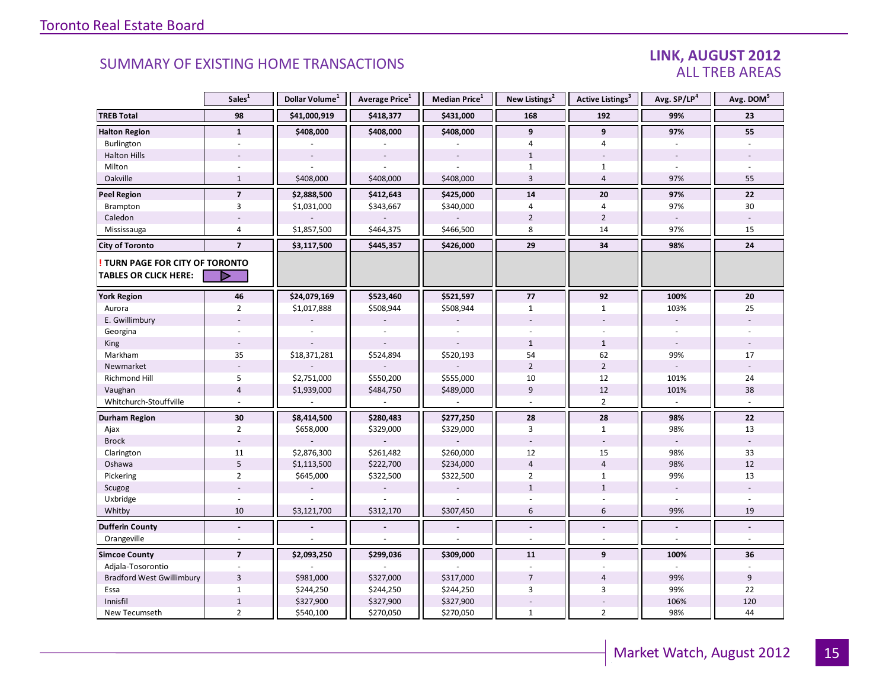### LINK, AUGUST 2012 ALL TREB AREAS

|                                                                        | Sales <sup>1</sup> | Dollar Volume <sup>1</sup> | Average Price <sup>1</sup> | Median Price <sup>1</sup> | New Listings <sup>2</sup> | <b>Active Listings</b> <sup>3</sup> | Avg. SP/LP <sup>4</sup>  | Avg. DOM <sup>5</sup> |
|------------------------------------------------------------------------|--------------------|----------------------------|----------------------------|---------------------------|---------------------------|-------------------------------------|--------------------------|-----------------------|
| <b>TREB Total</b>                                                      | 98                 | \$41,000,919               | \$418,377                  | \$431,000                 | 168                       | 192                                 | 99%                      | 23                    |
| <b>Halton Region</b>                                                   | $\mathbf{1}$       | \$408,000                  | \$408,000                  | \$408,000                 | 9                         | 9                                   | 97%                      | 55                    |
| Burlington                                                             | $\sim$             |                            |                            |                           | $\overline{4}$            | $\overline{4}$                      | $\overline{a}$           |                       |
| <b>Halton Hills</b>                                                    |                    |                            |                            |                           | $\mathbf{1}$              |                                     |                          |                       |
| Milton                                                                 |                    |                            |                            |                           | $\mathbf{1}$              | $\mathbf{1}$                        |                          |                       |
| Oakville                                                               | $\mathbf{1}$       | \$408,000                  | \$408,000                  | \$408,000                 | $\overline{3}$            | $\overline{4}$                      | 97%                      | 55                    |
| <b>Peel Region</b>                                                     | $\overline{7}$     | \$2,888,500                | \$412,643                  | \$425,000                 | 14                        | 20                                  | 97%                      | 22                    |
| Brampton                                                               | 3                  | \$1,031,000                | \$343,667                  | \$340,000                 | 4                         | $\overline{4}$                      | 97%                      | 30                    |
| Caledon                                                                |                    |                            |                            |                           | $\overline{2}$            | $\overline{2}$                      |                          |                       |
| Mississauga                                                            | $\overline{4}$     | \$1,857,500                | \$464,375                  | \$466,500                 | 8                         | 14                                  | 97%                      | 15                    |
| <b>City of Toronto</b>                                                 | $\overline{7}$     | \$3,117,500                | \$445,357                  | \$426,000                 | 29                        | 34                                  | 98%                      | 24                    |
| <b>! TURN PAGE FOR CITY OF TORONTO</b><br><b>TABLES OR CLICK HERE:</b> | D                  |                            |                            |                           |                           |                                     |                          |                       |
|                                                                        |                    |                            |                            |                           |                           |                                     |                          |                       |
| <b>York Region</b>                                                     | 46                 | \$24,079,169               | \$523,460                  | \$521,597                 | 77                        | 92                                  | 100%                     | 20                    |
| Aurora                                                                 | $\overline{2}$     | \$1,017,888                | \$508,944                  | \$508,944                 | $\mathbf{1}$              | $\mathbf{1}$                        | 103%                     | 25                    |
| E. Gwillimbury                                                         |                    |                            |                            |                           |                           |                                     | $\overline{\phantom{a}}$ |                       |
| Georgina                                                               |                    |                            |                            |                           |                           |                                     |                          |                       |
| King                                                                   |                    |                            |                            |                           | $\mathbf{1}$              | $\mathbf{1}$                        | $\sim$                   |                       |
| Markham                                                                | 35                 | \$18,371,281               | \$524,894                  | \$520,193                 | 54                        | 62                                  | 99%                      | 17                    |
| Newmarket                                                              |                    |                            |                            |                           | $\mathbf 2$               | $\overline{2}$                      |                          |                       |
| Richmond Hill                                                          | 5                  | \$2,751,000                | \$550,200                  | \$555,000                 | 10                        | 12                                  | 101%                     | 24                    |
| Vaughan                                                                | $\overline{4}$     | \$1,939,000                | \$484,750                  | \$489,000                 | $\overline{9}$            | 12                                  | 101%                     | 38                    |
| Whitchurch-Stouffville                                                 |                    |                            |                            |                           |                           | $\overline{2}$                      |                          |                       |
| Durham Region                                                          | 30                 | \$8,414,500                | \$280,483                  | \$277,250                 | 28                        | 28                                  | 98%                      | ${\bf 22}$            |
| Ajax                                                                   | $\overline{2}$     | \$658,000                  | \$329,000                  | \$329,000                 | 3                         | $\mathbf{1}$                        | 98%                      | 13                    |
| <b>Brock</b>                                                           |                    |                            |                            |                           |                           |                                     |                          |                       |
| Clarington                                                             | 11                 | \$2,876,300                | \$261,482                  | \$260,000                 | 12                        | 15                                  | 98%                      | 33                    |
| Oshawa                                                                 | 5                  | \$1,113,500                | \$222,700                  | \$234,000                 | $\overline{4}$            | $\overline{4}$                      | 98%                      | 12                    |
| Pickering                                                              | $\overline{2}$     | \$645,000                  | \$322,500                  | \$322,500                 | $\overline{2}$            | $\mathbf{1}$                        | 99%                      | 13                    |
| Scugog                                                                 |                    |                            |                            |                           | $\mathbf{1}$              | $\mathbf{1}$                        | $\sim$                   |                       |
| Uxbridge                                                               |                    |                            |                            |                           |                           |                                     |                          |                       |
| Whitby                                                                 | 10                 | \$3,121,700                | \$312,170                  | \$307,450                 | 6                         | 6                                   | 99%                      | 19                    |
| <b>Dufferin County</b>                                                 | $\overline{a}$     |                            |                            |                           |                           | $\overline{a}$                      |                          |                       |
| Orangeville                                                            | ÷.                 |                            |                            |                           |                           | $\overline{a}$                      |                          | $\sim$                |
| <b>Simcoe County</b>                                                   | $\overline{7}$     | \$2,093,250                | \$299,036                  | \$309,000                 | 11                        | 9                                   | 100%                     | 36                    |
| Adjala-Tosorontio                                                      |                    |                            |                            |                           |                           |                                     |                          |                       |
| <b>Bradford West Gwillimbury</b>                                       | $\overline{3}$     | \$981,000                  | \$327,000                  | \$317,000                 | $\overline{7}$            | $\overline{4}$                      | 99%                      | 9                     |
| Essa                                                                   | $\mathbf{1}$       | \$244,250                  | \$244,250                  | \$244,250                 | 3                         | 3                                   | 99%                      | 22                    |
| Innisfil                                                               | $\,1\,$            | \$327,900                  | \$327,900                  | \$327,900                 |                           |                                     | 106%                     | 120                   |
| New Tecumseth                                                          | $\overline{2}$     | \$540,100                  | \$270,050                  | \$270,050                 | $\mathbf{1}$              | $\overline{2}$                      | 98%                      | 44                    |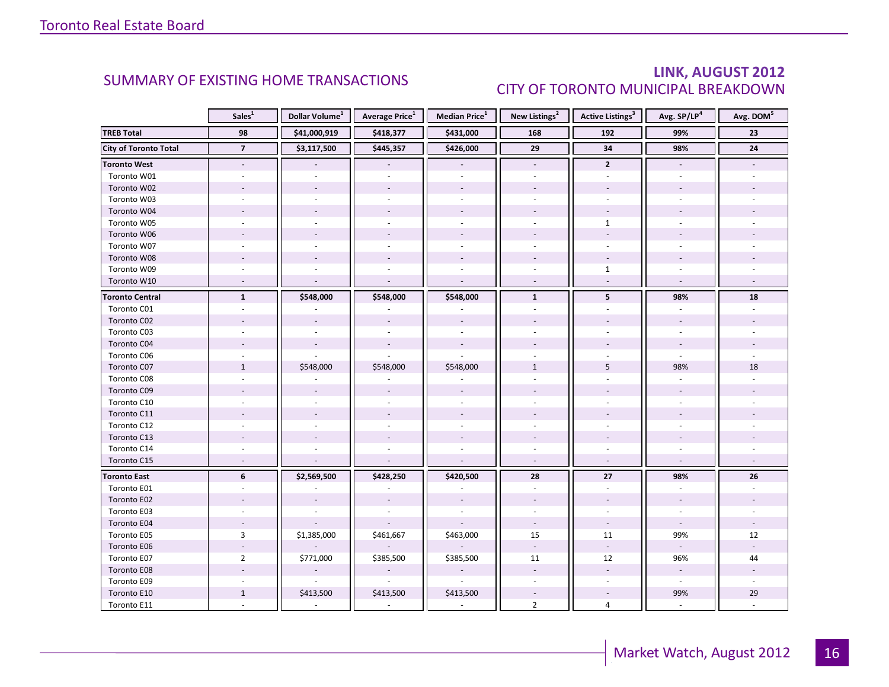### LINK, AUGUST 2012 CITY OF TORONTO MUNICIPAL BREAKDOWN

<span id="page-15-0"></span>

|                              | Sales <sup>1</sup> | Dollar Volume <sup>1</sup> | <b>Average Price</b> <sup>1</sup> | Median Price <sup>1</sup> | New Listings <sup>2</sup> | <b>Active Listings<sup>3</sup></b> | Avg. SP/LP <sup>4</sup> | Avg. DOM <sup>5</sup> |
|------------------------------|--------------------|----------------------------|-----------------------------------|---------------------------|---------------------------|------------------------------------|-------------------------|-----------------------|
| <b>TREB Total</b>            | 98                 | \$41,000,919               | \$418,377                         | \$431,000                 | 168                       | 192                                | 99%                     | 23                    |
| <b>City of Toronto Total</b> | $\overline{7}$     | \$3,117,500                | \$445,357                         | \$426,000                 | $\overline{29}$           | 34                                 | 98%                     | ${\bf 24}$            |
| <b>Toronto West</b>          | $\blacksquare$     |                            |                                   |                           | $\blacksquare$            | $\mathbf{2}$                       |                         |                       |
| Toronto W01                  |                    |                            |                                   |                           |                           |                                    |                         |                       |
| Toronto W02                  |                    |                            |                                   |                           |                           |                                    |                         |                       |
| Toronto W03                  | $\sim$             |                            |                                   | $\sim$                    |                           |                                    |                         |                       |
| Toronto W04                  |                    |                            |                                   |                           |                           |                                    |                         |                       |
| Toronto W05                  |                    |                            |                                   |                           |                           | $\mathbf{1}$                       |                         |                       |
| Toronto W06                  |                    |                            |                                   |                           |                           |                                    |                         |                       |
| Toronto W07                  |                    |                            |                                   | $\sim$                    |                           |                                    |                         |                       |
| Toronto W08                  |                    |                            |                                   |                           |                           |                                    |                         |                       |
| Toronto W09                  |                    |                            |                                   |                           |                           | $\mathbf{1}$                       |                         |                       |
| Toronto W10                  | $\sim$             | $\overline{a}$             | $\overline{a}$                    | $\sim$                    | $\omega$                  | $\mathcal{L}$                      | $\sim$                  |                       |
| <b>Toronto Central</b>       | $\mathbf{1}$       | \$548,000                  | \$548,000                         | \$548,000                 | $\mathbf{1}$              | 5 <sup>1</sup>                     | 98%                     | 18                    |
| Toronto C01                  |                    |                            |                                   |                           |                           |                                    |                         |                       |
| Toronto C02                  |                    |                            |                                   |                           |                           |                                    |                         |                       |
| Toronto C03                  |                    |                            |                                   | $\sim$                    |                           |                                    |                         |                       |
| Toronto C04                  |                    |                            |                                   |                           |                           |                                    |                         |                       |
| Toronto C06                  |                    |                            |                                   |                           |                           |                                    |                         |                       |
| Toronto C07                  | $\mathbf{1}$       | \$548,000                  | \$548,000                         | \$548,000                 | $\mathbf{1}$              | 5                                  | 98%                     | 18                    |
| Toronto C08                  |                    |                            |                                   |                           |                           |                                    |                         |                       |
| Toronto C09                  |                    |                            |                                   |                           |                           |                                    |                         |                       |
| Toronto C10                  |                    |                            |                                   |                           |                           |                                    |                         |                       |
| Toronto C11                  |                    |                            |                                   |                           |                           |                                    |                         |                       |
| Toronto C12                  |                    |                            |                                   |                           |                           |                                    |                         |                       |
| Toronto C13                  |                    |                            |                                   |                           |                           |                                    |                         |                       |
| Toronto C14                  |                    |                            |                                   |                           |                           |                                    |                         |                       |
| Toronto C15                  |                    |                            |                                   |                           |                           |                                    |                         |                       |
| <b>Toronto East</b>          | 6                  | \$2,569,500                | \$428,250                         | \$420,500                 | 28                        | 27                                 | 98%                     | 26                    |
| Toronto E01                  |                    |                            |                                   |                           | $\overline{a}$            | $\overline{a}$                     |                         |                       |
| Toronto E02                  |                    |                            |                                   |                           |                           |                                    |                         |                       |
| Toronto E03                  |                    |                            |                                   |                           |                           |                                    |                         |                       |
| Toronto E04                  | $\sim$             |                            |                                   |                           | $\blacksquare$            | $\mathcal{L}$                      | $\omega$                |                       |
| Toronto E05                  | 3                  | \$1,385,000                | \$461,667                         | \$463,000                 | 15                        | 11                                 | 99%                     | 12                    |
| Toronto E06                  |                    |                            |                                   |                           | $\omega$                  | $\omega$                           |                         |                       |
| Toronto E07                  | $\overline{2}$     | \$771,000                  | \$385,500                         | \$385,500                 | 11                        | 12                                 | 96%                     | 44                    |
| Toronto E08                  |                    |                            |                                   |                           |                           |                                    |                         |                       |
| Toronto E09                  |                    |                            | $\sim$                            | $\sim$                    |                           |                                    | $\omega$                |                       |
| Toronto E10                  | $\mathbf{1}$       | \$413,500                  | \$413,500                         | \$413,500                 |                           |                                    | 99%                     | 29                    |
| Toronto E11                  |                    |                            |                                   |                           | $\overline{2}$            | 4                                  |                         |                       |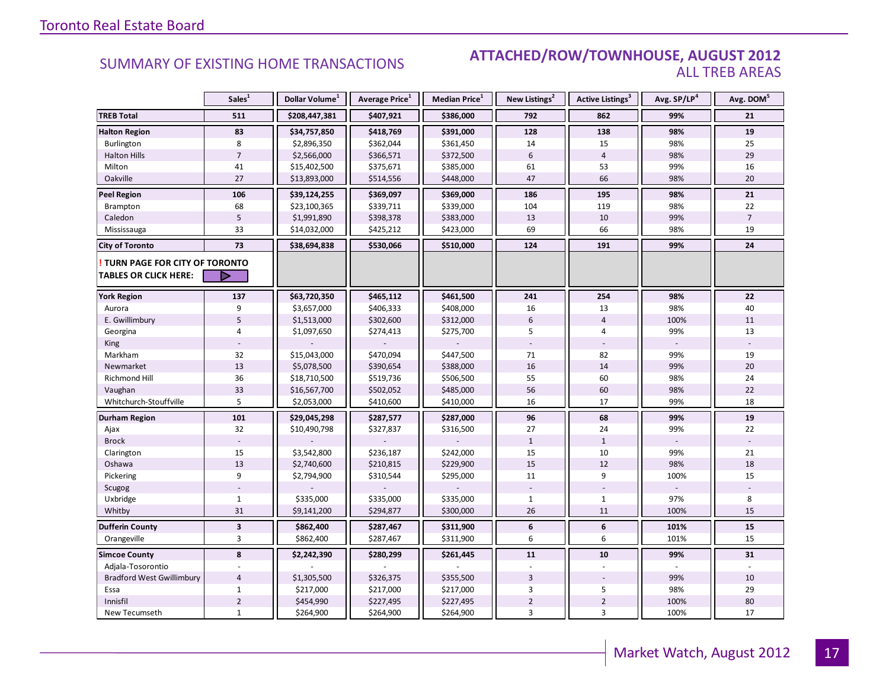#### SUMMARY OF EXISTING HOME TRANSACTIONS **ATTACHED/ROW/TOWNHOUSE, AUGUST 2012** ALL TREB AREAS

|                                        | Sales <sup>1</sup> | Dollar Volume <sup>1</sup> | Average Price <sup>1</sup> | <b>Median Price</b> <sup>1</sup> | New Listings <sup>2</sup> | Active Listings <sup>3</sup> | Avg. SP/LP <sup>4</sup> | Avg. DOM <sup>5</sup> |
|----------------------------------------|--------------------|----------------------------|----------------------------|----------------------------------|---------------------------|------------------------------|-------------------------|-----------------------|
| <b>TREB Total</b>                      | 511                | \$208,447,381              | \$407,921                  | \$386,000                        | 792                       | 862                          | 99%                     | 21                    |
| <b>Halton Region</b>                   | 83                 | \$34,757,850               | \$418,769                  | \$391,000                        | 128                       | 138                          | 98%                     | 19                    |
| Burlington                             | 8                  | \$2,896,350                | \$362,044                  | \$361,450                        | 14                        | 15                           | 98%                     | 25                    |
| <b>Halton Hills</b>                    | $\overline{7}$     | \$2,566,000                | \$366,571                  | \$372,500                        | 6                         | $\overline{4}$               | 98%                     | 29                    |
| Milton                                 | 41                 | \$15,402,500               | \$375,671                  | \$385,000                        | 61                        | 53                           | 99%                     | 16                    |
| Oakville                               | 27                 | \$13,893,000               | \$514,556                  | \$448,000                        | 47                        | 66                           | 98%                     | 20                    |
| <b>Peel Region</b>                     | 106                | \$39,124,255               | \$369,097                  | \$369,000                        | 186                       | 195                          | 98%                     | 21                    |
| Brampton                               | 68                 | \$23,100,365               | \$339,711                  | \$339,000                        | 104                       | 119                          | 98%                     | 22                    |
| Caledon                                | 5                  | \$1,991,890                | \$398,378                  | \$383,000                        | 13                        | 10                           | 99%                     | $\overline{7}$        |
| Mississauga                            | 33                 | \$14,032,000               | \$425,212                  | \$423,000                        | 69                        | 66                           | 98%                     | 19                    |
| <b>City of Toronto</b>                 | 73                 | \$38,694,838               | \$530,066                  | \$510,000                        | 124                       | 191                          | 99%                     | 24                    |
| <b>! TURN PAGE FOR CITY OF TORONTO</b> |                    |                            |                            |                                  |                           |                              |                         |                       |
| <b>TABLES OR CLICK HERE:</b>           | D                  |                            |                            |                                  |                           |                              |                         |                       |
| <b>York Region</b>                     | 137                | \$63,720,350               | \$465,112                  | \$461,500                        | 241                       | 254                          | 98%                     | 22                    |
| Aurora                                 | 9                  | \$3,657,000                | \$406,333                  | \$408,000                        | 16                        | 13                           | 98%                     | 40                    |
| E. Gwillimbury                         | 5                  | \$1,513,000                | \$302,600                  | \$312,000                        | 6                         | $\overline{4}$               | 100%                    | 11                    |
| Georgina                               | 4                  | \$1,097,650                | \$274,413                  | \$275,700                        | 5                         | 4                            | 99%                     | 13                    |
| King                                   |                    |                            |                            |                                  |                           |                              |                         |                       |
| Markham                                | 32                 | \$15,043,000               | \$470,094                  | \$447,500                        | 71                        | 82                           | 99%                     | 19                    |
| Newmarket                              | 13                 | \$5,078,500                | \$390,654                  | \$388,000                        | 16                        | 14                           | 99%                     | 20                    |
| <b>Richmond Hill</b>                   | 36                 | \$18,710,500               | \$519,736                  | \$506,500                        | 55                        | 60                           | 98%                     | 24                    |
| Vaughan                                | 33                 | \$16,567,700               | \$502,052                  | \$485,000                        | 56                        | 60                           | 98%                     | 22                    |
| Whitchurch-Stouffville                 | 5                  | \$2,053,000                | \$410,600                  | \$410,000                        | 16                        | 17                           | 99%                     | 18                    |
| <b>Durham Region</b>                   | 101                | \$29,045,298               | \$287,577                  | \$287,000                        | 96                        | 68                           | 99%                     | 19                    |
| Ajax                                   | 32                 | \$10,490,798               | \$327,837                  | \$316,500                        | 27                        | 24                           | 99%                     | 22                    |
| <b>Brock</b>                           |                    |                            |                            |                                  | $\mathbf{1}$              | $\mathbf{1}$                 |                         |                       |
| Clarington                             | 15                 | \$3,542,800                | \$236,187                  | \$242,000                        | 15                        | 10                           | 99%                     | 21                    |
| Oshawa                                 | 13                 | \$2,740,600                | \$210,815                  | \$229,900                        | 15                        | 12                           | 98%                     | 18                    |
| Pickering                              | 9                  | \$2,794,900                | \$310,544                  | \$295,000                        | 11                        | 9                            | 100%                    | 15                    |
| Scugog                                 |                    |                            |                            |                                  |                           |                              |                         |                       |
| Uxbridge                               | $\mathbf{1}$       | \$335,000                  | \$335,000                  | \$335,000                        | $\mathbf{1}$              | $1\,$                        | 97%                     | 8                     |
| Whitby                                 | 31                 | \$9,141,200                | \$294,877                  | \$300,000                        | 26                        | 11                           | 100%                    | 15                    |
| <b>Dufferin County</b>                 | $\mathbf 3$        | \$862,400                  | \$287,467                  | \$311,900                        | 6                         | $\boldsymbol{6}$             | 101%                    | ${\bf 15}$            |
| Orangeville                            | 3                  | \$862,400                  | \$287,467                  | \$311,900                        | 6                         | 6                            | 101%                    | 15                    |
| <b>Simcoe County</b>                   | 8                  | \$2,242,390                | \$280,299                  | \$261,445                        | 11                        | 10                           | 99%                     | 31                    |
| Adjala-Tosorontio                      |                    |                            |                            |                                  |                           |                              |                         |                       |
| <b>Bradford West Gwillimbury</b>       | $\overline{4}$     | \$1,305,500                | \$326,375                  | \$355,500                        | 3                         |                              | 99%                     | 10                    |
| Essa                                   | 1                  | \$217,000                  | \$217,000                  | \$217,000                        | 3                         | 5                            | 98%                     | 29                    |
| Innisfil                               | $\overline{2}$     | \$454,990                  | \$227,495                  | \$227,495                        | $\overline{2}$            | $\mathbf 2$                  | 100%                    | 80                    |
| New Tecumseth                          | $\mathbf{1}$       | \$264,900                  | \$264,900                  | \$264,900                        | 3                         | 3                            | 100%                    | 17                    |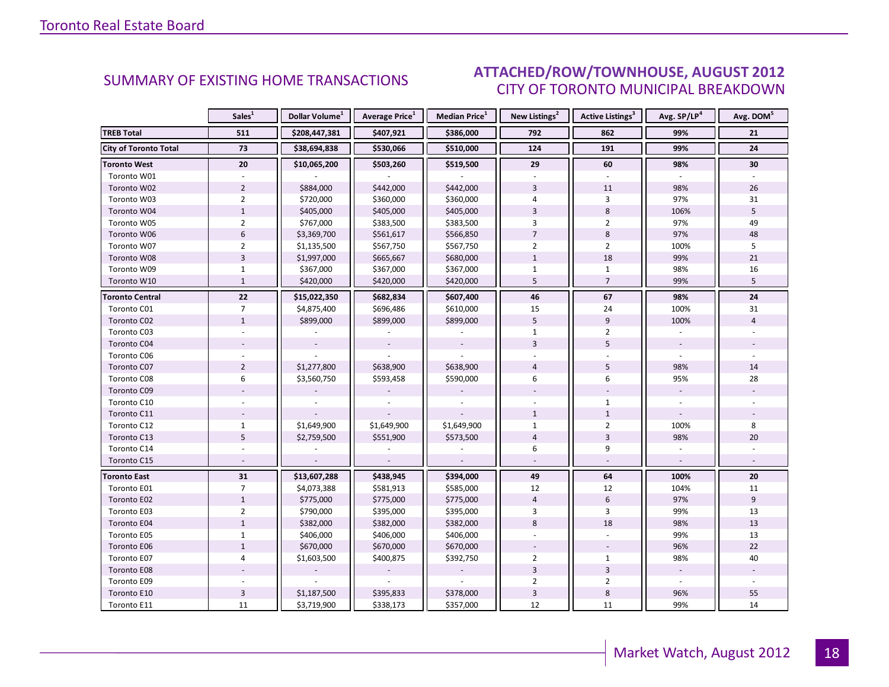#### $\blacksquare$  ALIGUST 2012 CITY OF TORONTO MUNICIPAL BREAKDOWN SUMMARY OF EXISTING HOME TRANSACTIONS **ATTACHED/ROW/TOWNHOUSE, AUGUST 2012**

<span id="page-17-0"></span>

|                              | Sales <sup>1</sup> | Dollar Volume <sup>1</sup> | <b>Average Price</b> <sup>1</sup> | Median Price <sup>1</sup> | New Listings <sup>2</sup> | <b>Active Listings<sup>3</sup></b> | Avg. SP/LP <sup>4</sup> | Avg. DOM <sup>5</sup> |
|------------------------------|--------------------|----------------------------|-----------------------------------|---------------------------|---------------------------|------------------------------------|-------------------------|-----------------------|
| <b>TREB Total</b>            | 511                | \$208,447,381              | \$407,921                         | \$386,000                 | 792                       | 862                                | 99%                     | 21                    |
| <b>City of Toronto Total</b> | 73                 | \$38,694,838               | \$530,066                         | \$510,000                 | 124                       | 191                                | 99%                     | 24                    |
| <b>Toronto West</b>          | 20                 | \$10,065,200               | \$503,260                         | \$519,500                 | 29                        | 60                                 | 98%                     | 30                    |
| Toronto W01                  |                    |                            |                                   |                           |                           |                                    |                         |                       |
| Toronto W02                  | $\overline{2}$     | \$884,000                  | \$442,000                         | \$442,000                 | $\overline{3}$            | 11                                 | 98%                     | 26                    |
| Toronto W03                  | $\overline{2}$     | \$720,000                  | \$360,000                         | \$360,000                 | 4                         | 3                                  | 97%                     | 31                    |
| Toronto W04                  | $\mathbf{1}$       | \$405,000                  | \$405,000                         | \$405,000                 | $\overline{3}$            | 8                                  | 106%                    | 5                     |
| Toronto W05                  | $\overline{2}$     | \$767,000                  | \$383,500                         | \$383,500                 | 3                         | $\overline{2}$                     | 97%                     | 49                    |
| Toronto W06                  | $6\phantom{1}$     | \$3,369,700                | \$561,617                         | \$566,850                 | $\overline{7}$            | $\,8\,$                            | 97%                     | 48                    |
| Toronto W07                  | $\overline{2}$     | \$1,135,500                | \$567,750                         | \$567,750                 | $\overline{2}$            | $\overline{2}$                     | 100%                    | 5                     |
| Toronto W08                  | $\overline{3}$     | \$1,997,000                | \$665,667                         | \$680,000                 | $\mathbf 1$               | 18                                 | 99%                     | 21                    |
| Toronto W09                  | $\mathbf{1}$       | \$367,000                  | \$367,000                         | \$367,000                 | $\mathbf{1}$              | $\mathbf{1}$                       | 98%                     | 16                    |
| Toronto W10                  | $\mathbf{1}$       | \$420,000                  | \$420,000                         | \$420,000                 | 5                         | $\overline{7}$                     | 99%                     | 5                     |
| <b>Toronto Central</b>       | 22                 | \$15,022,350               | \$682,834                         | \$607,400                 | 46                        | 67                                 | 98%                     | 24                    |
| Toronto C01                  | $\overline{7}$     | \$4,875,400                | \$696,486                         | \$610,000                 | 15                        | 24                                 | 100%                    | 31                    |
| Toronto C02                  | $\mathbf{1}$       | \$899,000                  | \$899,000                         | \$899,000                 | 5                         | 9                                  | 100%                    | $\overline{4}$        |
| Toronto C03                  |                    |                            |                                   |                           | $\mathbf{1}$              | $\overline{2}$                     |                         |                       |
| Toronto C04                  |                    |                            |                                   |                           | $\overline{3}$            | 5                                  |                         |                       |
| Toronto C06                  |                    |                            |                                   |                           |                           |                                    |                         |                       |
| Toronto C07                  | $\overline{2}$     | \$1,277,800                | \$638,900                         | \$638,900                 | $\overline{4}$            | 5                                  | 98%                     | 14                    |
| Toronto C08                  | 6                  | \$3,560,750                | \$593,458                         | \$590,000                 | 6                         | 6                                  | 95%                     | 28                    |
| Toronto C09                  |                    |                            |                                   |                           |                           |                                    |                         |                       |
| Toronto C10                  |                    |                            |                                   |                           |                           | $\mathbf{1}$                       |                         |                       |
| Toronto C11                  |                    |                            |                                   |                           | $\mathbf{1}$              | $\mathbf{1}$                       |                         |                       |
| Toronto C12                  | $\mathbf{1}$       | \$1,649,900                | \$1,649,900                       | \$1,649,900               | $\mathbf{1}$              | $\overline{2}$                     | 100%                    | 8                     |
| Toronto C13                  | 5                  | \$2,759,500                | \$551,900                         | \$573,500                 | $\overline{4}$            | $\overline{3}$                     | 98%                     | 20                    |
| Toronto C14                  |                    |                            |                                   |                           | 6                         | 9                                  |                         |                       |
| Toronto C15                  |                    |                            |                                   |                           |                           |                                    |                         |                       |
| <b>Toronto East</b>          | 31                 | \$13,607,288               | \$438,945                         | \$394,000                 | 49                        | 64                                 | 100%                    | 20                    |
| Toronto E01                  | $\overline{7}$     | \$4,073,388                | \$581,913                         | \$585,000                 | 12                        | 12                                 | 104%                    | 11                    |
| Toronto E02                  | $\mathbf{1}$       | \$775,000                  | \$775,000                         | \$775,000                 | $\overline{4}$            | $6\,$                              | 97%                     | 9                     |
| Toronto E03                  | $\overline{2}$     | \$790,000                  | \$395,000                         | \$395,000                 | 3                         | 3                                  | 99%                     | 13                    |
| Toronto E04                  | $\mathbf{1}$       | \$382,000                  | \$382,000                         | \$382,000                 | 8                         | 18                                 | 98%                     | 13                    |
| Toronto E05                  | $\mathbf{1}$       | \$406,000                  | \$406,000                         | \$406,000                 |                           |                                    | 99%                     | 13                    |
| Toronto E06                  | $\mathbf{1}$       | \$670,000                  | \$670,000                         | \$670,000                 |                           |                                    | 96%                     | 22                    |
| Toronto E07                  | 4                  | \$1,603,500                | \$400,875                         | \$392,750                 | $\overline{2}$            | $\mathbf{1}$                       | 98%                     | 40                    |
| Toronto E08                  |                    |                            |                                   |                           | $\overline{3}$            | $\overline{3}$                     | $\blacksquare$          |                       |
| Toronto E09                  |                    |                            |                                   |                           | $\overline{2}$            | $\overline{2}$                     | $\omega$                |                       |
| Toronto E10                  | $\overline{3}$     | \$1,187,500                | \$395,833                         | \$378,000                 | 3                         | $\,8\,$                            | 96%                     | 55                    |
| Toronto E11                  | 11                 | \$3,719,900                | \$338,173                         | \$357,000                 | 12                        | 11                                 | 99%                     | 14                    |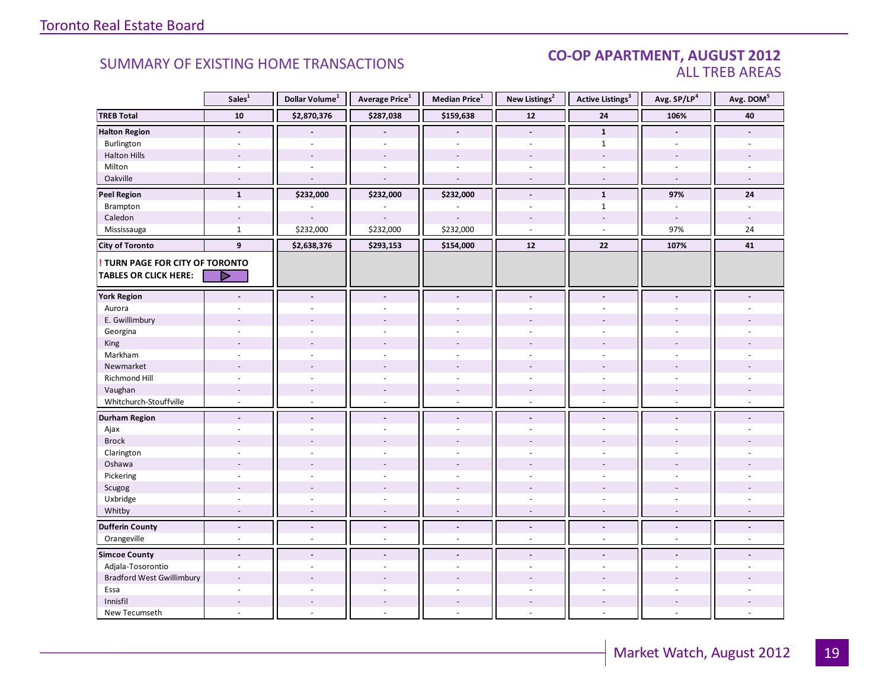#### CO-OP APARTMENT, AUGUST 2012 ALL TREB AREAS

|                                        | Sales <sup>1</sup>       | Dollar Volume <sup>1</sup> | Average Price <sup>1</sup> | Median Price <sup>1</sup> | New Listings <sup>2</sup> | <b>Active Listings<sup>3</sup></b> | Avg. SP/LP4    | Avg. DOM <sup>5</sup>    |
|----------------------------------------|--------------------------|----------------------------|----------------------------|---------------------------|---------------------------|------------------------------------|----------------|--------------------------|
| <b>TREB Total</b>                      | ${\bf 10}$               | \$2,870,376                | \$287,038                  | \$159,638                 | $12$                      | ${\bf 24}$                         | 106%           | 40                       |
| <b>Halton Region</b>                   | $\blacksquare$           |                            |                            | $\overline{a}$            | $\blacksquare$            | $\mathbf{1}$                       | $\blacksquare$ |                          |
| Burlington                             | $\sim$                   | ÷.                         | ÷,                         | L.                        | $\overline{a}$            | $\mathbf{1}$                       | $\overline{a}$ |                          |
| <b>Halton Hills</b>                    |                          |                            |                            | $\overline{a}$            |                           | $\overline{a}$                     | $\overline{a}$ |                          |
| Milton                                 | $\overline{\phantom{a}}$ | $\sim$                     | $\sim$                     | ÷,                        | $\overline{\phantom{a}}$  | ÷.                                 | $\sim$         |                          |
| Oakville                               | $\overline{a}$           | $\overline{a}$             | $\sim$                     | $\overline{a}$            | $\sim$                    | $\blacksquare$                     | $\sim$         | $\overline{\phantom{a}}$ |
| <b>Peel Region</b>                     | $\mathbf{1}$             | \$232,000                  | \$232,000                  | \$232,000                 | $\blacksquare$            | $\mathbf{1}$                       | 97%            | 24                       |
| Brampton                               | $\omega$                 |                            |                            |                           | $\omega$                  | $\mathbf{1}$                       | $\sim$         | $\sim$                   |
| Caledon                                | $\overline{\phantom{a}}$ |                            |                            |                           |                           | $\overline{\phantom{a}}$           | $\sim$         | $\sim$                   |
| Mississauga                            | $\mathbf{1}$             | \$232,000                  | \$232,000                  | \$232,000                 | $\sim$                    | ÷.                                 | 97%            | 24                       |
| <b>City of Toronto</b>                 | $\mathbf{9}$             | \$2,638,376                | \$293,153                  | \$154,000                 | 12                        | 22                                 | 107%           | 41                       |
| <b>! TURN PAGE FOR CITY OF TORONTO</b> |                          |                            |                            |                           |                           |                                    |                |                          |
| <b>TABLES OR CLICK HERE:</b>           | ▷                        |                            |                            |                           |                           |                                    |                |                          |
| <b>York Region</b>                     | $\overline{a}$           | $\overline{a}$             | $\blacksquare$             | $\blacksquare$            | $\blacksquare$            | $\blacksquare$                     | $\blacksquare$ |                          |
| Aurora                                 |                          |                            |                            |                           |                           |                                    |                |                          |
| E. Gwillimbury                         |                          |                            |                            |                           |                           |                                    |                |                          |
| Georgina                               |                          |                            |                            |                           |                           |                                    |                |                          |
| King                                   |                          | $\overline{a}$             |                            |                           |                           |                                    |                |                          |
| Markham                                | ÷,                       | ä,                         |                            | ä,                        | $\overline{\phantom{a}}$  | ÷.                                 |                |                          |
| Newmarket                              |                          |                            |                            |                           |                           |                                    |                |                          |
| Richmond Hill                          |                          |                            |                            |                           |                           |                                    |                |                          |
| Vaughan                                |                          |                            | $\overline{\phantom{a}}$   |                           |                           |                                    |                |                          |
| Whitchurch-Stouffville                 | $\omega$                 | ÷.                         | $\omega$                   | $\overline{\phantom{a}}$  | $\omega$                  | $\mathbf{r}$                       | $\sim$         |                          |
| <b>Durham Region</b>                   | $\overline{\phantom{a}}$ | $\blacksquare$             | $\overline{\phantom{a}}$   | $\overline{\phantom{a}}$  | $\blacksquare$            | $\blacksquare$                     | $\blacksquare$ |                          |
| Ajax                                   | ÷                        |                            |                            | ÷,                        | $\sim$                    | ÷.                                 | $\overline{a}$ |                          |
| <b>Brock</b>                           |                          |                            |                            |                           |                           |                                    |                |                          |
| Clarington                             |                          |                            |                            |                           |                           |                                    |                |                          |
| Oshawa                                 |                          |                            |                            |                           |                           |                                    |                |                          |
| Pickering                              | ÷.                       | ÷,                         |                            | L.                        | $\overline{a}$            | L.                                 | ÷.             |                          |
| Scugog                                 |                          |                            |                            |                           |                           |                                    |                |                          |
| Uxbridge                               | ÷.                       | $\sim$                     | $\sim$                     | ÷,                        | $\sim$                    | $\sim$                             | $\sim$         |                          |
| Whitby                                 | $\sim$                   | $\sim$                     | $\sim$                     | ÷,                        | $\sim$                    | $\blacksquare$                     | $\sim$         |                          |
| <b>Dufferin County</b>                 | $\blacksquare$           | $\blacksquare$             | $\blacksquare$             | $\overline{a}$            | $\blacksquare$            | $\overline{a}$                     | $\blacksquare$ | $\blacksquare$           |
| Orangeville                            | $\overline{\phantom{a}}$ | $\sim$                     | $\omega$                   | ÷,                        | $\omega$                  | $\omega$                           | $\omega$       | $\sim$                   |
| <b>Simcoe County</b>                   | $\overline{a}$           |                            |                            | $\overline{a}$            |                           |                                    |                |                          |
| Adjala-Tosorontio                      | $\sim$                   | ÷.                         | ÷.                         | $\overline{a}$            | $\sim$                    | ÷                                  | $\sim$         |                          |
| <b>Bradford West Gwillimbury</b>       | ÷,                       |                            |                            |                           |                           |                                    |                |                          |
| Essa                                   | ÷                        |                            |                            | $\overline{a}$            | $\overline{a}$            | ÷                                  |                |                          |
| Innisfil                               | $\sim$                   | $\sim$                     | $\sim$                     | $\overline{a}$            |                           | $\sim$                             |                |                          |
| New Tecumseth                          | ÷.                       | ä,                         |                            | ä,                        | $\overline{a}$            | ÷.                                 | $\sim$         |                          |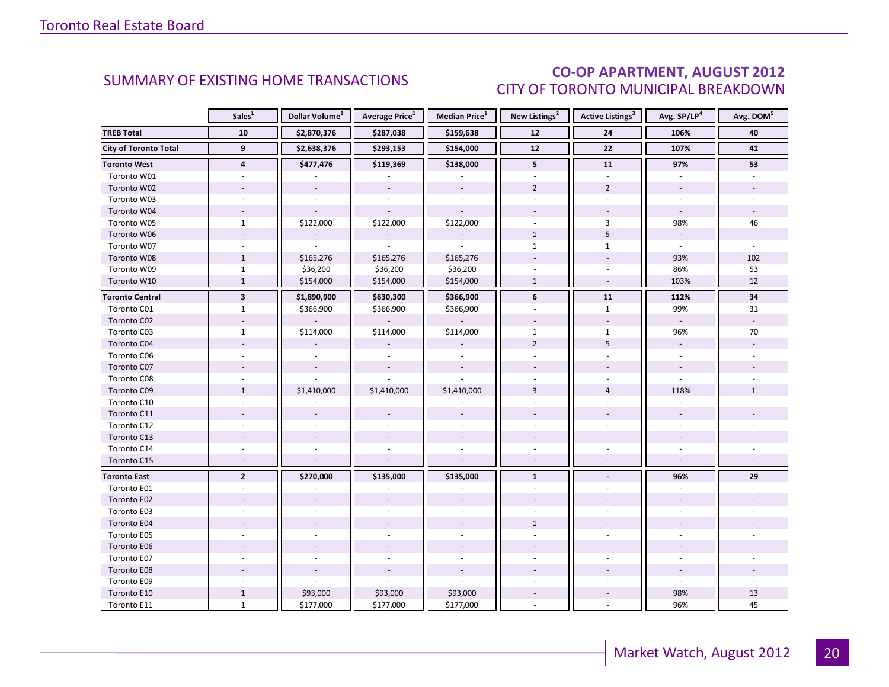### CO-OP APARTMENT, AUGUST 2012 CITY OF TORONTO MUNICIPAL BREAKDOWN

<span id="page-19-0"></span>

|                              | Sales <sup>1</sup>      | Dollar Volume <sup>1</sup> | <b>Average Price</b> <sup>1</sup> | Median Price <sup>1</sup> | New Listings <sup>2</sup> | <b>Active Listings<sup>3</sup></b> | Avg. SP/LP <sup>4</sup>  | Avg. DOM <sup>5</sup> |
|------------------------------|-------------------------|----------------------------|-----------------------------------|---------------------------|---------------------------|------------------------------------|--------------------------|-----------------------|
| <b>TREB Total</b>            | 10                      | \$2,870,376                | \$287,038                         | \$159,638                 | 12                        | 24                                 | 106%                     | 40                    |
| <b>City of Toronto Total</b> | 9                       | \$2,638,376                | \$293,153                         | \$154,000                 | $12$                      | 22                                 | 107%                     | 41                    |
| <b>Toronto West</b>          | $\overline{4}$          | \$477,476                  | \$119,369                         | \$138,000                 | 5                         | ${\bf 11}$                         | 97%                      | 53                    |
| Toronto W01                  |                         |                            |                                   |                           |                           |                                    |                          |                       |
| Toronto W02                  |                         | $\overline{\phantom{a}}$   | $\blacksquare$                    |                           | $\overline{2}$            | $\overline{2}$                     |                          |                       |
| Toronto W03                  | $\sim$                  |                            |                                   | $\sim$                    | $\overline{a}$            | $\overline{a}$                     | $\mathbf{r}$             |                       |
| Toronto W04                  |                         |                            |                                   |                           |                           |                                    |                          |                       |
| Toronto W05                  | $\mathbf{1}$            | \$122,000                  | \$122,000                         | \$122,000                 |                           | 3                                  | 98%                      | 46                    |
| Toronto W06                  |                         |                            |                                   |                           | $\mathbf{1}$              | 5                                  | $\overline{\phantom{a}}$ |                       |
| Toronto W07                  | $\sim$                  |                            |                                   |                           | $\mathbf{1}$              | $\mathbf{1}$                       | $\blacksquare$           | $\omega$              |
| Toronto W08                  | $\mathbf{1}$            | \$165,276                  | \$165,276                         | \$165,276                 |                           |                                    | 93%                      | 102                   |
| Toronto W09                  | $\mathbf{1}$            | \$36,200                   | \$36,200                          | \$36,200                  |                           |                                    | 86%                      | 53                    |
| Toronto W10                  | $\mathbf{1}$            | \$154,000                  | \$154,000                         | \$154,000                 | $\mathbf{1}$              | $\sim$                             | 103%                     | 12                    |
| <b>Toronto Central</b>       | $\overline{\mathbf{3}}$ | \$1,890,900                | \$630,300                         | \$366,900                 | 6                         | 11                                 | 112%                     | 34                    |
| Toronto C01                  | $\mathbf{1}$            | \$366,900                  | \$366,900                         | \$366,900                 |                           | $\mathbf{1}$                       | 99%                      | 31                    |
| Toronto C02                  |                         |                            |                                   |                           |                           | $\overline{\phantom{a}}$           |                          |                       |
| Toronto C03                  | $\mathbf{1}$            | \$114,000                  | \$114,000                         | \$114,000                 | $\mathbf{1}$              | $\mathbf{1}$                       | 96%                      | 70                    |
| Toronto C04                  |                         |                            |                                   |                           | $\overline{2}$            | 5                                  |                          |                       |
| Toronto C06                  |                         |                            |                                   |                           |                           |                                    |                          |                       |
| Toronto C07                  |                         |                            |                                   |                           |                           |                                    | $\overline{\phantom{a}}$ |                       |
| Toronto C08                  |                         |                            |                                   |                           |                           |                                    |                          |                       |
| Toronto C09                  | $\mathbf{1}$            | \$1,410,000                | \$1,410,000                       | \$1,410,000               | $\overline{3}$            | $\overline{4}$                     | 118%                     | $\mathbf{1}$          |
| Toronto C10                  |                         |                            |                                   |                           |                           |                                    |                          |                       |
| Toronto C11                  |                         |                            |                                   |                           |                           |                                    |                          |                       |
| Toronto C12                  |                         |                            |                                   |                           |                           |                                    |                          |                       |
| Toronto C13                  |                         |                            |                                   |                           |                           |                                    |                          |                       |
| Toronto C14                  |                         |                            |                                   |                           |                           |                                    |                          |                       |
| Toronto C15                  | $\sim$                  |                            |                                   |                           |                           |                                    |                          |                       |
| <b>Toronto East</b>          | $\overline{2}$          | \$270,000                  | \$135,000                         | \$135,000                 | $\mathbf{1}$              | $\blacksquare$                     | 96%                      | 29                    |
| Toronto E01                  |                         |                            |                                   |                           |                           |                                    |                          |                       |
| Toronto E02                  |                         |                            |                                   |                           |                           |                                    |                          |                       |
| Toronto E03                  |                         |                            |                                   |                           |                           |                                    |                          |                       |
| Toronto E04                  |                         |                            |                                   |                           | $\mathbf{1}$              |                                    |                          |                       |
| Toronto E05                  | $\overline{a}$          |                            |                                   |                           |                           |                                    |                          |                       |
| Toronto E06                  |                         |                            |                                   |                           |                           |                                    |                          |                       |
| Toronto E07                  |                         |                            |                                   |                           |                           |                                    |                          |                       |
| Toronto E08                  |                         |                            |                                   |                           |                           |                                    |                          |                       |
| Toronto E09                  |                         |                            |                                   |                           |                           |                                    |                          |                       |
| Toronto E10                  | $\mathbf{1}$            | \$93,000                   | \$93,000                          | \$93,000                  | $\overline{\phantom{a}}$  |                                    | 98%                      | 13                    |
| Toronto E11                  | $\mathbf{1}$            | \$177,000                  | \$177,000                         | \$177,000                 |                           |                                    | 96%                      | 45                    |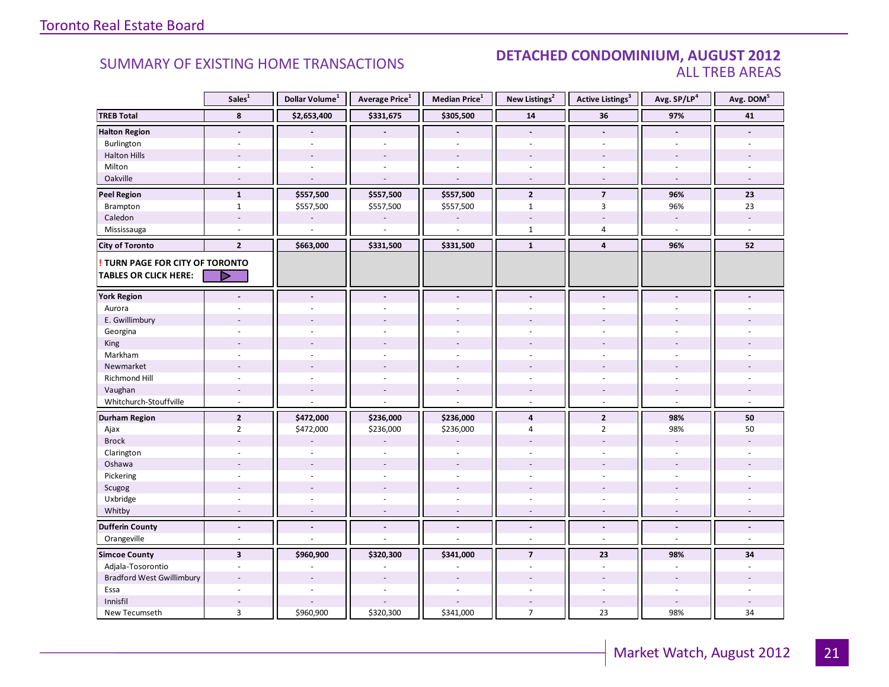#### SUMMARY OF EXISTING HOME TRANSACTIONS **DETACHED CONDOMINIUM, AUGUST 2012** ALL TREB AREAS

|                                        | Sales <sup>1</sup>       | Dollar Volume <sup>1</sup> | Average Price <sup>1</sup> | Median Price <sup>1</sup> | New Listings <sup>2</sup> | <b>Active Listings<sup>3</sup></b> | Avg. SP/LP <sup>4</sup>  | Avg. DOM <sup>5</sup> |
|----------------------------------------|--------------------------|----------------------------|----------------------------|---------------------------|---------------------------|------------------------------------|--------------------------|-----------------------|
| <b>TREB Total</b>                      | 8                        | \$2,653,400                | \$331,675                  | \$305,500                 | ${\bf 14}$                | 36                                 | 97%                      | 41                    |
| <b>Halton Region</b>                   | $\centerdot$             |                            |                            |                           | $\overline{\phantom{a}}$  | $\frac{1}{2}$                      | $\overline{\phantom{a}}$ |                       |
| Burlington                             | $\overline{\phantom{a}}$ | ÷.                         | $\blacksquare$             | $\sim$                    | $\sim$                    | $\overline{\phantom{a}}$           | $\sim$                   |                       |
| <b>Halton Hills</b>                    |                          |                            |                            |                           |                           |                                    |                          |                       |
| Milton                                 |                          |                            |                            |                           |                           |                                    |                          |                       |
| Oakville                               |                          |                            |                            |                           |                           |                                    |                          |                       |
| <b>Peel Region</b>                     | $\mathbf{1}$             | \$557,500                  | \$557,500                  | \$557,500                 | $\overline{2}$            | $\overline{7}$                     | 96%                      | 23                    |
| Brampton                               | $\mathbf{1}$             | \$557,500                  | \$557,500                  | \$557,500                 | $\mathbf{1}$              | 3                                  | 96%                      | 23                    |
| Caledon                                | $\overline{\phantom{a}}$ |                            |                            |                           |                           |                                    | $\sim$                   |                       |
| Mississauga                            | ÷,                       | $\overline{a}$             | $\overline{a}$             | L.                        | $\mathbf{1}$              | $\overline{4}$                     | $\sim$                   | $\omega$              |
| <b>City of Toronto</b>                 | $\overline{2}$           | \$663,000                  | \$331,500                  | \$331,500                 | $\mathbf{1}$              | $\overline{4}$                     | 96%                      | 52                    |
| <b>! TURN PAGE FOR CITY OF TORONTO</b> |                          |                            |                            |                           |                           |                                    |                          |                       |
| <b>TABLES OR CLICK HERE:</b>           | $\blacktriangleright$    |                            |                            |                           |                           |                                    |                          |                       |
| <b>York Region</b>                     |                          |                            | $\overline{a}$             | ÷.                        |                           | $\overline{a}$                     |                          |                       |
| Aurora                                 |                          |                            |                            |                           |                           |                                    |                          |                       |
| E. Gwillimbury                         |                          |                            |                            |                           |                           |                                    |                          |                       |
| Georgina                               |                          |                            |                            |                           |                           |                                    |                          |                       |
| King                                   |                          |                            |                            |                           |                           |                                    |                          |                       |
| Markham                                | ä,                       | ÷                          | ÷                          | $\sim$                    | ÷.                        | ÷.                                 | ÷.                       |                       |
| Newmarket                              |                          |                            |                            |                           |                           |                                    |                          |                       |
| <b>Richmond Hill</b>                   | ä,                       |                            |                            |                           |                           |                                    |                          |                       |
| Vaughan                                | $\overline{a}$           |                            | $\overline{a}$             | $\overline{a}$            |                           | $\overline{a}$                     | $\sim$                   |                       |
| Whitchurch-Stouffville                 | $\overline{a}$           |                            |                            | $\overline{a}$            | $\sim$                    | $\overline{a}$                     | $\overline{a}$           |                       |
| <b>Durham Region</b>                   | $\mathbf 2$              | \$472,000                  | \$236,000                  | \$236,000                 | $\overline{\mathbf{4}}$   | $\mathbf{2}$                       | 98%                      | 50                    |
| Ajax                                   | $\overline{2}$           | \$472,000                  | \$236,000                  | \$236,000                 | 4                         | $\overline{2}$                     | 98%                      | 50                    |
| <b>Brock</b>                           |                          |                            |                            |                           |                           |                                    | $\sim$                   |                       |
| Clarington                             |                          |                            |                            |                           |                           |                                    |                          |                       |
| Oshawa                                 |                          |                            | $\overline{a}$             | $\overline{a}$            |                           |                                    |                          |                       |
| Pickering                              | $\overline{\phantom{a}}$ |                            | $\sim$                     | $\sim$                    | $\sim$                    | ä,                                 | $\sim$                   |                       |
| Scugog                                 |                          |                            | ÷.                         | $\overline{a}$            |                           |                                    |                          |                       |
| Uxbridge                               |                          |                            |                            |                           |                           |                                    |                          |                       |
| Whitby                                 | $\blacksquare$           |                            |                            | ÷,                        |                           |                                    |                          |                       |
| <b>Dufferin County</b>                 | $\overline{a}$           | $\sim$                     | $\overline{a}$             | $\overline{a}$            | $\overline{\phantom{a}}$  | $\overline{a}$                     | $\blacksquare$           |                       |
| Orangeville                            | ÷                        |                            |                            | L.                        | $\sim$                    | $\overline{a}$                     | $\sim$                   | $\sim$                |
| <b>Simcoe County</b>                   | $\overline{\mathbf{3}}$  | \$960,900                  | \$320,300                  | \$341,000                 | $\overline{7}$            | 23                                 | 98%                      | 34                    |
| Adjala-Tosorontio                      | ä,                       |                            |                            |                           |                           | $\overline{a}$                     |                          |                       |
| <b>Bradford West Gwillimbury</b>       |                          |                            |                            |                           |                           |                                    |                          |                       |
| Essa                                   | ÷                        |                            | $\overline{a}$             | $\overline{a}$            | $\overline{a}$            | ÷                                  | $\sim$                   |                       |
| Innisfil                               |                          |                            |                            |                           |                           |                                    |                          |                       |
| New Tecumseth                          | $\overline{3}$           | \$960,900                  | \$320,300                  | \$341,000                 | $\overline{7}$            | 23                                 | 98%                      | 34                    |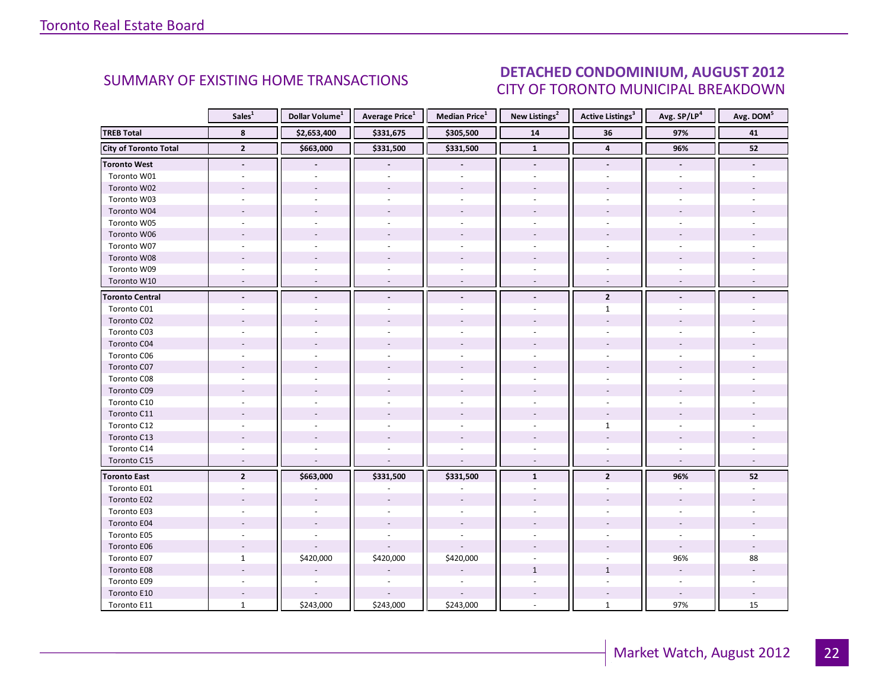### DETACHED CONDOMINIUM, AUGUST 2012 CITY OF TORONTO MUNICIPAL BREAKDOWN

<span id="page-21-0"></span>

|                              | Sales <sup>1</sup>       | Dollar Volume <sup>1</sup> | <b>Average Price</b> <sup>1</sup> | Median Price <sup>1</sup> | New Listings <sup>2</sup> | <b>Active Listings</b> <sup>3</sup> | Avg. SP/LP <sup>4</sup> | Avg. DOM <sup>5</sup> |
|------------------------------|--------------------------|----------------------------|-----------------------------------|---------------------------|---------------------------|-------------------------------------|-------------------------|-----------------------|
| <b>TREB Total</b>            | 8                        | \$2,653,400                | \$331,675                         | \$305,500                 | ${\bf 14}$                | 36                                  | 97%                     | 41                    |
| <b>City of Toronto Total</b> | $\overline{2}$           | \$663,000                  | \$331,500                         | \$331,500                 | $\mathbf{1}$              | $\overline{\mathbf{4}}$             | 96%                     | 52                    |
| <b>Toronto West</b>          | $\overline{\phantom{a}}$ |                            |                                   | $\overline{\phantom{a}}$  | $\overline{\phantom{a}}$  | $\blacksquare$                      |                         |                       |
| Toronto W01                  |                          |                            |                                   |                           |                           |                                     |                         |                       |
| Toronto W02                  |                          |                            |                                   |                           |                           |                                     |                         |                       |
| Toronto W03                  |                          |                            |                                   | $\overline{a}$            |                           |                                     |                         |                       |
| Toronto W04                  |                          |                            |                                   |                           |                           |                                     |                         |                       |
| Toronto W05                  |                          |                            |                                   |                           |                           |                                     |                         |                       |
| Toronto W06                  |                          |                            |                                   |                           |                           |                                     |                         |                       |
| Toronto W07                  |                          |                            |                                   |                           |                           |                                     |                         |                       |
| Toronto W08                  |                          |                            |                                   |                           |                           |                                     |                         |                       |
| Toronto W09                  |                          |                            |                                   |                           |                           |                                     |                         |                       |
| Toronto W10                  |                          |                            |                                   |                           |                           |                                     |                         |                       |
| <b>Toronto Central</b>       | $\blacksquare$           |                            | $\overline{\phantom{a}}$          | $\blacksquare$            | $\blacksquare$            | $\overline{2}$                      |                         |                       |
| Toronto C01                  |                          |                            |                                   |                           |                           | $\mathbf{1}$                        |                         |                       |
| Toronto C02                  |                          |                            |                                   |                           |                           |                                     |                         |                       |
| Toronto C03                  |                          |                            |                                   |                           |                           | $\sim$                              |                         |                       |
| Toronto C04                  |                          |                            |                                   |                           |                           |                                     |                         |                       |
| Toronto C06                  |                          |                            |                                   |                           |                           |                                     |                         |                       |
| Toronto C07                  |                          |                            |                                   |                           |                           |                                     |                         |                       |
| Toronto C08                  |                          |                            |                                   |                           |                           |                                     |                         |                       |
| Toronto C09                  |                          |                            |                                   |                           |                           |                                     |                         |                       |
| Toronto C10                  |                          |                            |                                   |                           |                           |                                     |                         |                       |
| Toronto C11                  |                          |                            |                                   |                           |                           |                                     |                         |                       |
| Toronto C12                  |                          |                            |                                   | $\sim$                    |                           | $\mathbf{1}$                        |                         |                       |
| Toronto C13                  |                          |                            |                                   |                           |                           |                                     |                         |                       |
| Toronto C14                  |                          |                            |                                   |                           |                           |                                     |                         |                       |
| Toronto C15                  | $\overline{a}$           |                            | ÷,                                | $\sim$                    | $\overline{\phantom{a}}$  | $\overline{\phantom{a}}$            | $\sim$                  |                       |
| <b>Toronto East</b>          | $\overline{2}$           | \$663,000                  | \$331,500                         | \$331,500                 | $\mathbf{1}$              | $\overline{2}$                      | 96%                     | 52                    |
| Toronto E01                  |                          |                            |                                   |                           |                           |                                     |                         |                       |
| Toronto E02                  |                          |                            |                                   |                           |                           |                                     |                         |                       |
| Toronto E03                  |                          |                            |                                   |                           |                           |                                     |                         |                       |
| Toronto E04                  |                          |                            |                                   |                           |                           |                                     |                         |                       |
| Toronto E05                  |                          |                            |                                   |                           |                           |                                     |                         |                       |
| Toronto E06                  |                          |                            |                                   |                           |                           |                                     |                         |                       |
| Toronto E07                  | $\mathbf{1}$             | \$420,000                  | \$420,000                         | \$420,000                 |                           |                                     | 96%                     | 88                    |
| Toronto E08                  |                          |                            |                                   |                           | $\mathbf{1}$              | $\mathbf{1}$                        |                         |                       |
| Toronto E09                  |                          |                            |                                   |                           |                           |                                     |                         |                       |
| Toronto E10                  |                          |                            |                                   |                           |                           |                                     |                         |                       |
| Toronto E11                  | $\mathbf{1}$             | \$243,000                  | \$243,000                         | \$243,000                 | $\sim$                    | $\mathbf{1}$                        | 97%                     | 15                    |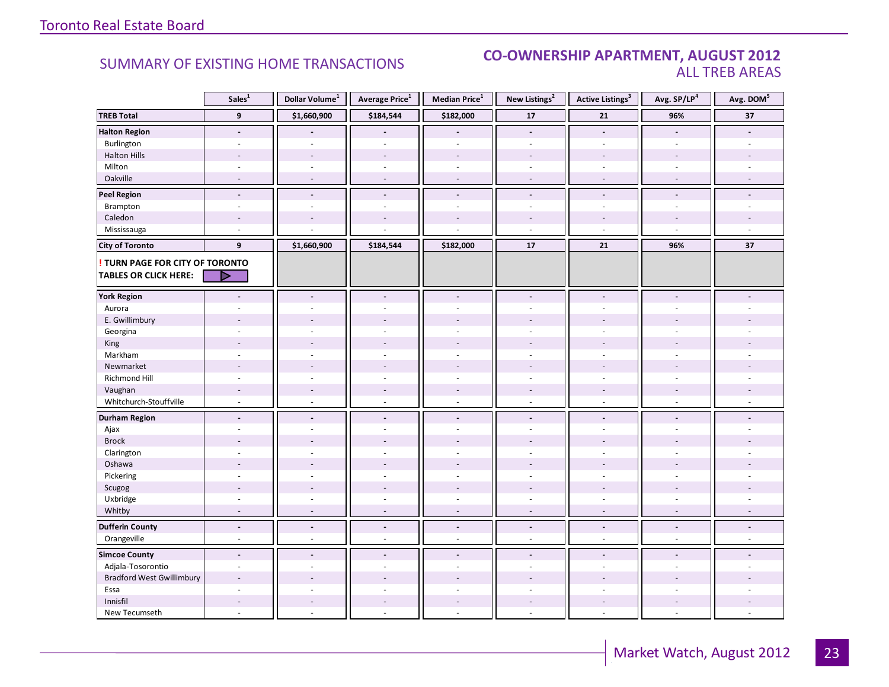#### **Industrial Leasing SUMMARY OF EXISTING HOME TRANSACTIONS CO-OWNERSHIP APARTMENT, AUGUST 2012** ALL TREB AREAS

|                                                                 | Sales <sup>1</sup>             | Dollar Volume <sup>1</sup>       | Average Price <sup>1</sup> | Median Price <sup>1</sup> | New Listings <sup>2</sup>  | Active Listings <sup>3</sup>   | Avg. SP/LP <sup>4</sup>  | Avg. DOM <sup>5</sup> |
|-----------------------------------------------------------------|--------------------------------|----------------------------------|----------------------------|---------------------------|----------------------------|--------------------------------|--------------------------|-----------------------|
| <b>TREB Total</b>                                               | $\mathbf{9}$                   | \$1,660,900                      | \$184,544                  | \$182,000                 | ${\bf 17}$                 | 21                             | 96%                      | 37                    |
| <b>Halton Region</b>                                            | $\overline{\phantom{a}}$       |                                  |                            |                           | $\blacksquare$             | $\overline{\phantom{a}}$       |                          |                       |
| Burlington                                                      | $\overline{\phantom{a}}$       | ÷.                               | $\bar{a}$                  | $\bar{a}$                 | $\omega$                   | $\overline{\phantom{a}}$       | $\sim$                   |                       |
| <b>Halton Hills</b>                                             |                                |                                  |                            |                           |                            |                                |                          |                       |
| Milton                                                          | ä,                             | $\sim$                           | $\bar{a}$                  | $\sim$                    |                            | ÷.                             | $\sim$                   |                       |
| Oakville                                                        | $\blacksquare$                 | $\overline{\phantom{a}}$         | ÷,                         | $\overline{a}$            | $\sim$                     | $\overline{\phantom{a}}$       | $\sim$                   |                       |
| <b>Peel Region</b>                                              | $\blacksquare$                 | $\blacksquare$                   | $\blacksquare$             | $\blacksquare$            | $\blacksquare$             | $\blacksquare$                 | $\blacksquare$           |                       |
| Brampton                                                        | $\overline{\phantom{a}}$       | $\sim$                           | ÷                          | $\sim$                    | $\blacksquare$             | $\overline{\phantom{a}}$       | $\sim$                   |                       |
| Caledon                                                         | $\overline{\phantom{a}}$       |                                  |                            | $\overline{\phantom{a}}$  |                            |                                | $\overline{a}$           |                       |
| Mississauga                                                     | ÷,                             |                                  |                            | L.                        | $\sim$                     | $\overline{a}$                 | $\sim$                   | $\sim$                |
| <b>City of Toronto</b>                                          | 9                              | \$1,660,900                      | \$184,544                  | \$182,000                 | 17                         | 21                             | 96%                      | 37                    |
| ! TURN PAGE FOR CITY OF TORONTO<br><b>TABLES OR CLICK HERE:</b> | ▶                              |                                  |                            |                           |                            |                                |                          |                       |
| <b>York Region</b>                                              |                                |                                  | $\overline{a}$             | ÷.                        |                            |                                |                          |                       |
| Aurora                                                          |                                |                                  |                            |                           |                            |                                |                          |                       |
| E. Gwillimbury                                                  |                                |                                  |                            |                           |                            |                                |                          |                       |
| Georgina                                                        |                                |                                  |                            | ä,                        |                            |                                |                          |                       |
| King                                                            |                                |                                  |                            |                           |                            |                                |                          |                       |
| Markham                                                         | $\overline{\phantom{a}}$       | $\overline{a}$                   | ÷                          | $\sim$                    | $\sim$                     | $\sim$                         | $\sim$                   |                       |
| Newmarket                                                       | $\overline{\phantom{a}}$       |                                  |                            |                           |                            |                                |                          |                       |
| <b>Richmond Hill</b>                                            | ä,                             |                                  |                            | $\overline{a}$            |                            |                                |                          |                       |
| Vaughan                                                         | $\overline{a}$                 | $\sim$                           | $\overline{a}$             | $\overline{\phantom{a}}$  |                            | $\overline{a}$                 | $\sim$                   |                       |
| Whitchurch-Stouffville                                          | ÷,                             | $\overline{\phantom{a}}$         | $\bar{a}$                  | ÷,                        | $\sim$                     | $\overline{\phantom{a}}$       | $\sim$                   |                       |
| <b>Durham Region</b>                                            | $\overline{a}$                 | $\blacksquare$                   | $\overline{a}$             | $\overline{a}$            | $\blacksquare$             | $\overline{a}$                 | $\blacksquare$           |                       |
| Ajax                                                            |                                |                                  |                            | ٠                         |                            |                                |                          |                       |
| <b>Brock</b>                                                    |                                |                                  |                            |                           |                            |                                |                          |                       |
| Clarington                                                      |                                |                                  |                            |                           |                            |                                |                          |                       |
| Oshawa                                                          | $\overline{a}$                 |                                  |                            |                           |                            |                                |                          |                       |
| Pickering                                                       | $\overline{\phantom{a}}$       |                                  | ÷                          | $\sim$                    | $\overline{\phantom{a}}$   | $\sim$                         | $\sim$                   |                       |
| Scugog                                                          | $\overline{a}$                 |                                  | ÷,                         | ÷.                        |                            | $\overline{a}$                 |                          |                       |
| Uxbridge                                                        |                                |                                  |                            | L.                        |                            |                                |                          |                       |
| Whitby                                                          |                                |                                  |                            | $\overline{a}$            |                            |                                |                          |                       |
|                                                                 |                                |                                  |                            |                           |                            |                                |                          |                       |
| <b>Dufferin County</b><br>Orangeville                           | $\overline{\phantom{a}}$<br>ä, | $\blacksquare$<br>$\overline{a}$ | $\blacksquare$<br>L.       | $\overline{a}$<br>÷,      | $\blacksquare$<br>$\omega$ | $\overline{\phantom{a}}$<br>ä, | $\blacksquare$<br>$\sim$ |                       |
|                                                                 |                                |                                  |                            |                           |                            |                                |                          |                       |
| <b>Simcoe County</b>                                            | $\blacksquare$                 | $\sim$                           | $\blacksquare$             | $\overline{\phantom{a}}$  | $\blacksquare$             | $\blacksquare$                 | $\sim$                   |                       |
| Adjala-Tosorontio                                               |                                |                                  |                            | ä,                        |                            |                                |                          |                       |
| <b>Bradford West Gwillimbury</b>                                | $\overline{a}$                 |                                  |                            | $\overline{a}$            |                            |                                |                          |                       |
| Essa                                                            | ä,                             |                                  |                            | ÷,                        | $\omega$                   | $\sim$                         | ÷                        |                       |
| Innisfil                                                        |                                |                                  |                            | $\overline{a}$            |                            |                                |                          |                       |
| New Tecumseth                                                   |                                |                                  |                            |                           |                            |                                |                          |                       |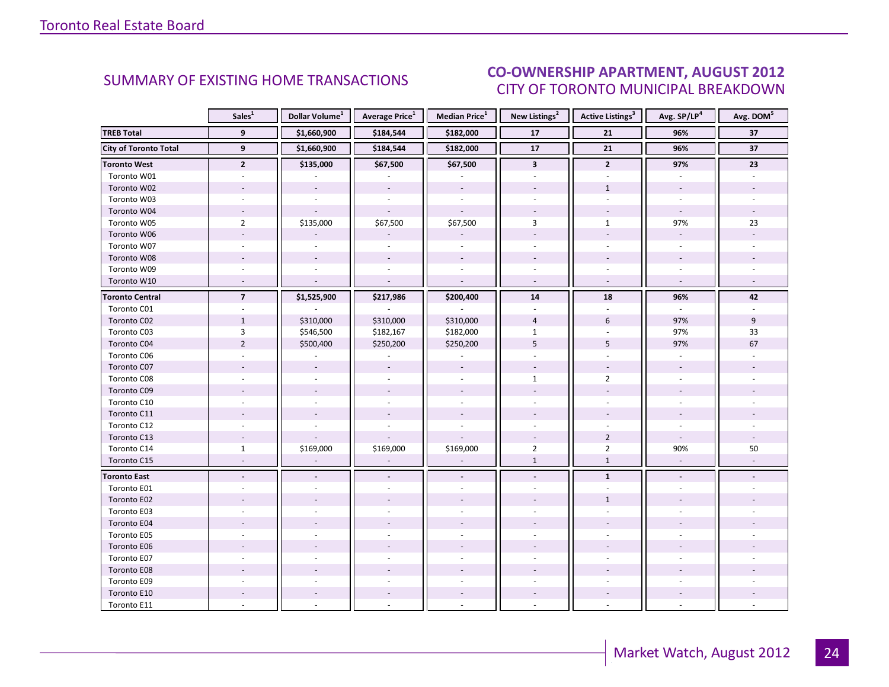#### $\blacksquare$  ALIGUST 2012 CITY OF TORONTO MUNICIPAL BREAKDOWN SUMMARY OF EXISTING HOME TRANSACTIONS<br>CITY OF TOPONTO MUINICIPAL PREAKDOMAL

<span id="page-23-0"></span>

|                              | Sales $^{1}$   | Dollar Volume <sup>1</sup> | <b>Average Price</b> <sup>1</sup> | <b>Median Price</b> <sup>1</sup> | New Listings <sup>2</sup> | <b>Active Listings<sup>3</sup></b> | Avg. SP/LP <sup>4</sup> | Avg. DOM <sup>5</sup> |
|------------------------------|----------------|----------------------------|-----------------------------------|----------------------------------|---------------------------|------------------------------------|-------------------------|-----------------------|
| <b>TREB Total</b>            | 9              | \$1,660,900                | \$184,544                         | \$182,000                        | 17                        | 21                                 | 96%                     | 37                    |
| <b>City of Toronto Total</b> | $\overline{9}$ | \$1,660,900                | \$184,544                         | \$182,000                        | $\overline{17}$           | $\overline{21}$                    | 96%                     | 37                    |
| <b>Toronto West</b>          | $\overline{2}$ | \$135,000                  | \$67,500                          | \$67,500                         | $\overline{\mathbf{3}}$   | $\overline{2}$                     | 97%                     | 23                    |
| Toronto W01                  |                |                            |                                   |                                  |                           |                                    |                         |                       |
| Toronto W02                  |                |                            |                                   |                                  |                           | $\mathbf{1}$                       |                         |                       |
| Toronto W03                  | $\sim$         |                            |                                   | $\sim$                           |                           | $\mathbf{r}$                       |                         |                       |
| Toronto W04                  |                |                            |                                   |                                  |                           |                                    |                         |                       |
| Toronto W05                  | $\overline{2}$ | \$135,000                  | \$67,500                          | \$67,500                         | 3                         | $\mathbf{1}$                       | 97%                     | 23                    |
| Toronto W06                  |                |                            |                                   |                                  |                           |                                    | $\overline{a}$          |                       |
| Toronto W07                  |                |                            |                                   |                                  |                           |                                    |                         |                       |
| Toronto W08                  |                |                            |                                   |                                  |                           |                                    |                         |                       |
| Toronto W09                  |                |                            |                                   |                                  |                           |                                    |                         |                       |
| Toronto W10                  |                |                            | $\overline{a}$                    | $\sim$                           |                           | $\overline{a}$                     |                         |                       |
| <b>Toronto Central</b>       | $\overline{7}$ | \$1,525,900                | \$217,986                         | \$200,400                        | 14                        | 18                                 | 96%                     | 42                    |
| Toronto C01                  |                |                            |                                   |                                  |                           |                                    |                         |                       |
| Toronto C02                  | $\mathbf{1}$   | \$310,000                  | \$310,000                         | \$310,000                        | $\overline{4}$            | 6                                  | 97%                     | 9                     |
| Toronto C03                  | 3              | \$546,500                  | \$182,167                         | \$182,000                        | $\mathbf{1}$              |                                    | 97%                     | 33                    |
| Toronto C04                  | $\overline{2}$ | \$500,400                  | \$250,200                         | \$250,200                        | 5                         | 5                                  | 97%                     | 67                    |
| Toronto C06                  |                |                            |                                   |                                  |                           |                                    |                         |                       |
| Toronto C07                  |                |                            |                                   | $\sim$                           | $\overline{\phantom{a}}$  | $\overline{\phantom{a}}$           |                         |                       |
| Toronto C08                  |                |                            |                                   | $\sim$                           | $\mathbf{1}$              | $\overline{2}$                     | ÷.                      |                       |
| Toronto C09                  |                |                            |                                   |                                  |                           |                                    |                         |                       |
| Toronto C10                  |                |                            |                                   |                                  |                           |                                    |                         |                       |
| Toronto C11                  |                |                            |                                   |                                  |                           |                                    |                         |                       |
| Toronto C12                  | $\sim$         |                            |                                   | $\sim$                           |                           |                                    |                         |                       |
| Toronto C13                  |                |                            |                                   |                                  |                           | $\overline{2}$                     |                         |                       |
| Toronto C14                  | $\mathbf{1}$   | \$169,000                  | \$169,000                         | \$169,000                        | $\overline{2}$            | $\overline{2}$                     | 90%                     | 50                    |
| Toronto C15                  | $\sim$         |                            |                                   | $\overline{a}$                   | $\mathbf{1}$              | $\mathbf{1}$                       | $\omega$                |                       |
| <b>Toronto East</b>          |                |                            |                                   |                                  |                           | $\mathbf{1}$                       |                         |                       |
| Toronto E01                  |                |                            |                                   |                                  |                           |                                    |                         |                       |
| Toronto E02                  |                |                            |                                   |                                  |                           | $\mathbf{1}$                       |                         |                       |
| Toronto E03                  |                |                            |                                   |                                  |                           |                                    |                         |                       |
| Toronto E04                  |                |                            |                                   |                                  |                           |                                    |                         |                       |
| Toronto E05                  |                |                            |                                   |                                  |                           |                                    |                         |                       |
| Toronto E06                  |                |                            |                                   |                                  |                           |                                    |                         |                       |
| Toronto E07                  |                |                            |                                   |                                  |                           |                                    |                         |                       |
| Toronto E08                  |                |                            |                                   |                                  |                           |                                    |                         |                       |
| Toronto E09                  |                |                            |                                   |                                  |                           |                                    |                         |                       |
| Toronto E10                  |                |                            |                                   |                                  |                           |                                    |                         |                       |
| Toronto E11                  |                |                            |                                   |                                  |                           |                                    |                         |                       |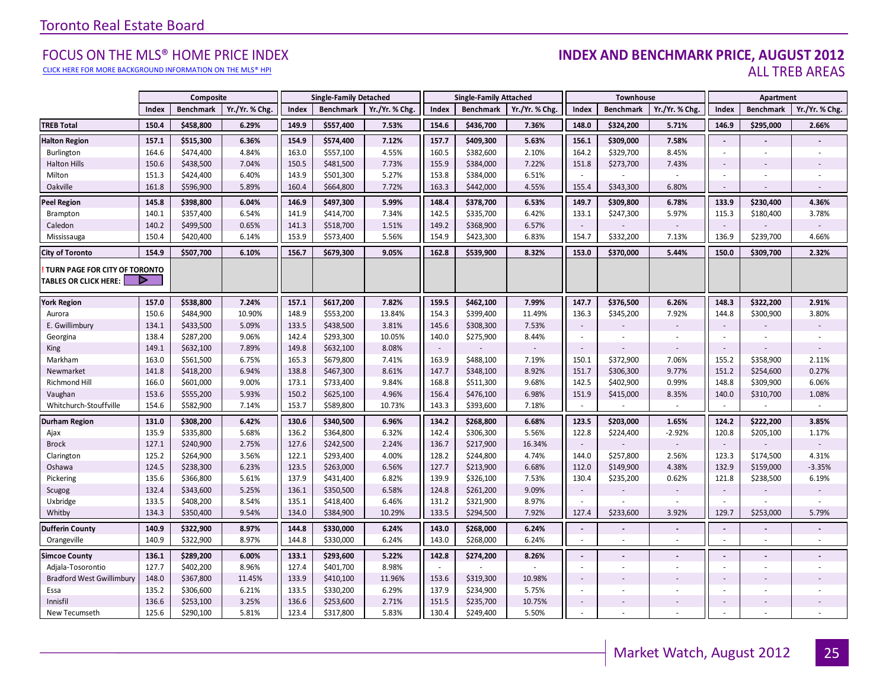#### [CLICK HERE FOR MORE BACKGROUND INFORMATION ON THE MLS® HPI](http://www.torontorealestateboard.com/market_news/home_price_index/index.htm)

#### EOCUS ON THE MLS® HOME PRICE INDEX **INDEX AND BENCHMARK PRICE, AUGUST 2012**<br>CLICK HERE FOR MORE BACKGROUND INFORMATION ON THE MLS® HPI ALL TREB AREAS

|                                                               |                | Composite              |                |                | <b>Single-Family Detached</b> |                |                | <b>Single-Family Attached</b> |                |                          | Townhouse              |                |                             | Apartment              |                   |
|---------------------------------------------------------------|----------------|------------------------|----------------|----------------|-------------------------------|----------------|----------------|-------------------------------|----------------|--------------------------|------------------------|----------------|-----------------------------|------------------------|-------------------|
|                                                               | Index          | <b>Benchmark</b>       | Yr./Yr. % Chg. | Index          | <b>Benchmark</b>              | Yr./Yr. % Chg. | Index          | <b>Benchmark</b>              | Yr./Yr. % Chg. | Index                    | <b>Benchmark</b>       | Yr./Yr. % Chg. | Index                       | <b>Benchmark</b>       | Yr./Yr. % Chg.    |
| <b>TREB Total</b>                                             | 150.4          | \$458,800              | 6.29%          | 149.9          | \$557,400                     | 7.53%          | 154.6          | \$436,700                     | 7.36%          | 148.0                    | \$324,200              | 5.71%          | 146.9                       | \$295,000              | 2.66%             |
| <b>Halton Region</b>                                          | 157.1          | \$515,300              | 6.36%          | 154.9          | \$574,400                     | 7.12%          | 157.7          | \$409,300                     | 5.63%          | 156.1                    | \$309,000              | 7.58%          | $\sim$                      |                        |                   |
| Burlington                                                    | 164.6          | \$474,400              | 4.84%          | 163.0          | \$557,100                     | 4.55%          | 160.5          | \$382,600                     | 2.10%          | 164.2                    | \$329,700              | 8.45%          | ÷.                          | ÷.                     | ×.                |
| <b>Halton Hills</b>                                           | 150.6          | \$438,500              | 7.04%          | 150.5          | \$481,500                     | 7.73%          | 155.9          | \$384,000                     | 7.22%          | 151.8                    | \$273,700              | 7.43%          | $\sim$                      |                        |                   |
| Milton                                                        | 151.3          | \$424,400              | 6.40%          | 143.9          | \$501,300                     | 5.27%          | 153.8          | \$384,000                     | 6.51%          | $\overline{\phantom{a}}$ |                        | ×.             |                             |                        |                   |
| Oakville                                                      | 161.8          | \$596,900              | 5.89%          | 160.4          | \$664,800                     | 7.72%          | 163.3          | \$442,000                     | 4.55%          | 155.4                    | \$343,300              | 6.80%          | $\sim$                      |                        |                   |
| <b>Peel Region</b>                                            | 145.8          | \$398,800              | 6.04%          | 146.9          | \$497,300                     | 5.99%          | 148.4          | \$378,700                     | 6.53%          | 149.7                    | \$309,800              | 6.78%          | 133.9                       | \$230,400              | 4.36%             |
| Brampton                                                      | 140.1          | \$357,400              | 6.54%          | 141.9          | \$414,700                     | 7.34%          | 142.5          | \$335,700                     | 6.42%          | 133.1                    | \$247,300              | 5.97%          | 115.3                       | \$180,400              | 3.78%             |
| Caledon                                                       | 140.2          | \$499,500              | 0.65%          | 141.3          | \$518,700                     | 1.51%          | 149.2          | \$368,900                     | 6.57%          | $\sim$                   |                        |                | $\sim$                      |                        |                   |
| Mississauga                                                   | 150.4          | \$420,400              | 6.14%          | 153.9          | \$573,400                     | 5.56%          | 154.9          | \$423,300                     | 6.83%          | 154.7                    | \$332,200              | 7.13%          | 136.9                       | \$239,700              | 4.66%             |
| <b>City of Toronto</b>                                        | 154.9          | \$507,700              | 6.10%          | 156.7          | \$679,300                     | 9.05%          | 162.8          | \$539,900                     | 8.32%          | 153.0                    | \$370,000              | 5.44%          | 150.0                       | \$309,700              | 2.32%             |
| TURN PAGE FOR CITY OF TORONTO<br><b>TABLES OR CLICK HERE:</b> |                |                        |                |                |                               |                |                |                               |                |                          |                        |                |                             |                        |                   |
| <b>York Region</b>                                            | 157.0          | \$538,800              | 7.24%          | 157.1          | \$617,200                     | 7.82%          | 159.5          | \$462,100                     | 7.99%          | 147.7                    | \$376,500              | 6.26%          | 148.3                       | \$322,200              | 2.91%             |
| Aurora                                                        | 150.6          | \$484,900              | 10.90%         | 148.9          | \$553,200                     | 13.84%         | 154.3          | \$399,400                     | 11.49%         | 136.3                    | \$345,200              | 7.92%          | 144.8                       | \$300,900              | 3.80%             |
| E. Gwillimbury                                                | 134.1          | \$433,500              | 5.09%          | 133.5          | \$438,500                     | 3.81%          | 145.6          | \$308,300                     | 7.53%          | $\overline{\phantom{a}}$ |                        |                | $\sim$                      |                        |                   |
| Georgina                                                      | 138.4          | \$287,200              | 9.06%          | 142.4          | \$293,300                     | 10.05%         | 140.0          | \$275,900                     | 8.44%          | $\sim$                   |                        |                | $\overline{a}$              |                        |                   |
| <b>King</b>                                                   | 149.1          | \$632,100              | 7.89%          | 149.8          | \$632,100                     | 8.08%          | $\sim$         |                               |                | $\blacksquare$           |                        | $\blacksquare$ | $\sim$                      |                        |                   |
| Markham                                                       | 163.0          | \$561,500              | 6.75%          | 165.3          | \$679,800                     | 7.41%          | 163.9          | \$488,100                     | 7.19%          | 150.1                    | \$372,900              | 7.06%          | 155.2                       | \$358,900              | 2.11%             |
| Newmarket                                                     | 141.8          | \$418,200              | 6.94%          | 138.8          | \$467,300                     | 8.61%          | 147.7          | \$348,100                     | 8.92%          | 151.7                    | \$306,300              | 9.77%          | 151.2                       | \$254,600              | 0.27%             |
| Richmond Hill                                                 | 166.0          | \$601,000              | 9.00%          | 173.1          | \$733,400                     | 9.84%          | 168.8          | \$511,300                     | 9.68%          | 142.5                    | \$402,900              | 0.99%          | 148.8                       | \$309,900              | 6.06%             |
| Vaughan                                                       | 153.6          | \$555,200              | 5.93%          | 150.2          | \$625,100                     | 4.96%          | 156.4          | \$476,100                     | 6.98%          | 151.9                    | \$415,000              | 8.35%          | 140.0                       | \$310,700              | 1.08%             |
| Whitchurch-Stouffville                                        | 154.6          | \$582,900              | 7.14%          | 153.7          | \$589,800                     | 10.73%         | 143.3          | \$393,600                     | 7.18%          |                          |                        | $\sim$         | $\sim$                      | $\sim$                 | $\sim$            |
| <b>Durham Region</b>                                          | 131.0          | \$308,200              | 6.42%          | 130.6          | \$340,500                     | 6.96%          | 134.2          | \$268,800                     | 6.68%          | 123.5                    | \$203,000              | 1.65%          | 124.2                       | \$222,200              | 3.85%             |
| Ajax                                                          | 135.9          | \$335,800              | 5.68%          | 136.2          | \$364,800                     | 6.32%          | 142.4          | \$306,300                     | 5.56%          | 122.8                    | \$224,400              | $-2.92%$       | 120.8                       | \$205,100              | 1.17%             |
| <b>Brock</b>                                                  | 127.1          | \$240,900              | 2.75%          | 127.6          | \$242,500                     | 2.24%          | 136.7          | \$217,900                     | 16.34%         | $\sim$                   |                        |                | $\mathcal{L}_{\mathcal{A}}$ |                        |                   |
| Clarington                                                    | 125.2<br>124.5 | \$264,900              | 3.56%          | 122.1<br>123.5 | \$293,400                     | 4.00%          | 128.2          | \$244,800                     | 4.74%          | 144.0                    | \$257,800              | 2.56%<br>4.38% | 123.3<br>132.9              | \$174,500              | 4.31%             |
| Oshawa<br>Pickering                                           | 135.6          | \$238,300<br>\$366,800 | 6.23%<br>5.61% | 137.9          | \$263,000<br>\$431,400        | 6.56%<br>6.82% | 127.7<br>139.9 | \$213,900<br>\$326,100        | 6.68%<br>7.53% | 112.0<br>130.4           | \$149,900<br>\$235,200 | 0.62%          | 121.8                       | \$159,000<br>\$238,500 | $-3.35%$<br>6.19% |
| Scugog                                                        | 132.4          | \$343,600              | 5.25%          | 136.1          | \$350,500                     | 6.58%          | 124.8          | \$261,200                     | 9.09%          | $\overline{\phantom{a}}$ |                        |                | $\sim$                      |                        |                   |
| Uxbridge                                                      | 133.5          | \$408,200              | 8.54%          | 135.1          | \$418,400                     | 6.46%          | 131.2          | \$321,900                     | 8.97%          | $\overline{\phantom{a}}$ |                        | $\sim$         |                             |                        | ×                 |
| Whitby                                                        | 134.3          | \$350,400              | 9.54%          | 134.0          | \$384,900                     | 10.29%         | 133.5          | \$294,500                     | 7.92%          | 127.4                    | \$233,600              | 3.92%          | 129.7                       | \$253,000              | 5.79%             |
| <b>Dufferin County</b>                                        | 140.9          | \$322,900              | 8.97%          | 144.8          | \$330,000                     | 6.24%          | 143.0          | \$268,000                     | 6.24%          | $\overline{\phantom{a}}$ |                        |                | $\blacksquare$              | $\blacksquare$         |                   |
| Orangeville                                                   | 140.9          | \$322,900              | 8.97%          | 144.8          | \$330,000                     | 6.24%          | 143.0          | \$268,000                     | 6.24%          | $\blacksquare$           | $\sim$                 | ×.             |                             | ÷.                     | ×.                |
| <b>Simcoe County</b>                                          | 136.1          | \$289,200              | 6.00%          | 133.1          | \$293,600                     | 5.22%          | 142.8          | \$274,200                     | 8.26%          | $\blacksquare$           |                        |                |                             | L.                     |                   |
| Adjala-Tosorontio                                             | 127.7          | \$402,200              | 8.96%          | 127.4          | \$401,700                     | 8.98%          | $\sim$         |                               |                | $\overline{\phantom{a}}$ |                        |                |                             | ä,                     |                   |
| <b>Bradford West Gwillimbury</b>                              | 148.0          | \$367,800              | 11.45%         | 133.9          | \$410,100                     | 11.96%         | 153.6          | \$319,300                     | 10.98%         | $\overline{\phantom{a}}$ |                        |                | $\sim$                      |                        |                   |
| Essa                                                          | 135.2          | \$306,600              | 6.21%          | 133.5          | \$330,200                     | 6.29%          | 137.9          | \$234,900                     | 5.75%          | $\overline{\phantom{a}}$ |                        | $\sim$         | $\sim$                      | $\sim$                 |                   |
| Innisfil                                                      | 136.6          | \$253,100              | 3.25%          | 136.6          | \$253,600                     | 2.71%          | 151.5          | \$235,700                     | 10.75%         | $\overline{\phantom{a}}$ |                        |                | $\blacksquare$              |                        |                   |
| New Tecumseth                                                 | 125.6          | \$290,100              | 5.81%          | 123.4          | \$317,800                     | 5.83%          | 130.4          | \$249,400                     | 5.50%          | $\sim$                   |                        |                |                             | $\sim$                 |                   |

**Page 3 July 2010**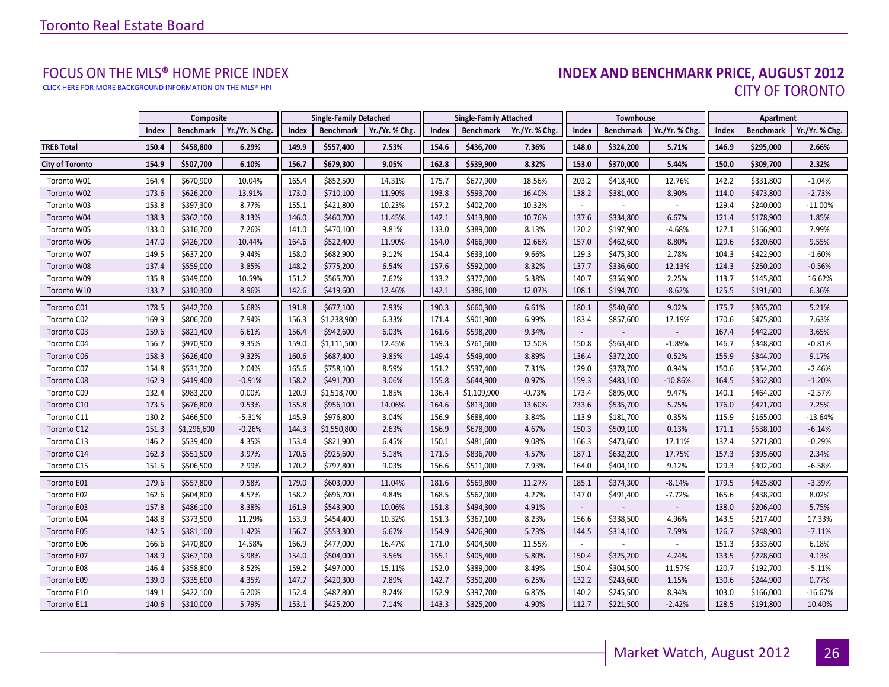[CLICK HERE FOR MORE BACKGROUND INFORMATION ON THE MLS® HPI](http://www.torontorealestateboard.com/market_news/home_price_index/index.htm)

# FOCUS ON THE MLS® HOME PRICE INDEX<br>**INDEX AND BENCHMARK PRICE, AUGUST 2012** CITY OF TORONTO

<span id="page-25-0"></span>

|                        |       | Composite        |                |       | <b>Single-Family Detached</b> |                | <b>Single-Family Attached</b> |                  | <b>Townhouse</b> |                          |                  | Apartment                   |       |                  |                |
|------------------------|-------|------------------|----------------|-------|-------------------------------|----------------|-------------------------------|------------------|------------------|--------------------------|------------------|-----------------------------|-------|------------------|----------------|
|                        | Index | <b>Benchmark</b> | Yr./Yr. % Chg. | Index | Benchmark                     | Yr./Yr. % Chg. | Index                         | <b>Benchmark</b> | Yr./Yr. % Chg.   | Index                    | <b>Benchmark</b> | Yr./Yr. % Chg.              | Index | <b>Benchmark</b> | Yr./Yr. % Chg. |
| <b>TREB Total</b>      | 150.4 | \$458,800        | 6.29%          | 149.9 | \$557,400                     | 7.53%          | 154.6                         | \$436,700        | 7.36%            | 148.0                    | \$324,200        | 5.71%                       | 146.9 | \$295,000        | 2.66%          |
| <b>City of Toronto</b> | 154.9 | \$507,700        | 6.10%          | 156.7 | \$679,300                     | 9.05%          | 162.8                         | \$539,900        | 8.32%            | 153.0                    | \$370,000        | 5.44%                       | 150.0 | \$309,700        | 2.32%          |
| Toronto W01            | 164.4 | \$670,900        | 10.04%         | 165.4 | \$852,500                     | 14.31%         | 175.7                         | \$677,900        | 18.56%           | 203.2                    | \$418,400        | 12.76%                      | 142.2 | \$331,800        | $-1.04%$       |
| Toronto W02            | 173.6 | \$626,200        | 13.91%         | 173.0 | \$710,100                     | 11.90%         | 193.8                         | \$593,700        | 16.40%           | 138.2                    | \$381,000        | 8.90%                       | 114.0 | \$473,800        | $-2.73%$       |
| Toronto W03            | 153.8 | \$397,300        | 8.77%          | 155.1 | \$421,800                     | 10.23%         | 157.2                         | \$402,700        | 10.32%           | $\blacksquare$           |                  | $\blacksquare$              | 129.4 | \$240,000        | $-11.00%$      |
| Toronto W04            | 138.3 | \$362,100        | 8.13%          | 146.0 | \$460,700                     | 11.45%         | 142.1                         | \$413,800        | 10.76%           | 137.6                    | \$334,800        | 6.67%                       | 121.4 | \$178,900        | 1.85%          |
| Toronto W05            | 133.0 | \$316,700        | 7.26%          | 141.0 | \$470,100                     | 9.81%          | 133.0                         | \$389,000        | 8.13%            | 120.2                    | \$197,900        | $-4.68%$                    | 127.1 | \$166,900        | 7.99%          |
| Toronto W06            | 147.0 | \$426,700        | 10.44%         | 164.6 | \$522,400                     | 11.90%         | 154.0                         | \$466,900        | 12.66%           | 157.0                    | \$462,600        | 8.80%                       | 129.6 | \$320,600        | 9.55%          |
| Toronto W07            | 149.5 | \$637,200        | 9.44%          | 158.0 | \$682,900                     | 9.12%          | 154.4                         | \$633,100        | 9.66%            | 129.3                    | \$475,300        | 2.78%                       | 104.3 | \$422,900        | $-1.60%$       |
| Toronto W08            | 137.4 | \$559,000        | 3.85%          | 148.2 | \$775,200                     | 6.54%          | 157.6                         | \$592,000        | 8.32%            | 137.7                    | \$336,600        | 12.13%                      | 124.3 | \$250,200        | $-0.56%$       |
| Toronto W09            | 135.8 | \$349,000        | 10.59%         | 151.2 | \$565,700                     | 7.62%          | 133.2                         | \$377,000        | 5.38%            | 140.7                    | \$356,900        | 2.25%                       | 113.7 | \$145,800        | 16.62%         |
| Toronto W10            | 133.7 | \$310,300        | 8.96%          | 142.6 | \$419,600                     | 12.46%         | 142.1                         | \$386,100        | 12.07%           | 108.1                    | \$194,700        | $-8.62%$                    | 125.5 | \$191,600        | 6.36%          |
| Toronto C01            | 178.5 | \$442,700        | 5.68%          | 191.8 | \$677,100                     | 7.93%          | 190.3                         | \$660,300        | 6.61%            | 180.1                    | \$540,600        | 9.02%                       | 175.7 | \$365,700        | 5.21%          |
| Toronto C02            | 169.9 | \$806,700        | 7.94%          | 156.3 | \$1,238,900                   | 6.33%          | 171.4                         | \$901,900        | 6.99%            | 183.4                    | \$857,600        | 17.19%                      | 170.6 | \$475,800        | 7.63%          |
| Toronto C03            | 159.6 | \$821,400        | 6.61%          | 156.4 | \$942,600                     | 6.03%          | 161.6                         | \$598,200        | 9.34%            | $\overline{\phantom{a}}$ |                  |                             | 167.4 | \$442,200        | 3.65%          |
| Toronto C04            | 156.7 | \$970,900        | 9.35%          | 159.0 | \$1,111,500                   | 12.45%         | 159.3                         | \$761,600        | 12.50%           | 150.8                    | \$563,400        | $-1.89%$                    | 146.7 | \$348,800        | $-0.81%$       |
| Toronto C06            | 158.3 | \$626,400        | 9.32%          | 160.6 | \$687,400                     | 9.85%          | 149.4                         | \$549,400        | 8.89%            | 136.4                    | \$372,200        | 0.52%                       | 155.9 | \$344,700        | 9.17%          |
| Toronto C07            | 154.8 | \$531,700        | 2.04%          | 165.6 | \$758,100                     | 8.59%          | 151.2                         | \$537,400        | 7.31%            | 129.0                    | \$378,700        | 0.94%                       | 150.6 | \$354,700        | $-2.46%$       |
| Toronto C08            | 162.9 | \$419,400        | $-0.91%$       | 158.2 | \$491,700                     | 3.06%          | 155.8                         | \$644,900        | 0.97%            | 159.3                    | \$483,100        | $-10.86%$                   | 164.5 | \$362,800        | $-1.20%$       |
| Toronto C09            | 132.4 | \$983,200        | 0.00%          | 120.9 | \$1,518,700                   | 1.85%          | 136.4                         | \$1,109,900      | $-0.73%$         | 173.4                    | \$895,000        | 9.47%                       | 140.1 | \$464,200        | $-2.57%$       |
| Toronto C10            | 173.5 | \$676,800        | 9.53%          | 155.8 | \$956,100                     | 14.06%         | 164.6                         | \$813,000        | 13.60%           | 233.6                    | \$535,700        | 5.75%                       | 176.0 | \$421,700        | 7.25%          |
| Toronto C11            | 130.2 | \$466,500        | $-5.31%$       | 145.9 | \$976,800                     | 3.04%          | 156.9                         | \$688,400        | 3.84%            | 113.9                    | \$181,700        | 0.35%                       | 115.9 | \$165,000        | $-13.64%$      |
| Toronto C12            | 151.3 | \$1,296,600      | $-0.26%$       | 144.3 | \$1,550,800                   | 2.63%          | 156.9                         | \$678,000        | 4.67%            | 150.3                    | \$509,100        | 0.13%                       | 171.1 | \$538,100        | $-6.14%$       |
| Toronto C13            | 146.2 | \$539,400        | 4.35%          | 153.4 | \$821,900                     | 6.45%          | 150.1                         | \$481,600        | 9.08%            | 166.3                    | \$473,600        | 17.11%                      | 137.4 | \$271,800        | $-0.29%$       |
| Toronto C14            | 162.3 | \$551,500        | 3.97%          | 170.6 | \$925,600                     | 5.18%          | 171.5                         | \$836,700        | 4.57%            | 187.1                    | \$632,200        | 17.75%                      | 157.3 | \$395,600        | 2.34%          |
| Toronto C15            | 151.5 | \$506,500        | 2.99%          | 170.2 | \$797,800                     | 9.03%          | 156.6                         | \$511,000        | 7.93%            | 164.0                    | \$404,100        | 9.12%                       | 129.3 | \$302,200        | $-6.58%$       |
| Toronto E01            | 179.6 | \$557,800        | 9.58%          | 179.0 | \$603,000                     | 11.04%         | 181.6                         | \$569,800        | 11.27%           | 185.1                    | \$374,300        | $-8.14%$                    | 179.5 | \$425,800        | $-3.39%$       |
| Toronto E02            | 162.6 | \$604,800        | 4.57%          | 158.2 | \$696,700                     | 4.84%          | 168.5                         | \$562,000        | 4.27%            | 147.0                    | \$491,400        | $-7.72%$                    | 165.6 | \$438,200        | 8.02%          |
| Toronto E03            | 157.8 | \$486,100        | 8.38%          | 161.9 | \$543,900                     | 10.06%         | 151.8                         | \$494,300        | 4.91%            | $\sim$                   |                  |                             | 138.0 | \$206,400        | 5.75%          |
| Toronto E04            | 148.8 | \$373,500        | 11.29%         | 153.9 | \$454,400                     | 10.32%         | 151.3                         | \$367,100        | 8.23%            | 156.6                    | \$338,500        | 4.96%                       | 143.5 | \$217,400        | 17.33%         |
| Toronto E05            | 142.5 | \$381,100        | 1.42%          | 156.7 | \$553,300                     | 6.67%          | 154.9                         | \$426,900        | 5.73%            | 144.5                    | \$314,100        | 7.59%                       | 126.7 | \$248,900        | $-7.11%$       |
| Toronto E06            | 166.6 | \$470,800        | 14.58%         | 166.9 | \$477,000                     | 16.47%         | 171.0                         | \$404,500        | 11.55%           |                          |                  | $\mathcal{L}_{\mathcal{A}}$ | 151.3 | \$333,600        | 6.18%          |
| Toronto E07            | 148.9 | \$367,100        | 5.98%          | 154.0 | \$504,000                     | 3.56%          | 155.1                         | \$405,400        | 5.80%            | 150.4                    | \$325,200        | 4.74%                       | 133.5 | \$228,600        | 4.13%          |
| Toronto E08            | 146.4 | \$358,800        | 8.52%          | 159.2 | \$497,000                     | 15.11%         | 152.0                         | \$389,000        | 8.49%            | 150.4                    | \$304,500        | 11.57%                      | 120.7 | \$192,700        | $-5.11%$       |
| Toronto E09            | 139.0 | \$335,600        | 4.35%          | 147.7 | \$420,300                     | 7.89%          | 142.7                         | \$350,200        | 6.25%            | 132.2                    | \$243,600        | 1.15%                       | 130.6 | \$244,900        | 0.77%          |
| Toronto E10            | 149.1 | \$422,100        | 6.20%          | 152.4 | \$487,800                     | 8.24%          | 152.9                         | \$397,700        | 6.85%            | 140.2                    | \$245,500        | 8.94%                       | 103.0 | \$166,000        | $-16.67%$      |
| Toronto E11            | 140.6 | \$310,000        | 5.79%          | 153.1 | \$425,200                     | 7.14%          | 143.3                         | \$325,200        | 4.90%            | 112.7                    | \$221,500        | $-2.42%$                    | 128.5 | \$191,800        | 10.40%         |